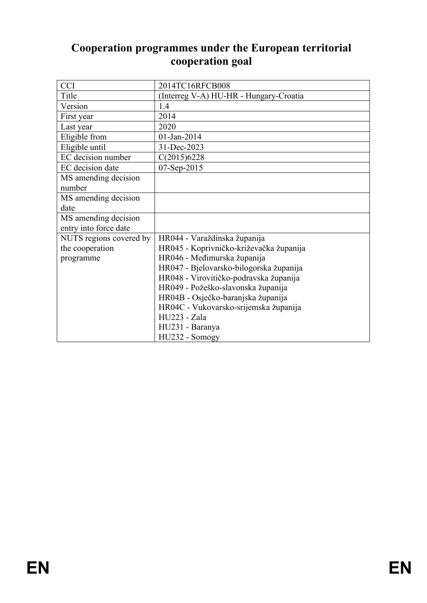# **Cooperation programmes under the European territorial cooperation goal**

| <b>CCI</b>              | 2014TC16RFCB008                         |
|-------------------------|-----------------------------------------|
| Title                   | (Interreg V-A) HU-HR - Hungary-Croatia  |
| Version                 | 1.4                                     |
| First year              | 2014                                    |
| Last year               | 2020                                    |
| Eligible from           | $01$ -Jan-2014                          |
| Eligible until          | 31-Dec-2023                             |
| EC decision number      | C(2015)6228                             |
| EC decision date        | 07-Sep-2015                             |
| MS amending decision    |                                         |
| number                  |                                         |
| MS amending decision    |                                         |
| date                    |                                         |
| MS amending decision    |                                         |
| entry into force date   |                                         |
| NUTS regions covered by | HR044 - Varaždinska županija            |
| the cooperation         | HR045 - Koprivničko-križevačka županija |
| programme               | HR046 - Međimurska županija             |
|                         | HR047 - Bjelovarsko-bilogorska županija |
|                         | HR048 - Virovitičko-podravska županija  |
|                         | HR049 - Požeško-slavonska županija      |
|                         | HR04B - Osječko-baranjska županija      |
|                         | HR04C - Vukovarsko-srijemska županija   |
|                         | HU223 - Zala                            |
|                         | HU231 - Baranya                         |
|                         | HU232 - Somogy                          |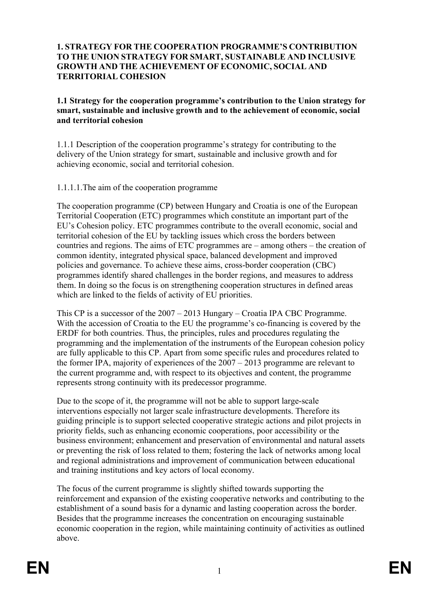#### **1. STRATEGY FOR THE COOPERATION PROGRAMME'S CONTRIBUTION TO THE UNION STRATEGY FOR SMART, SUSTAINABLE AND INCLUSIVE GROWTH AND THE ACHIEVEMENT OF ECONOMIC, SOCIAL AND TERRITORIAL COHESION**

**1.1 Strategy for the cooperation programme's contribution to the Union strategy for smart, sustainable and inclusive growth and to the achievement of economic, social and territorial cohesion**

1.1.1 Description of the cooperation programme's strategy for contributing to the delivery of the Union strategy for smart, sustainable and inclusive growth and for achieving economic, social and territorial cohesion.

1.1.1.1.The aim of the cooperation programme

The cooperation programme (CP) between Hungary and Croatia is one of the European Territorial Cooperation (ETC) programmes which constitute an important part of the EU's Cohesion policy. ETC programmes contribute to the overall economic, social and territorial cohesion of the EU by tackling issues which cross the borders between countries and regions. The aims of ETC programmes are – among others – the creation of common identity, integrated physical space, balanced development and improved policies and governance. To achieve these aims, cross-border cooperation (CBC) programmes identify shared challenges in the border regions, and measures to address them. In doing so the focus is on strengthening cooperation structures in defined areas which are linked to the fields of activity of EU priorities.

This CP is a successor of the 2007 – 2013 Hungary – Croatia IPA CBC Programme. With the accession of Croatia to the EU the programme's co-financing is covered by the ERDF for both countries. Thus, the principles, rules and procedures regulating the programming and the implementation of the instruments of the European cohesion policy are fully applicable to this CP. Apart from some specific rules and procedures related to the former IPA, majority of experiences of the 2007 – 2013 programme are relevant to the current programme and, with respect to its objectives and content, the programme represents strong continuity with its predecessor programme.

Due to the scope of it, the programme will not be able to support large-scale interventions especially not larger scale infrastructure developments. Therefore its guiding principle is to support selected cooperative strategic actions and pilot projects in priority fields, such as enhancing economic cooperations, poor accessibility or the business environment; enhancement and preservation of environmental and natural assets or preventing the risk of loss related to them; fostering the lack of networks among local and regional administrations and improvement of communication between educational and training institutions and key actors of local economy.

The focus of the current programme is slightly shifted towards supporting the reinforcement and expansion of the existing cooperative networks and contributing to the establishment of a sound basis for a dynamic and lasting cooperation across the border. Besides that the programme increases the concentration on encouraging sustainable economic cooperation in the region, while maintaining continuity of activities as outlined above.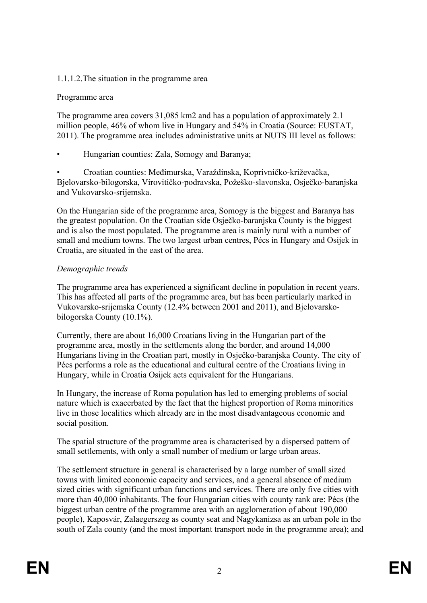## 1.1.1.2.The situation in the programme area

## Programme area

The programme area covers 31,085 km2 and has a population of approximately 2.1 million people, 46% of whom live in Hungary and 54% in Croatia (Source: EUSTAT, 2011). The programme area includes administrative units at NUTS III level as follows:

• Hungarian counties: Zala, Somogy and Baranya;

• Croatian counties: Međimurska, Varaždinska, Koprivničko-križevačka, Bjelovarsko-bilogorska, Virovitičko-podravska, Požeško-slavonska, Osječko-baranjska and Vukovarsko-srijemska.

On the Hungarian side of the programme area, Somogy is the biggest and Baranya has the greatest population. On the Croatian side Osječko-baranjska County is the biggest and is also the most populated. The programme area is mainly rural with a number of small and medium towns. The two largest urban centres, Pécs in Hungary and Osijek in Croatia, are situated in the east of the area.

## *Demographic trends*

The programme area has experienced a significant decline in population in recent years. This has affected all parts of the programme area, but has been particularly marked in Vukovarsko-srijemska County (12.4% between 2001 and 2011), and Bjelovarskobilogorska County (10.1%).

Currently, there are about 16,000 Croatians living in the Hungarian part of the programme area, mostly in the settlements along the border, and around 14,000 Hungarians living in the Croatian part, mostly in Osječko-baranjska County. The city of Pécs performs a role as the educational and cultural centre of the Croatians living in Hungary, while in Croatia Osijek acts equivalent for the Hungarians.

In Hungary, the increase of Roma population has led to emerging problems of social nature which is exacerbated by the fact that the highest proportion of Roma minorities live in those localities which already are in the most disadvantageous economic and social position.

The spatial structure of the programme area is characterised by a dispersed pattern of small settlements, with only a small number of medium or large urban areas.

The settlement structure in general is characterised by a large number of small sized towns with limited economic capacity and services, and a general absence of medium sized cities with significant urban functions and services. There are only five cities with more than 40,000 inhabitants. The four Hungarian cities with county rank are: Pécs (the biggest urban centre of the programme area with an agglomeration of about 190,000 people), Kaposvár, Zalaegerszeg as county seat and Nagykanizsa as an urban pole in the south of Zala county (and the most important transport node in the programme area); and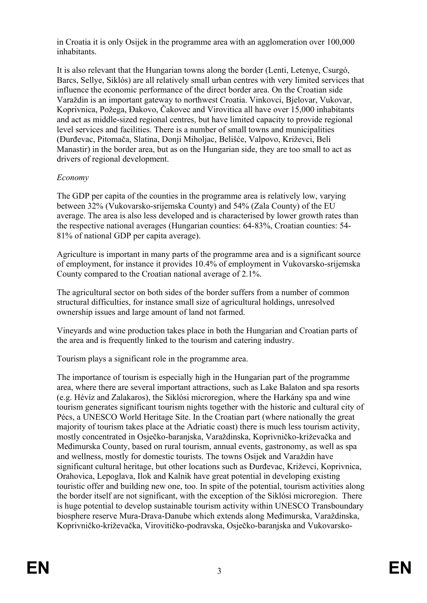in Croatia it is only Osijek in the programme area with an agglomeration over 100,000 inhabitants.

It is also relevant that the Hungarian towns along the border (Lenti, Letenye, Csurgó, Barcs, Sellye, Siklós) are all relatively small urban centres with very limited services that influence the economic performance of the direct border area. On the Croatian side Varaždin is an important gateway to northwest Croatia. Vinkovci, Bjelovar, Vukovar, Koprivnica, Požega, Đakovo, Čakovec and Virovitica all have over 15,000 inhabitants and act as middle-sized regional centres, but have limited capacity to provide regional level services and facilities. There is a number of small towns and municipalities (Đurđevac, Pitomača, Slatina, Donji Miholjac, Belišće, Valpovo, Križevci, Beli Manastir) in the border area, but as on the Hungarian side, they are too small to act as drivers of regional development.

## *Economy*

The GDP per capita of the counties in the programme area is relatively low, varying between 32% (Vukovarsko-srijemska County) and 54% (Zala County) of the EU average. The area is also less developed and is characterised by lower growth rates than the respective national averages (Hungarian counties: 64-83%, Croatian counties: 54- 81% of national GDP per capita average).

Agriculture is important in many parts of the programme area and is a significant source of employment, for instance it provides 10.4% of employment in Vukovarsko-srijemska County compared to the Croatian national average of 2.1%.

The agricultural sector on both sides of the border suffers from a number of common structural difficulties, for instance small size of agricultural holdings, unresolved ownership issues and large amount of land not farmed.

Vineyards and wine production takes place in both the Hungarian and Croatian parts of the area and is frequently linked to the tourism and catering industry.

Tourism plays a significant role in the programme area.

The importance of tourism is especially high in the Hungarian part of the programme area, where there are several important attractions, such as Lake Balaton and spa resorts (e.g. Hévíz and Zalakaros), the Siklósi microregion, where the Harkány spa and wine tourism generates significant tourism nights together with the historic and cultural city of Pécs, a UNESCO World Heritage Site. In the Croatian part (where nationally the great majority of tourism takes place at the Adriatic coast) there is much less tourism activity, mostly concentrated in Osječko-baranjska, Varaždinska, Koprivničko-križevačka and Međimurska County, based on rural tourism, annual events, gastronomy, as well as spa and wellness, mostly for domestic tourists. The towns Osijek and Varaždin have significant cultural heritage, but other locations such as Đurđevac, Križevci, Koprivnica, Orahovica, Lepoglava, Ilok and Kalnik have great potential in developing existing touristic offer and building new one, too. In spite of the potential, tourism activities along the border itself are not significant, with the exception of the Siklósi microregion. There is huge potential to develop sustainable tourism activity within UNESCO Transboundary biosphere reserve Mura-Drava-Danube which extends along Međimurska, Varaždinska, Koprivničko-križevačka, Virovitičko-podravska, Osječko-baranjska and Vukovarsko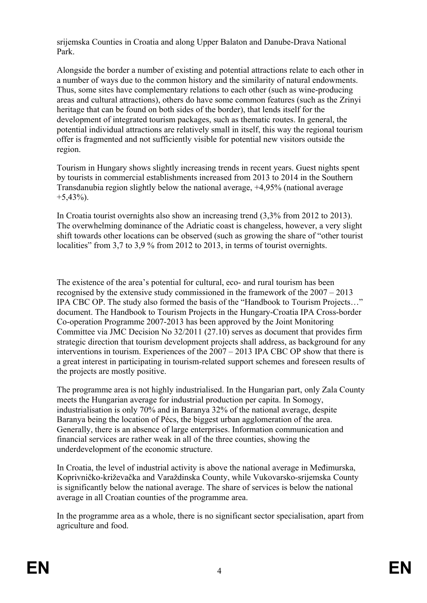srijemska Counties in Croatia and along Upper Balaton and Danube-Drava National Park.

Alongside the border a number of existing and potential attractions relate to each other in a number of ways due to the common history and the similarity of natural endowments. Thus, some sites have complementary relations to each other (such as wine-producing areas and cultural attractions), others do have some common features (such as the Zrinyi heritage that can be found on both sides of the border), that lends itself for the development of integrated tourism packages, such as thematic routes. In general, the potential individual attractions are relatively small in itself, this way the regional tourism offer is fragmented and not sufficiently visible for potential new visitors outside the region.

Tourism in Hungary shows slightly increasing trends in recent years. Guest nights spent by tourists in commercial establishments increased from 2013 to 2014 in the Southern Transdanubia region slightly below the national average, +4,95% (national average  $+5,43\%$ ).

In Croatia tourist overnights also show an increasing trend (3,3% from 2012 to 2013). The overwhelming dominance of the Adriatic coast is changeless, however, a very slight shift towards other locations can be observed (such as growing the share of "other tourist localities" from 3,7 to 3,9 % from 2012 to 2013, in terms of tourist overnights.

The existence of the area's potential for cultural, eco- and rural tourism has been recognised by the extensive study commissioned in the framework of the 2007 – 2013 IPA CBC OP. The study also formed the basis of the "Handbook to Tourism Projects…" document. The Handbook to Tourism Projects in the Hungary-Croatia IPA Cross-border Co-operation Programme 2007-2013 has been approved by the Joint Monitoring Committee via JMC Decision No 32/2011 (27.10) serves as document that provides firm strategic direction that tourism development projects shall address, as background for any interventions in tourism. Experiences of the 2007 – 2013 IPA CBC OP show that there is a great interest in participating in tourism-related support schemes and foreseen results of the projects are mostly positive.

The programme area is not highly industrialised. In the Hungarian part, only Zala County meets the Hungarian average for industrial production per capita. In Somogy, industrialisation is only 70% and in Baranya 32% of the national average, despite Baranya being the location of Pécs, the biggest urban agglomeration of the area. Generally, there is an absence of large enterprises. Information communication and financial services are rather weak in all of the three counties, showing the underdevelopment of the economic structure.

In Croatia, the level of industrial activity is above the national average in Međimurska, Koprivničko-križevačka and Varaždinska County, while Vukovarsko-srijemska County is significantly below the national average. The share of services is below the national average in all Croatian counties of the programme area.

In the programme area as a whole, there is no significant sector specialisation, apart from agriculture and food.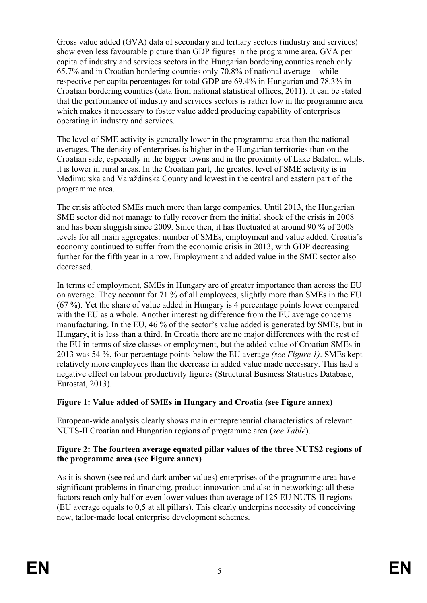Gross value added (GVA) data of secondary and tertiary sectors (industry and services) show even less favourable picture than GDP figures in the programme area. GVA per capita of industry and services sectors in the Hungarian bordering counties reach only 65.7% and in Croatian bordering counties only 70.8% of national average – while respective per capita percentages for total GDP are 69.4% in Hungarian and 78.3% in Croatian bordering counties (data from national statistical offices, 2011). It can be stated that the performance of industry and services sectors is rather low in the programme area which makes it necessary to foster value added producing capability of enterprises operating in industry and services.

The level of SME activity is generally lower in the programme area than the national averages. The density of enterprises is higher in the Hungarian territories than on the Croatian side, especially in the bigger towns and in the proximity of Lake Balaton, whilst it is lower in rural areas. In the Croatian part, the greatest level of SME activity is in Međimurska and Varaždinska County and lowest in the central and eastern part of the programme area.

The crisis affected SMEs much more than large companies. Until 2013, the Hungarian SME sector did not manage to fully recover from the initial shock of the crisis in 2008 and has been sluggish since 2009. Since then, it has fluctuated at around 90 % of 2008 levels for all main aggregates: number of SMEs, employment and value added. Croatia's economy continued to suffer from the economic crisis in 2013, with GDP decreasing further for the fifth year in a row. Employment and added value in the SME sector also decreased.

In terms of employment, SMEs in Hungary are of greater importance than across the EU on average. They account for 71 % of all employees, slightly more than SMEs in the EU (67 %). Yet the share of value added in Hungary is 4 percentage points lower compared with the EU as a whole. Another interesting difference from the EU average concerns manufacturing. In the EU, 46 % of the sector's value added is generated by SMEs, but in Hungary, it is less than a third. In Croatia there are no major differences with the rest of the EU in terms of size classes or employment, but the added value of Croatian SMEs in 2013 was 54 %, four percentage points below the EU average *(see Figure 1)*. SMEs kept relatively more employees than the decrease in added value made necessary. This had a negative effect on labour productivity figures (Structural Business Statistics Database, Eurostat, 2013).

## **Figure 1: Value added of SMEs in Hungary and Croatia (see Figure annex)**

European-wide analysis clearly shows main entrepreneurial characteristics of relevant NUTS-II Croatian and Hungarian regions of programme area (*see Table*).

### **Figure 2: The fourteen average equated pillar values of the three NUTS2 regions of the programme area (see Figure annex)**

As it is shown (see red and dark amber values) enterprises of the programme area have significant problems in financing, product innovation and also in networking: all these factors reach only half or even lower values than average of 125 EU NUTS-II regions (EU average equals to 0,5 at all pillars). This clearly underpins necessity of conceiving new, tailor-made local enterprise development schemes.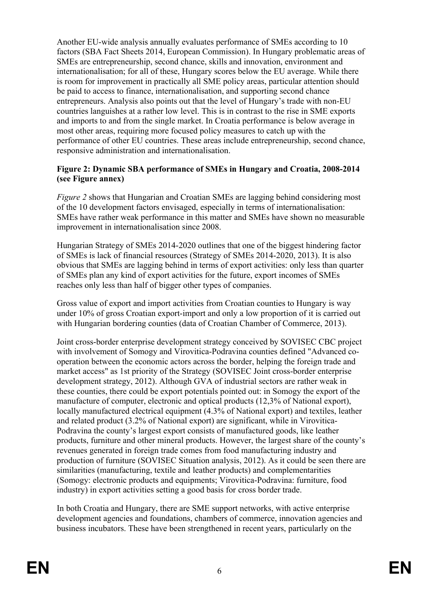Another EU-wide analysis annually evaluates performance of SMEs according to 10 factors (SBA Fact Sheets 2014, European Commission). In Hungary problematic areas of SMEs are entrepreneurship, second chance, skills and innovation, environment and internationalisation; for all of these, Hungary scores below the EU average. While there is room for improvement in practically all SME policy areas, particular attention should be paid to access to finance, internationalisation, and supporting second chance entrepreneurs. Analysis also points out that the level of Hungary's trade with non-EU countries languishes at a rather low level. This is in contrast to the rise in SME exports and imports to and from the single market. In Croatia performance is below average in most other areas, requiring more focused policy measures to catch up with the performance of other EU countries. These areas include entrepreneurship, second chance, responsive administration and internationalisation.

### **Figure 2: Dynamic SBA performance of SMEs in Hungary and Croatia, 2008-2014 (see Figure annex)**

*Figure 2* shows that Hungarian and Croatian SMEs are lagging behind considering most of the 10 development factors envisaged, especially in terms of internationalisation: SMEs have rather weak performance in this matter and SMEs have shown no measurable improvement in internationalisation since 2008.

Hungarian Strategy of SMEs 2014-2020 outlines that one of the biggest hindering factor of SMEs is lack of financial resources (Strategy of SMEs 2014-2020, 2013). It is also obvious that SMEs are lagging behind in terms of export activities: only less than quarter of SMEs plan any kind of export activities for the future, export incomes of SMEs reaches only less than half of bigger other types of companies.

Gross value of export and import activities from Croatian counties to Hungary is way under 10% of gross Croatian export-import and only a low proportion of it is carried out with Hungarian bordering counties (data of Croatian Chamber of Commerce, 2013).

Joint cross-border enterprise development strategy conceived by SOVISEC CBC project with involvement of Somogy and Virovitica-Podravina counties defined "Advanced cooperation between the economic actors across the border, helping the foreign trade and market access" as 1st priority of the Strategy (SOVISEC Joint cross-border enterprise development strategy, 2012). Although GVA of industrial sectors are rather weak in these counties, there could be export potentials pointed out: in Somogy the export of the manufacture of computer, electronic and optical products (12,3% of National export), locally manufactured electrical equipment (4.3% of National export) and textiles, leather and related product (3.2% of National export) are significant, while in Virovitica-Podravina the county's largest export consists of manufactured goods, like leather products, furniture and other mineral products. However, the largest share of the county's revenues generated in foreign trade comes from food manufacturing industry and production of furniture (SOVISEC Situation analysis, 2012). As it could be seen there are similarities (manufacturing, textile and leather products) and complementarities (Somogy: electronic products and equipments; Virovitica-Podravina: furniture, food industry) in export activities setting a good basis for cross border trade.

In both Croatia and Hungary, there are SME support networks, with active enterprise development agencies and foundations, chambers of commerce, innovation agencies and business incubators. These have been strengthened in recent years, particularly on the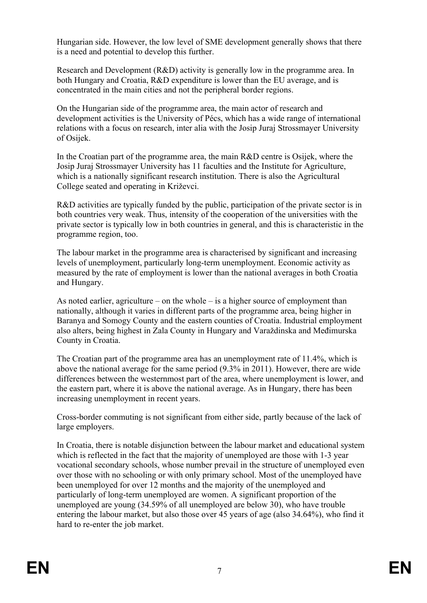Hungarian side. However, the low level of SME development generally shows that there is a need and potential to develop this further.

Research and Development (R&D) activity is generally low in the programme area. In both Hungary and Croatia, R&D expenditure is lower than the EU average, and is concentrated in the main cities and not the peripheral border regions.

On the Hungarian side of the programme area, the main actor of research and development activities is the University of Pécs, which has a wide range of international relations with a focus on research, inter alia with the Josip Juraj Strossmayer University of Osijek.

In the Croatian part of the programme area, the main R&D centre is Osijek, where the Josip Juraj Strossmayer University has 11 faculties and the Institute for Agriculture, which is a nationally significant research institution. There is also the Agricultural College seated and operating in Križevci.

R&D activities are typically funded by the public, participation of the private sector is in both countries very weak. Thus, intensity of the cooperation of the universities with the private sector is typically low in both countries in general, and this is characteristic in the programme region, too.

The labour market in the programme area is characterised by significant and increasing levels of unemployment, particularly long-term unemployment. Economic activity as measured by the rate of employment is lower than the national averages in both Croatia and Hungary.

As noted earlier, agriculture – on the whole – is a higher source of employment than nationally, although it varies in different parts of the programme area, being higher in Baranya and Somogy County and the eastern counties of Croatia. Industrial employment also alters, being highest in Zala County in Hungary and Varaždinska and Međimurska County in Croatia.

The Croatian part of the programme area has an unemployment rate of 11.4%, which is above the national average for the same period (9.3% in 2011). However, there are wide differences between the westernmost part of the area, where unemployment is lower, and the eastern part, where it is above the national average. As in Hungary, there has been increasing unemployment in recent years.

Cross-border commuting is not significant from either side, partly because of the lack of large employers.

In Croatia, there is notable disjunction between the labour market and educational system which is reflected in the fact that the majority of unemployed are those with 1-3 year vocational secondary schools, whose number prevail in the structure of unemployed even over those with no schooling or with only primary school. Most of the unemployed have been unemployed for over 12 months and the majority of the unemployed and particularly of long-term unemployed are women. A significant proportion of the unemployed are young (34.59% of all unemployed are below 30), who have trouble entering the labour market, but also those over 45 years of age (also 34.64%), who find it hard to re-enter the job market.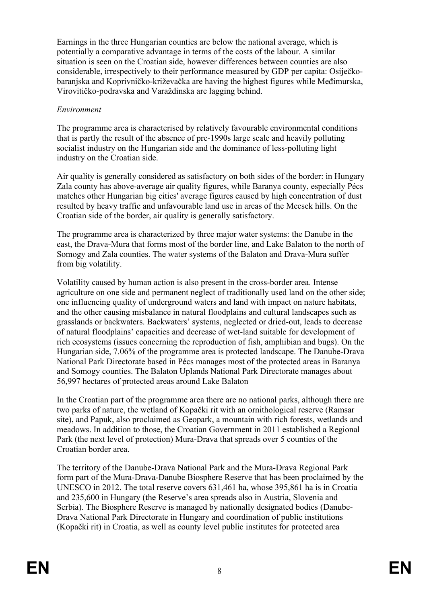Earnings in the three Hungarian counties are below the national average, which is potentially a comparative advantage in terms of the costs of the labour. A similar situation is seen on the Croatian side, however differences between counties are also considerable, irrespectively to their performance measured by GDP per capita: Osiječkobaranjska and Koprivničko-križevačka are having the highest figures while Međimurska, Virovitičko-podravska and Varaždinska are lagging behind.

## *Environment*

The programme area is characterised by relatively favourable environmental conditions that is partly the result of the absence of pre-1990s large scale and heavily polluting socialist industry on the Hungarian side and the dominance of less-polluting light industry on the Croatian side.

Air quality is generally considered as satisfactory on both sides of the border: in Hungary Zala county has above-average air quality figures, while Baranya county, especially Pécs matches other Hungarian big cities' average figures caused by high concentration of dust resulted by heavy traffic and unfavourable land use in areas of the Mecsek hills. On the Croatian side of the border, air quality is generally satisfactory.

The programme area is characterized by three major water systems: the Danube in the east, the Drava-Mura that forms most of the border line, and Lake Balaton to the north of Somogy and Zala counties. The water systems of the Balaton and Drava-Mura suffer from big volatility.

Volatility caused by human action is also present in the cross-border area. Intense agriculture on one side and permanent neglect of traditionally used land on the other side; one influencing quality of underground waters and land with impact on nature habitats, and the other causing misbalance in natural floodplains and cultural landscapes such as grasslands or backwaters. Backwaters' systems, neglected or dried-out, leads to decrease of natural floodplains' capacities and decrease of wet-land suitable for development of rich ecosystems (issues concerning the reproduction of fish, amphibian and bugs). On the Hungarian side, 7.06% of the programme area is protected landscape. The Danube-Drava National Park Directorate based in Pécs manages most of the protected areas in Baranya and Somogy counties. The Balaton Uplands National Park Directorate manages about 56,997 hectares of protected areas around Lake Balaton

In the Croatian part of the programme area there are no national parks, although there are two parks of nature, the wetland of Kopački rit with an ornithological reserve (Ramsar site), and Papuk, also proclaimed as Geopark, a mountain with rich forests, wetlands and meadows. In addition to those, the Croatian Government in 2011 established a Regional Park (the next level of protection) Mura-Drava that spreads over 5 counties of the Croatian border area.

The territory of the Danube-Drava National Park and the Mura-Drava Regional Park form part of the Mura-Drava-Danube Biosphere Reserve that has been proclaimed by the UNESCO in 2012. The total reserve covers 631,461 ha, whose 395,861 ha is in Croatia and 235,600 in Hungary (the Reserve's area spreads also in Austria, Slovenia and Serbia). The Biosphere Reserve is managed by nationally designated bodies (Danube-Drava National Park Directorate in Hungary and coordination of public institutions (Kopački rit) in Croatia, as well as county level public institutes for protected area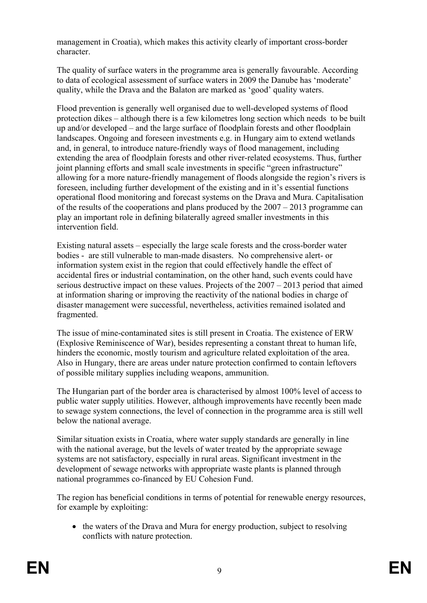management in Croatia), which makes this activity clearly of important cross-border character.

The quality of surface waters in the programme area is generally favourable. According to data of ecological assessment of surface waters in 2009 the Danube has 'moderate' quality, while the Drava and the Balaton are marked as 'good' quality waters.

Flood prevention is generally well organised due to well-developed systems of flood protection dikes – although there is a few kilometres long section which needs to be built up and/or developed – and the large surface of floodplain forests and other floodplain landscapes. Ongoing and foreseen investments e.g. in Hungary aim to extend wetlands and, in general, to introduce nature-friendly ways of flood management, including extending the area of floodplain forests and other river-related ecosystems. Thus, further joint planning efforts and small scale investments in specific "green infrastructure" allowing for a more nature-friendly management of floods alongside the region's rivers is foreseen, including further development of the existing and in it's essential functions operational flood monitoring and forecast systems on the Drava and Mura. Capitalisation of the results of the cooperations and plans produced by the 2007 – 2013 programme can play an important role in defining bilaterally agreed smaller investments in this intervention field.

Existing natural assets – especially the large scale forests and the cross-border water bodies - are still vulnerable to man-made disasters. No comprehensive alert- or information system exist in the region that could effectively handle the effect of accidental fires or industrial contamination, on the other hand, such events could have serious destructive impact on these values. Projects of the 2007 – 2013 period that aimed at information sharing or improving the reactivity of the national bodies in charge of disaster management were successful, nevertheless, activities remained isolated and fragmented.

The issue of mine-contaminated sites is still present in Croatia. The existence of ERW (Explosive Reminiscence of War), besides representing a constant threat to human life, hinders the economic, mostly tourism and agriculture related exploitation of the area. Also in Hungary, there are areas under nature protection confirmed to contain leftovers of possible military supplies including weapons, ammunition.

The Hungarian part of the border area is characterised by almost 100% level of access to public water supply utilities. However, although improvements have recently been made to sewage system connections, the level of connection in the programme area is still well below the national average.

Similar situation exists in Croatia, where water supply standards are generally in line with the national average, but the levels of water treated by the appropriate sewage systems are not satisfactory, especially in rural areas. Significant investment in the development of sewage networks with appropriate waste plants is planned through national programmes co-financed by EU Cohesion Fund.

The region has beneficial conditions in terms of potential for renewable energy resources, for example by exploiting:

• the waters of the Drava and Mura for energy production, subject to resolving conflicts with nature protection.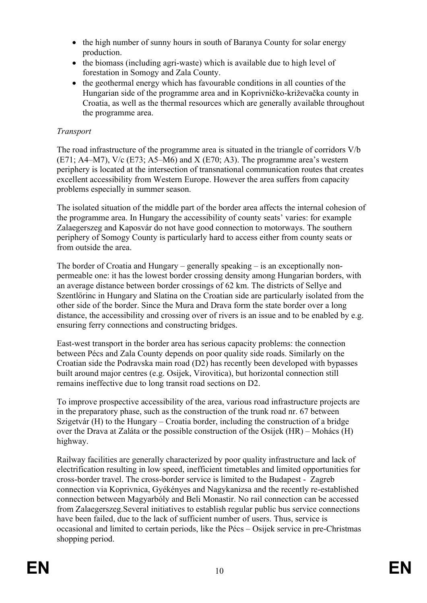- the high number of sunny hours in south of Baranya County for solar energy production.
- the biomass (including agri-waste) which is available due to high level of forestation in Somogy and Zala County.
- the geothermal energy which has favourable conditions in all counties of the Hungarian side of the programme area and in Koprivničko-križevačka county in Croatia, as well as the thermal resources which are generally available throughout the programme area.

## *Transport*

The road infrastructure of the programme area is situated in the triangle of corridors V/b (E71; A4–M7), V/c (E73; A5–M6) and X (E70; A3). The programme area's western periphery is located at the intersection of transnational communication routes that creates excellent accessibility from Western Europe. However the area suffers from capacity problems especially in summer season.

The isolated situation of the middle part of the border area affects the internal cohesion of the programme area. In Hungary the accessibility of county seats' varies: for example Zalaegerszeg and Kaposvár do not have good connection to motorways. The southern periphery of Somogy County is particularly hard to access either from county seats or from outside the area.

The border of Croatia and Hungary – generally speaking – is an exceptionally nonpermeable one: it has the lowest border crossing density among Hungarian borders, with an average distance between border crossings of 62 km. The districts of Sellye and Szentlőrinc in Hungary and Slatina on the Croatian side are particularly isolated from the other side of the border. Since the Mura and Drava form the state border over a long distance, the accessibility and crossing over of rivers is an issue and to be enabled by e.g. ensuring ferry connections and constructing bridges.

East-west transport in the border area has serious capacity problems: the connection between Pécs and Zala County depends on poor quality side roads. Similarly on the Croatian side the Podravska main road (D2) has recently been developed with bypasses built around major centres (e.g. Osijek, Virovitica), but horizontal connection still remains ineffective due to long transit road sections on D2.

To improve prospective accessibility of the area, various road infrastructure projects are in the preparatory phase, such as the construction of the trunk road nr. 67 between Szigetvár (H) to the Hungary – Croatia border, including the construction of a bridge over the Drava at Zaláta or the possible construction of the Osijek (HR) – Mohács (H) highway.

Railway facilities are generally characterized by poor quality infrastructure and lack of electrification resulting in low speed, inefficient timetables and limited opportunities for cross-border travel. The cross-border service is limited to the Budapest - Zagreb connection via Koprivnica, Gyékényes and Nagykanizsa and the recently re-established connection between Magyarbóly and Beli Monastir. No rail connection can be accessed from Zalaegerszeg.Several initiatives to establish regular public bus service connections have been failed, due to the lack of sufficient number of users. Thus, service is occasional and limited to certain periods, like the Pécs – Osijek service in pre-Christmas shopping period.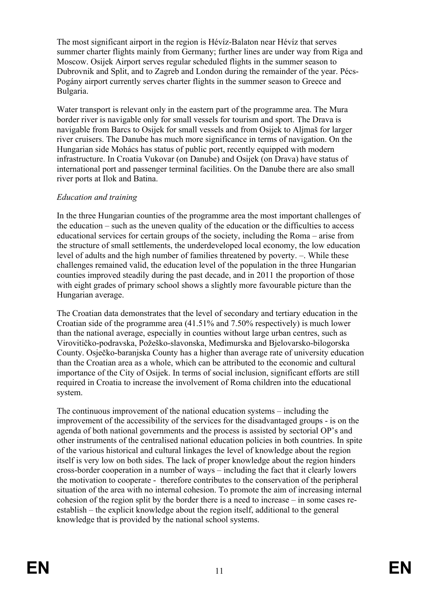The most significant airport in the region is Hévíz-Balaton near Hévíz that serves summer charter flights mainly from Germany; further lines are under way from Riga and Moscow. Osijek Airport serves regular scheduled flights in the summer season to Dubrovnik and Split, and to Zagreb and London during the remainder of the year. Pécs-Pogány airport currently serves charter flights in the summer season to Greece and Bulgaria.

Water transport is relevant only in the eastern part of the programme area. The Mura border river is navigable only for small vessels for tourism and sport. The Drava is navigable from Barcs to Osijek for small vessels and from Osijek to Aljmaš for larger river cruisers. The Danube has much more significance in terms of navigation. On the Hungarian side Mohács has status of public port, recently equipped with modern infrastructure. In Croatia Vukovar (on Danube) and Osijek (on Drava) have status of international port and passenger terminal facilities. On the Danube there are also small river ports at Ilok and Batina.

## *Education and training*

In the three Hungarian counties of the programme area the most important challenges of the education – such as the uneven quality of the education or the difficulties to access educational services for certain groups of the society, including the Roma – arise from the structure of small settlements, the underdeveloped local economy, the low education level of adults and the high number of families threatened by poverty. –. While these challenges remained valid, the education level of the population in the three Hungarian counties improved steadily during the past decade, and in 2011 the proportion of those with eight grades of primary school shows a slightly more favourable picture than the Hungarian average.

The Croatian data demonstrates that the level of secondary and tertiary education in the Croatian side of the programme area (41.51% and 7.50% respectively) is much lower than the national average, especially in counties without large urban centres, such as Virovitičko-podravska, Požeško-slavonska, Međimurska and Bjelovarsko-bilogorska County. Osječko-baranjska County has a higher than average rate of university education than the Croatian area as a whole, which can be attributed to the economic and cultural importance of the City of Osijek. In terms of social inclusion, significant efforts are still required in Croatia to increase the involvement of Roma children into the educational system.

The continuous improvement of the national education systems – including the improvement of the accessibility of the services for the disadvantaged groups - is on the agenda of both national governments and the process is assisted by sectorial OP's and other instruments of the centralised national education policies in both countries. In spite of the various historical and cultural linkages the level of knowledge about the region itself is very low on both sides. The lack of proper knowledge about the region hinders cross-border cooperation in a number of ways – including the fact that it clearly lowers the motivation to cooperate - therefore contributes to the conservation of the peripheral situation of the area with no internal cohesion. To promote the aim of increasing internal cohesion of the region split by the border there is a need to increase – in some cases reestablish – the explicit knowledge about the region itself, additional to the general knowledge that is provided by the national school systems.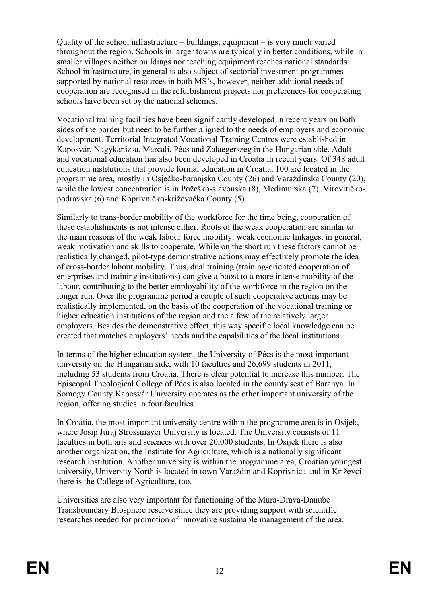Quality of the school infrastructure – buildings, equipment – is very much varied throughout the region. Schools in larger towns are typically in better conditions, while in smaller villages neither buildings nor teaching equipment reaches national standards. School infrastructure, in general is also subject of sectorial investment programmes supported by national resources in both MS's, however, neither additional needs of cooperation are recognised in the refurbishment projects nor preferences for cooperating schools have been set by the national schemes.

Vocational training facilities have been significantly developed in recent years on both sides of the border but need to be further aligned to the needs of employers and economic development. Territorial Integrated Vocational Training Centres were established in Kaposvár, Nagykanizsa, Marcali, Pécs and Zalaegerszeg in the Hungarian side. Adult and vocational education has also been developed in Croatia in recent years. Of 348 adult education institutions that provide formal education in Croatia, 100 are located in the programme area, mostly in Osječko-baranjska County (26) and Varaždinska County (20), while the lowest concentration is in Požeško-slavonska (8), Međimurska (7), Virovitičkopodravska (6) and Koprivničko-križevačka County (5).

Similarly to trans-border mobility of the workforce for the time being, cooperation of these establishments is not intense either. Roots of the weak cooperation are similar to the main reasons of the weak labour force mobility: weak economic linkages, in general, weak motivation and skills to cooperate. While on the short run these factors cannot be realistically changed, pilot-type demonstrative actions may effectively promote the idea of cross-border labour mobility. Thus, dual training (training-oriented cooperation of enterprises and training institutions) can give a boost to a more intense mobility of the labour, contributing to the better employability of the workforce in the region on the longer run. Over the programme period a couple of such cooperative actions may be realistically implemented, on the basis of the cooperation of the vocational training or higher education institutions of the region and the a few of the relatively larger employers. Besides the demonstrative effect, this way specific local knowledge can be created that matches employers' needs and the capabilities of the local institutions.

In terms of the higher education system, the University of Pécs is the most important university on the Hungarian side, with 10 faculties and 26,699 students in 2011, including 53 students from Croatia. There is clear potential to increase this number. The Episcopal Theological College of Pécs is also located in the county seat of Baranya. In Somogy County Kaposvár University operates as the other important university of the region, offering studies in four faculties.

In Croatia, the most important university centre within the programme area is in Osijek, where Josip Juraj Strossmayer University is located. The University consists of 11 faculties in both arts and sciences with over 20,000 students. In Osijek there is also another organization, the Institute for Agriculture, which is a nationally significant research institution. Another university is within the programme area, Croatian youngest university, University North is located in town Varaždin and Koprivnica and in Križevci there is the College of Agriculture, too.

Universities are also very important for functioning of the Mura-Drava-Danube Transboundary Biosphere reserve since they are providing support with scientific researches needed for promotion of innovative sustainable management of the area.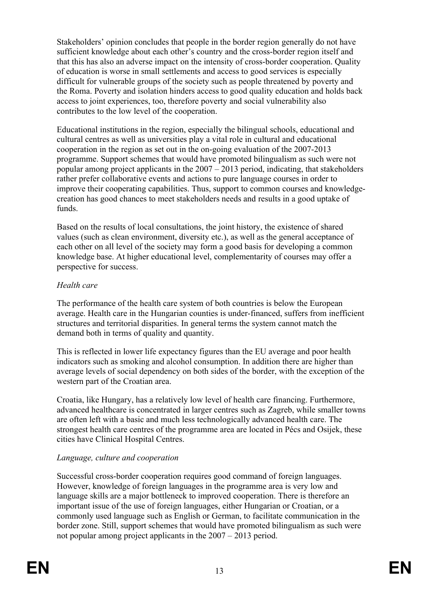Stakeholders' opinion concludes that people in the border region generally do not have sufficient knowledge about each other's country and the cross-border region itself and that this has also an adverse impact on the intensity of cross-border cooperation. Quality of education is worse in small settlements and access to good services is especially difficult for vulnerable groups of the society such as people threatened by poverty and the Roma. Poverty and isolation hinders access to good quality education and holds back access to joint experiences, too, therefore poverty and social vulnerability also contributes to the low level of the cooperation.

Educational institutions in the region, especially the bilingual schools, educational and cultural centres as well as universities play a vital role in cultural and educational cooperation in the region as set out in the on-going evaluation of the 2007-2013 programme. Support schemes that would have promoted bilingualism as such were not popular among project applicants in the 2007 – 2013 period, indicating, that stakeholders rather prefer collaborative events and actions to pure language courses in order to improve their cooperating capabilities. Thus, support to common courses and knowledgecreation has good chances to meet stakeholders needs and results in a good uptake of funds.

Based on the results of local consultations, the joint history, the existence of shared values (such as clean environment, diversity etc.), as well as the general acceptance of each other on all level of the society may form a good basis for developing a common knowledge base. At higher educational level, complementarity of courses may offer a perspective for success.

## *Health care*

The performance of the health care system of both countries is below the European average. Health care in the Hungarian counties is under-financed, suffers from inefficient structures and territorial disparities. In general terms the system cannot match the demand both in terms of quality and quantity.

This is reflected in lower life expectancy figures than the EU average and poor health indicators such as smoking and alcohol consumption. In addition there are higher than average levels of social dependency on both sides of the border, with the exception of the western part of the Croatian area.

Croatia, like Hungary, has a relatively low level of health care financing. Furthermore, advanced healthcare is concentrated in larger centres such as Zagreb, while smaller towns are often left with a basic and much less technologically advanced health care. The strongest health care centres of the programme area are located in Pécs and Osijek, these cities have Clinical Hospital Centres.

## *Language, culture and cooperation*

Successful cross-border cooperation requires good command of foreign languages. However, knowledge of foreign languages in the programme area is very low and language skills are a major bottleneck to improved cooperation. There is therefore an important issue of the use of foreign languages, either Hungarian or Croatian, or a commonly used language such as English or German, to facilitate communication in the border zone. Still, support schemes that would have promoted bilingualism as such were not popular among project applicants in the 2007 – 2013 period.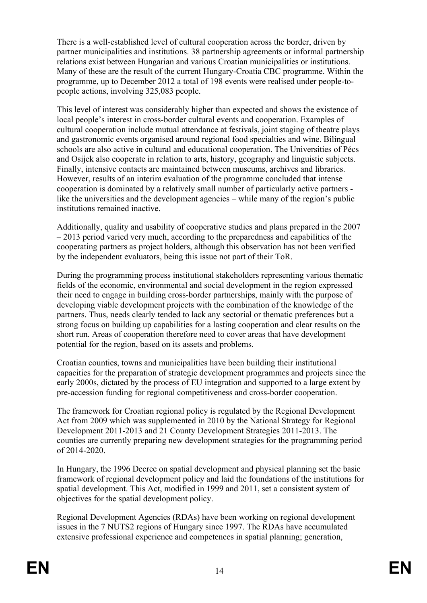There is a well-established level of cultural cooperation across the border, driven by partner municipalities and institutions. 38 partnership agreements or informal partnership relations exist between Hungarian and various Croatian municipalities or institutions. Many of these are the result of the current Hungary-Croatia CBC programme. Within the programme, up to December 2012 a total of 198 events were realised under people-topeople actions, involving 325,083 people.

This level of interest was considerably higher than expected and shows the existence of local people's interest in cross-border cultural events and cooperation. Examples of cultural cooperation include mutual attendance at festivals, joint staging of theatre plays and gastronomic events organised around regional food specialties and wine. Bilingual schools are also active in cultural and educational cooperation. The Universities of Pécs and Osijek also cooperate in relation to arts, history, geography and linguistic subjects. Finally, intensive contacts are maintained between museums, archives and libraries. However, results of an interim evaluation of the programme concluded that intense cooperation is dominated by a relatively small number of particularly active partners like the universities and the development agencies – while many of the region's public institutions remained inactive.

Additionally, quality and usability of cooperative studies and plans prepared in the 2007 – 2013 period varied very much, according to the preparedness and capabilities of the cooperating partners as project holders, although this observation has not been verified by the independent evaluators, being this issue not part of their ToR.

During the programming process institutional stakeholders representing various thematic fields of the economic, environmental and social development in the region expressed their need to engage in building cross-border partnerships, mainly with the purpose of developing viable development projects with the combination of the knowledge of the partners. Thus, needs clearly tended to lack any sectorial or thematic preferences but a strong focus on building up capabilities for a lasting cooperation and clear results on the short run. Areas of cooperation therefore need to cover areas that have development potential for the region, based on its assets and problems.

Croatian counties, towns and municipalities have been building their institutional capacities for the preparation of strategic development programmes and projects since the early 2000s, dictated by the process of EU integration and supported to a large extent by pre-accession funding for regional competitiveness and cross-border cooperation.

The framework for Croatian regional policy is regulated by the Regional Development Act from 2009 which was supplemented in 2010 by the National Strategy for Regional Development 2011-2013 and 21 County Development Strategies 2011-2013. The counties are currently preparing new development strategies for the programming period of 2014-2020.

In Hungary, the 1996 Decree on spatial development and physical planning set the basic framework of regional development policy and laid the foundations of the institutions for spatial development. This Act, modified in 1999 and 2011, set a consistent system of objectives for the spatial development policy.

Regional Development Agencies (RDAs) have been working on regional development issues in the 7 NUTS2 regions of Hungary since 1997. The RDAs have accumulated extensive professional experience and competences in spatial planning; generation,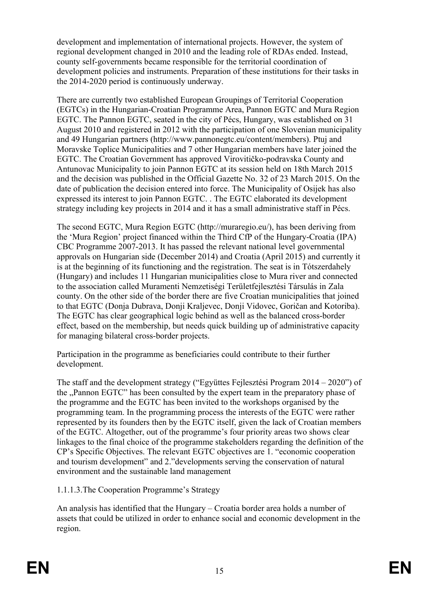development and implementation of international projects. However, the system of regional development changed in 2010 and the leading role of RDAs ended. Instead, county self-governments became responsible for the territorial coordination of development policies and instruments. Preparation of these institutions for their tasks in the 2014-2020 period is continuously underway.

There are currently two established European Groupings of Territorial Cooperation (EGTCs) in the Hungarian-Croatian Programme Area, Pannon EGTC and Mura Region EGTC. The Pannon EGTC, seated in the city of Pécs, Hungary, was established on 31 August 2010 and registered in 2012 with the participation of one Slovenian municipality and 49 Hungarian partners (http://www.pannonegtc.eu/content/members). Ptuj and Moravske Toplice Municipalities and 7 other Hungarian members have later joined the EGTC. The Croatian Government has approved Virovitičko-podravska County and Antunovac Municipality to join Pannon EGTC at its session held on 18th March 2015 and the decision was published in the Official Gazette No. 32 of 23 March 2015. On the date of publication the decision entered into force. The Municipality of Osijek has also expressed its interest to join Pannon EGTC. . The EGTC elaborated its development strategy including key projects in 2014 and it has a small administrative staff in Pécs.

The second EGTC, Mura Region EGTC (http://muraregio.eu/), has been deriving from the 'Mura Region' project financed within the Third CfP of the Hungary-Croatia (IPA) CBC Programme 2007-2013. It has passed the relevant national level governmental approvals on Hungarian side (December 2014) and Croatia (April 2015) and currently it is at the beginning of its functioning and the registration. The seat is in Tótszerdahely (Hungary) and includes 11 Hungarian municipalities close to Mura river and connected to the association called Muramenti Nemzetiségi Területfejlesztési Társulás in Zala county. On the other side of the border there are five Croatian municipalities that joined to that EGTC (Donja Dubrava, Donji Kraljevec, Donji Vidovec, Goričan and Kotoriba). The EGTC has clear geographical logic behind as well as the balanced cross-border effect, based on the membership, but needs quick building up of administrative capacity for managing bilateral cross-border projects.

Participation in the programme as beneficiaries could contribute to their further development.

The staff and the development strategy ("Együttes Fejlesztési Program 2014 – 2020") of the "Pannon EGTC" has been consulted by the expert team in the preparatory phase of the programme and the EGTC has been invited to the workshops organised by the programming team. In the programming process the interests of the EGTC were rather represented by its founders then by the EGTC itself, given the lack of Croatian members of the EGTC. Altogether, out of the programme's four priority areas two shows clear linkages to the final choice of the programme stakeholders regarding the definition of the CP's Specific Objectives. The relevant EGTC objectives are 1. "economic cooperation and tourism development" and 2."developments serving the conservation of natural environment and the sustainable land management

1.1.1.3.The Cooperation Programme's Strategy

An analysis has identified that the Hungary – Croatia border area holds a number of assets that could be utilized in order to enhance social and economic development in the region.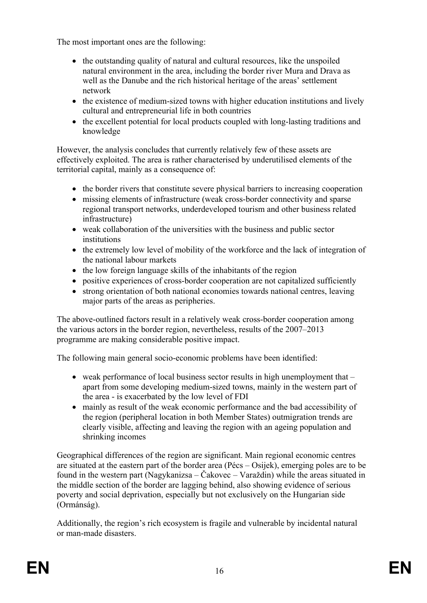The most important ones are the following:

- the outstanding quality of natural and cultural resources, like the unspoiled natural environment in the area, including the border river Mura and Drava as well as the Danube and the rich historical heritage of the areas' settlement network
- the existence of medium-sized towns with higher education institutions and lively cultural and entrepreneurial life in both countries
- the excellent potential for local products coupled with long-lasting traditions and knowledge

However, the analysis concludes that currently relatively few of these assets are effectively exploited. The area is rather characterised by underutilised elements of the territorial capital, mainly as a consequence of:

- the border rivers that constitute severe physical barriers to increasing cooperation
- missing elements of infrastructure (weak cross-border connectivity and sparse regional transport networks, underdeveloped tourism and other business related infrastructure)
- weak collaboration of the universities with the business and public sector institutions
- the extremely low level of mobility of the workforce and the lack of integration of the national labour markets
- $\bullet$  the low foreign language skills of the inhabitants of the region
- positive experiences of cross-border cooperation are not capitalized sufficiently
- strong orientation of both national economies towards national centres, leaving major parts of the areas as peripheries.

The above-outlined factors result in a relatively weak cross-border cooperation among the various actors in the border region, nevertheless, results of the 2007–2013 programme are making considerable positive impact.

The following main general socio-economic problems have been identified:

- weak performance of local business sector results in high unemployment that apart from some developing medium-sized towns, mainly in the western part of the area - is exacerbated by the low level of FDI
- mainly as result of the weak economic performance and the bad accessibility of the region (peripheral location in both Member States) outmigration trends are clearly visible, affecting and leaving the region with an ageing population and shrinking incomes

Geographical differences of the region are significant. Main regional economic centres are situated at the eastern part of the border area (Pécs – Osijek), emerging poles are to be found in the western part (Nagykanizsa – Čakovec – Varaždin) while the areas situated in the middle section of the border are lagging behind, also showing evidence of serious poverty and social deprivation, especially but not exclusively on the Hungarian side (Ormánság).

Additionally, the region's rich ecosystem is fragile and vulnerable by incidental natural or man-made disasters.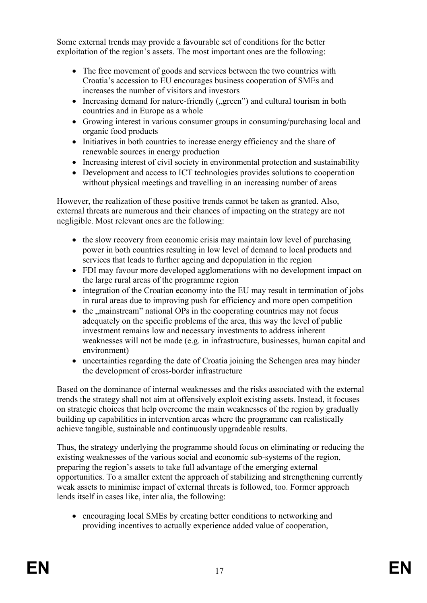Some external trends may provide a favourable set of conditions for the better exploitation of the region's assets. The most important ones are the following:

- The free movement of goods and services between the two countries with Croatia's accession to EU encourages business cooperation of SMEs and increases the number of visitors and investors
- $\bullet$  Increasing demand for nature-friendly ( $\alpha$ green") and cultural tourism in both countries and in Europe as a whole
- Growing interest in various consumer groups in consuming/purchasing local and organic food products
- Initiatives in both countries to increase energy efficiency and the share of renewable sources in energy production
- Increasing interest of civil society in environmental protection and sustainability
- Development and access to ICT technologies provides solutions to cooperation without physical meetings and travelling in an increasing number of areas

However, the realization of these positive trends cannot be taken as granted. Also, external threats are numerous and their chances of impacting on the strategy are not negligible. Most relevant ones are the following:

- the slow recovery from economic crisis may maintain low level of purchasing power in both countries resulting in low level of demand to local products and services that leads to further ageing and depopulation in the region
- FDI may favour more developed agglomerations with no development impact on the large rural areas of the programme region
- integration of the Croatian economy into the EU may result in termination of jobs in rural areas due to improving push for efficiency and more open competition
- $\bullet$  the  $\cdot$  mainstream" national OPs in the cooperating countries may not focus adequately on the specific problems of the area, this way the level of public investment remains low and necessary investments to address inherent weaknesses will not be made (e.g. in infrastructure, businesses, human capital and environment)
- uncertainties regarding the date of Croatia joining the Schengen area may hinder the development of cross-border infrastructure

Based on the dominance of internal weaknesses and the risks associated with the external trends the strategy shall not aim at offensively exploit existing assets. Instead, it focuses on strategic choices that help overcome the main weaknesses of the region by gradually building up capabilities in intervention areas where the programme can realistically achieve tangible, sustainable and continuously upgradeable results.

Thus, the strategy underlying the programme should focus on eliminating or reducing the existing weaknesses of the various social and economic sub-systems of the region, preparing the region's assets to take full advantage of the emerging external opportunities. To a smaller extent the approach of stabilizing and strengthening currently weak assets to minimise impact of external threats is followed, too. Former approach lends itself in cases like, inter alia, the following:

 encouraging local SMEs by creating better conditions to networking and providing incentives to actually experience added value of cooperation,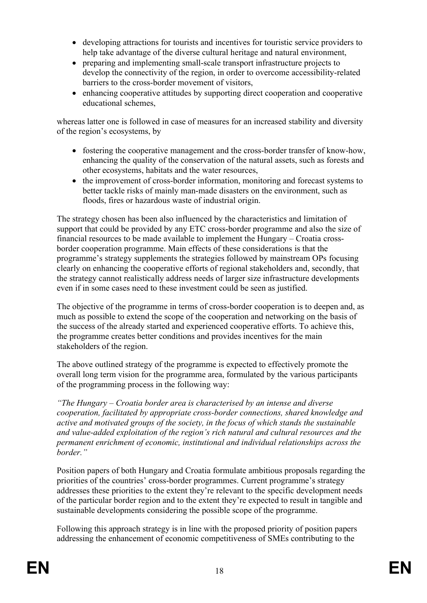- developing attractions for tourists and incentives for touristic service providers to help take advantage of the diverse cultural heritage and natural environment,
- preparing and implementing small-scale transport infrastructure projects to develop the connectivity of the region, in order to overcome accessibility-related barriers to the cross-border movement of visitors,
- enhancing cooperative attitudes by supporting direct cooperation and cooperative educational schemes,

whereas latter one is followed in case of measures for an increased stability and diversity of the region's ecosystems, by

- fostering the cooperative management and the cross-border transfer of know-how, enhancing the quality of the conservation of the natural assets, such as forests and other ecosystems, habitats and the water resources,
- the improvement of cross-border information, monitoring and forecast systems to better tackle risks of mainly man-made disasters on the environment, such as floods, fires or hazardous waste of industrial origin.

The strategy chosen has been also influenced by the characteristics and limitation of support that could be provided by any ETC cross-border programme and also the size of financial resources to be made available to implement the Hungary – Croatia crossborder cooperation programme. Main effects of these considerations is that the programme's strategy supplements the strategies followed by mainstream OPs focusing clearly on enhancing the cooperative efforts of regional stakeholders and, secondly, that the strategy cannot realistically address needs of larger size infrastructure developments even if in some cases need to these investment could be seen as justified.

The objective of the programme in terms of cross-border cooperation is to deepen and, as much as possible to extend the scope of the cooperation and networking on the basis of the success of the already started and experienced cooperative efforts. To achieve this, the programme creates better conditions and provides incentives for the main stakeholders of the region.

The above outlined strategy of the programme is expected to effectively promote the overall long term vision for the programme area, formulated by the various participants of the programming process in the following way:

*"The Hungary – Croatia border area is characterised by an intense and diverse cooperation, facilitated by appropriate cross-border connections, shared knowledge and active and motivated groups of the society, in the focus of which stands the sustainable and value-added exploitation of the region's rich natural and cultural resources and the permanent enrichment of economic, institutional and individual relationships across the border."*

Position papers of both Hungary and Croatia formulate ambitious proposals regarding the priorities of the countries' cross-border programmes. Current programme's strategy addresses these priorities to the extent they're relevant to the specific development needs of the particular border region and to the extent they're expected to result in tangible and sustainable developments considering the possible scope of the programme.

Following this approach strategy is in line with the proposed priority of position papers addressing the enhancement of economic competitiveness of SMEs contributing to the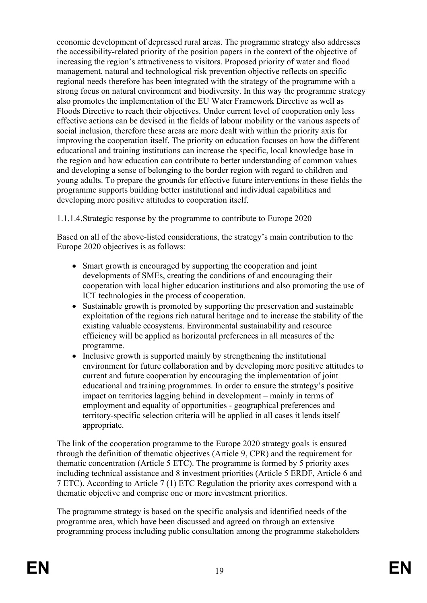economic development of depressed rural areas. The programme strategy also addresses the accessibility-related priority of the position papers in the context of the objective of increasing the region's attractiveness to visitors. Proposed priority of water and flood management, natural and technological risk prevention objective reflects on specific regional needs therefore has been integrated with the strategy of the programme with a strong focus on natural environment and biodiversity. In this way the programme strategy also promotes the implementation of the EU Water Framework Directive as well as Floods Directive to reach their objectives. Under current level of cooperation only less effective actions can be devised in the fields of labour mobility or the various aspects of social inclusion, therefore these areas are more dealt with within the priority axis for improving the cooperation itself. The priority on education focuses on how the different educational and training institutions can increase the specific, local knowledge base in the region and how education can contribute to better understanding of common values and developing a sense of belonging to the border region with regard to children and young adults. To prepare the grounds for effective future interventions in these fields the programme supports building better institutional and individual capabilities and developing more positive attitudes to cooperation itself.

1.1.1.4.Strategic response by the programme to contribute to Europe 2020

Based on all of the above-listed considerations, the strategy's main contribution to the Europe 2020 objectives is as follows:

- Smart growth is encouraged by supporting the cooperation and joint developments of SMEs, creating the conditions of and encouraging their cooperation with local higher education institutions and also promoting the use of ICT technologies in the process of cooperation.
- Sustainable growth is promoted by supporting the preservation and sustainable exploitation of the regions rich natural heritage and to increase the stability of the existing valuable ecosystems. Environmental sustainability and resource efficiency will be applied as horizontal preferences in all measures of the programme.
- Inclusive growth is supported mainly by strengthening the institutional environment for future collaboration and by developing more positive attitudes to current and future cooperation by encouraging the implementation of joint educational and training programmes. In order to ensure the strategy's positive impact on territories lagging behind in development – mainly in terms of employment and equality of opportunities - geographical preferences and territory-specific selection criteria will be applied in all cases it lends itself appropriate.

The link of the cooperation programme to the Europe 2020 strategy goals is ensured through the definition of thematic objectives (Article 9, CPR) and the requirement for thematic concentration (Article 5 ETC). The programme is formed by 5 priority axes including technical assistance and 8 investment priorities (Article 5 ERDF, Article 6 and 7 ETC). According to Article 7 (1) ETC Regulation the priority axes correspond with a thematic objective and comprise one or more investment priorities.

The programme strategy is based on the specific analysis and identified needs of the programme area, which have been discussed and agreed on through an extensive programming process including public consultation among the programme stakeholders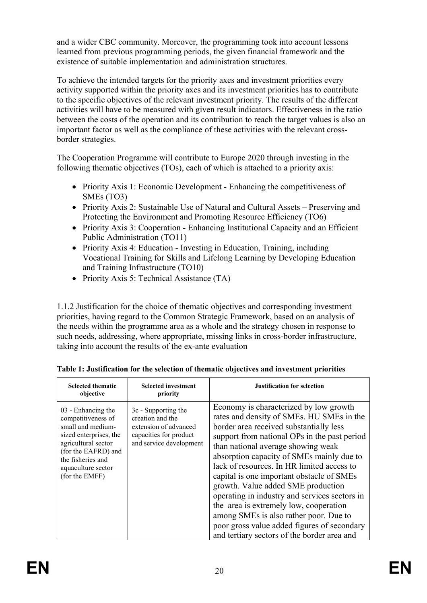and a wider CBC community. Moreover, the programming took into account lessons learned from previous programming periods, the given financial framework and the existence of suitable implementation and administration structures.

To achieve the intended targets for the priority axes and investment priorities every activity supported within the priority axes and its investment priorities has to contribute to the specific objectives of the relevant investment priority. The results of the different activities will have to be measured with given result indicators. Effectiveness in the ratio between the costs of the operation and its contribution to reach the target values is also an important factor as well as the compliance of these activities with the relevant crossborder strategies.

The Cooperation Programme will contribute to Europe 2020 through investing in the following thematic objectives (TOs), each of which is attached to a priority axis:

- Priority Axis 1: Economic Development Enhancing the competitiveness of SMEs (TO3)
- Priority Axis 2: Sustainable Use of Natural and Cultural Assets Preserving and Protecting the Environment and Promoting Resource Efficiency (TO6)
- Priority Axis 3: Cooperation Enhancing Institutional Capacity and an Efficient Public Administration (TO11)
- Priority Axis 4: Education Investing in Education, Training, including Vocational Training for Skills and Lifelong Learning by Developing Education and Training Infrastructure (TO10)
- Priority Axis 5: Technical Assistance (TA)

1.1.2 Justification for the choice of thematic objectives and corresponding investment priorities, having regard to the Common Strategic Framework, based on an analysis of the needs within the programme area as a whole and the strategy chosen in response to such needs, addressing, where appropriate, missing links in cross-border infrastructure, taking into account the results of the ex-ante evaluation

| <b>Selected thematic</b><br>objective                                                                                                                                                              | <b>Selected investment</b><br>priority                                                                                | <b>Justification for selection</b>                                                                                                                                                                                                                                                                                                                                                                                                                                                                                                                                                                                                    |
|----------------------------------------------------------------------------------------------------------------------------------------------------------------------------------------------------|-----------------------------------------------------------------------------------------------------------------------|---------------------------------------------------------------------------------------------------------------------------------------------------------------------------------------------------------------------------------------------------------------------------------------------------------------------------------------------------------------------------------------------------------------------------------------------------------------------------------------------------------------------------------------------------------------------------------------------------------------------------------------|
| 03 - Enhancing the<br>competitiveness of<br>small and medium-<br>sized enterprises, the<br>agricultural sector<br>(for the EAFRD) and<br>the fisheries and<br>aquaculture sector<br>(for the EMFF) | 3c - Supporting the<br>creation and the<br>extension of advanced<br>capacities for product<br>and service development | Economy is characterized by low growth<br>rates and density of SMEs. HU SMEs in the<br>border area received substantially less<br>support from national OPs in the past period<br>than national average showing weak<br>absorption capacity of SMEs mainly due to<br>lack of resources. In HR limited access to<br>capital is one important obstacle of SMEs<br>growth. Value added SME production<br>operating in industry and services sectors in<br>the area is extremely low, cooperation<br>among SMEs is also rather poor. Due to<br>poor gross value added figures of secondary<br>and tertiary sectors of the border area and |

**Table 1: Justification for the selection of thematic objectives and investment priorities**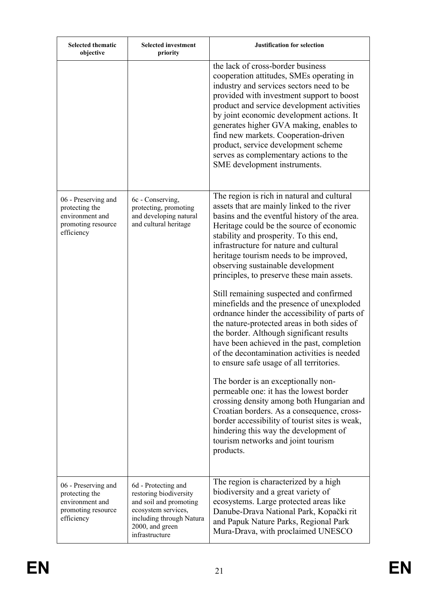| <b>Selected thematic</b><br>objective                                                        | <b>Selected investment</b><br>priority                                                                                                                          | <b>Justification for selection</b>                                                                                                                                                                                                                                                                                                                                                                                                                                    |
|----------------------------------------------------------------------------------------------|-----------------------------------------------------------------------------------------------------------------------------------------------------------------|-----------------------------------------------------------------------------------------------------------------------------------------------------------------------------------------------------------------------------------------------------------------------------------------------------------------------------------------------------------------------------------------------------------------------------------------------------------------------|
|                                                                                              |                                                                                                                                                                 | the lack of cross-border business<br>cooperation attitudes, SMEs operating in<br>industry and services sectors need to be<br>provided with investment support to boost<br>product and service development activities<br>by joint economic development actions. It<br>generates higher GVA making, enables to<br>find new markets. Cooperation-driven<br>product, service development scheme<br>serves as complementary actions to the<br>SME development instruments. |
| 06 - Preserving and<br>protecting the<br>environment and<br>promoting resource<br>efficiency | 6c - Conserving,<br>protecting, promoting<br>and developing natural<br>and cultural heritage                                                                    | The region is rich in natural and cultural<br>assets that are mainly linked to the river<br>basins and the eventful history of the area.<br>Heritage could be the source of economic<br>stability and prosperity. To this end,<br>infrastructure for nature and cultural<br>heritage tourism needs to be improved,<br>observing sustainable development<br>principles, to preserve these main assets.                                                                 |
|                                                                                              |                                                                                                                                                                 | Still remaining suspected and confirmed<br>minefields and the presence of unexploded<br>ordnance hinder the accessibility of parts of<br>the nature-protected areas in both sides of<br>the border. Although significant results<br>have been achieved in the past, completion<br>of the decontamination activities is needed<br>to ensure safe usage of all territories.                                                                                             |
|                                                                                              |                                                                                                                                                                 | The border is an exceptionally non-<br>permeable one: it has the lowest border<br>crossing density among both Hungarian and<br>Croatian borders. As a consequence, cross-<br>border accessibility of tourist sites is weak,<br>hindering this way the development of<br>tourism networks and joint tourism<br>products.                                                                                                                                               |
| 06 - Preserving and<br>protecting the<br>environment and<br>promoting resource<br>efficiency | 6d - Protecting and<br>restoring biodiversity<br>and soil and promoting<br>ecosystem services,<br>including through Natura<br>2000, and green<br>infrastructure | The region is characterized by a high<br>biodiversity and a great variety of<br>ecosystems. Large protected areas like<br>Danube-Drava National Park, Kopački rit<br>and Papuk Nature Parks, Regional Park<br>Mura-Drava, with proclaimed UNESCO                                                                                                                                                                                                                      |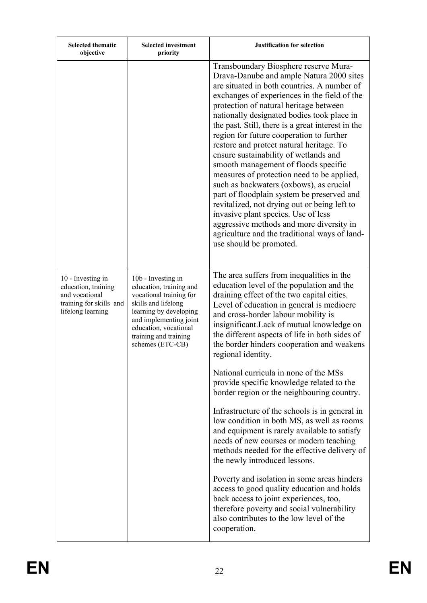| <b>Selected thematic</b><br>objective                                                                      | <b>Selected investment</b><br>priority                                                                                                                                                                                    | <b>Justification for selection</b>                                                                                                                                                                                                                                                                                                                                                                                                                                                                                                                                                                                                                                                                                                                                                                                                                           |
|------------------------------------------------------------------------------------------------------------|---------------------------------------------------------------------------------------------------------------------------------------------------------------------------------------------------------------------------|--------------------------------------------------------------------------------------------------------------------------------------------------------------------------------------------------------------------------------------------------------------------------------------------------------------------------------------------------------------------------------------------------------------------------------------------------------------------------------------------------------------------------------------------------------------------------------------------------------------------------------------------------------------------------------------------------------------------------------------------------------------------------------------------------------------------------------------------------------------|
|                                                                                                            |                                                                                                                                                                                                                           | Transboundary Biosphere reserve Mura-<br>Drava-Danube and ample Natura 2000 sites<br>are situated in both countries. A number of<br>exchanges of experiences in the field of the<br>protection of natural heritage between<br>nationally designated bodies took place in<br>the past. Still, there is a great interest in the<br>region for future cooperation to further<br>restore and protect natural heritage. To<br>ensure sustainability of wetlands and<br>smooth management of floods specific<br>measures of protection need to be applied,<br>such as backwaters (oxbows), as crucial<br>part of floodplain system be preserved and<br>revitalized, not drying out or being left to<br>invasive plant species. Use of less<br>aggressive methods and more diversity in<br>agriculture and the traditional ways of land-<br>use should be promoted. |
| 10 - Investing in<br>education, training<br>and vocational<br>training for skills and<br>lifelong learning | 10b - Investing in<br>education, training and<br>vocational training for<br>skills and lifelong<br>learning by developing<br>and implementing joint<br>education, vocational<br>training and training<br>schemes (ETC-CB) | The area suffers from inequalities in the<br>education level of the population and the<br>draining effect of the two capital cities.<br>Level of education in general is mediocre<br>and cross-border labour mobility is<br>insignificant. Lack of mutual knowledge on<br>the different aspects of life in both sides of<br>the border hinders cooperation and weakens<br>regional identity.                                                                                                                                                                                                                                                                                                                                                                                                                                                                 |
|                                                                                                            |                                                                                                                                                                                                                           | National curricula in none of the MSs<br>provide specific knowledge related to the<br>border region or the neighbouring country.                                                                                                                                                                                                                                                                                                                                                                                                                                                                                                                                                                                                                                                                                                                             |
|                                                                                                            |                                                                                                                                                                                                                           | Infrastructure of the schools is in general in<br>low condition in both MS, as well as rooms<br>and equipment is rarely available to satisfy<br>needs of new courses or modern teaching<br>methods needed for the effective delivery of<br>the newly introduced lessons.                                                                                                                                                                                                                                                                                                                                                                                                                                                                                                                                                                                     |
|                                                                                                            |                                                                                                                                                                                                                           | Poverty and isolation in some areas hinders<br>access to good quality education and holds<br>back access to joint experiences, too,<br>therefore poverty and social vulnerability<br>also contributes to the low level of the<br>cooperation.                                                                                                                                                                                                                                                                                                                                                                                                                                                                                                                                                                                                                |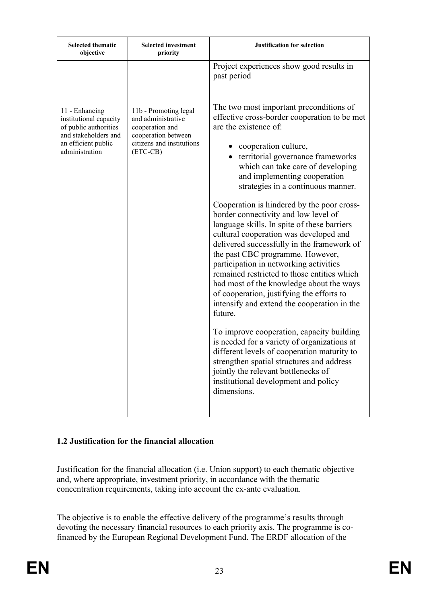| <b>Selected thematic</b><br>objective                                                                                              | <b>Selected investment</b><br>priority                                                                                         | <b>Justification for selection</b>                                                                                                                                                                                                                                                                                                                                                                                                                                                                                                                                                                                                                                                                                                                                                                                                                                                                                                                                                                                                                                                          |
|------------------------------------------------------------------------------------------------------------------------------------|--------------------------------------------------------------------------------------------------------------------------------|---------------------------------------------------------------------------------------------------------------------------------------------------------------------------------------------------------------------------------------------------------------------------------------------------------------------------------------------------------------------------------------------------------------------------------------------------------------------------------------------------------------------------------------------------------------------------------------------------------------------------------------------------------------------------------------------------------------------------------------------------------------------------------------------------------------------------------------------------------------------------------------------------------------------------------------------------------------------------------------------------------------------------------------------------------------------------------------------|
|                                                                                                                                    |                                                                                                                                | Project experiences show good results in<br>past period                                                                                                                                                                                                                                                                                                                                                                                                                                                                                                                                                                                                                                                                                                                                                                                                                                                                                                                                                                                                                                     |
| 11 - Enhancing<br>institutional capacity<br>of public authorities<br>and stakeholders and<br>an efficient public<br>administration | 11b - Promoting legal<br>and administrative<br>cooperation and<br>cooperation between<br>citizens and institutions<br>(ETC-CB) | The two most important preconditions of<br>effective cross-border cooperation to be met<br>are the existence of:<br>cooperation culture,<br>territorial governance frameworks<br>which can take care of developing<br>and implementing cooperation<br>strategies in a continuous manner.<br>Cooperation is hindered by the poor cross-<br>border connectivity and low level of<br>language skills. In spite of these barriers<br>cultural cooperation was developed and<br>delivered successfully in the framework of<br>the past CBC programme. However,<br>participation in networking activities<br>remained restricted to those entities which<br>had most of the knowledge about the ways<br>of cooperation, justifying the efforts to<br>intensify and extend the cooperation in the<br>future.<br>To improve cooperation, capacity building<br>is needed for a variety of organizations at<br>different levels of cooperation maturity to<br>strengthen spatial structures and address<br>jointly the relevant bottlenecks of<br>institutional development and policy<br>dimensions. |

## **1.2 Justification for the financial allocation**

Justification for the financial allocation (i.e. Union support) to each thematic objective and, where appropriate, investment priority, in accordance with the thematic concentration requirements, taking into account the ex-ante evaluation.

The objective is to enable the effective delivery of the programme's results through devoting the necessary financial resources to each priority axis. The programme is cofinanced by the European Regional Development Fund. The ERDF allocation of the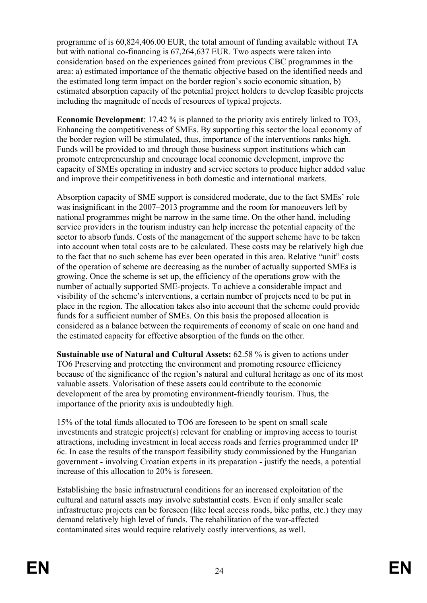programme of is 60,824,406.00 EUR, the total amount of funding available without TA but with national co-financing is 67,264,637 EUR. Two aspects were taken into consideration based on the experiences gained from previous CBC programmes in the area: a) estimated importance of the thematic objective based on the identified needs and the estimated long term impact on the border region's socio economic situation, b) estimated absorption capacity of the potential project holders to develop feasible projects including the magnitude of needs of resources of typical projects.

**Economic Development**: 17.42 % is planned to the priority axis entirely linked to TO3, Enhancing the competitiveness of SMEs. By supporting this sector the local economy of the border region will be stimulated, thus, importance of the interventions ranks high. Funds will be provided to and through those business support institutions which can promote entrepreneurship and encourage local economic development, improve the capacity of SMEs operating in industry and service sectors to produce higher added value and improve their competitiveness in both domestic and international markets.

Absorption capacity of SME support is considered moderate, due to the fact SMEs' role was insignificant in the 2007–2013 programme and the room for manoeuvers left by national programmes might be narrow in the same time. On the other hand, including service providers in the tourism industry can help increase the potential capacity of the sector to absorb funds. Costs of the management of the support scheme have to be taken into account when total costs are to be calculated. These costs may be relatively high due to the fact that no such scheme has ever been operated in this area. Relative "unit" costs of the operation of scheme are decreasing as the number of actually supported SMEs is growing. Once the scheme is set up, the efficiency of the operations grow with the number of actually supported SME-projects. To achieve a considerable impact and visibility of the scheme's interventions, a certain number of projects need to be put in place in the region. The allocation takes also into account that the scheme could provide funds for a sufficient number of SMEs. On this basis the proposed allocation is considered as a balance between the requirements of economy of scale on one hand and the estimated capacity for effective absorption of the funds on the other.

**Sustainable use of Natural and Cultural Assets:** 62.58 % is given to actions under TO6 Preserving and protecting the environment and promoting resource efficiency because of the significance of the region's natural and cultural heritage as one of its most valuable assets. Valorisation of these assets could contribute to the economic development of the area by promoting environment-friendly tourism. Thus, the importance of the priority axis is undoubtedly high.

15% of the total funds allocated to TO6 are foreseen to be spent on small scale investments and strategic project(s) relevant for enabling or improving access to tourist attractions, including investment in local access roads and ferries programmed under IP 6c. In case the results of the transport feasibility study commissioned by the Hungarian government - involving Croatian experts in its preparation - justify the needs, a potential increase of this allocation to 20% is foreseen.

Establishing the basic infrastructural conditions for an increased exploitation of the cultural and natural assets may involve substantial costs. Even if only smaller scale infrastructure projects can be foreseen (like local access roads, bike paths, etc.) they may demand relatively high level of funds. The rehabilitation of the war-affected contaminated sites would require relatively costly interventions, as well.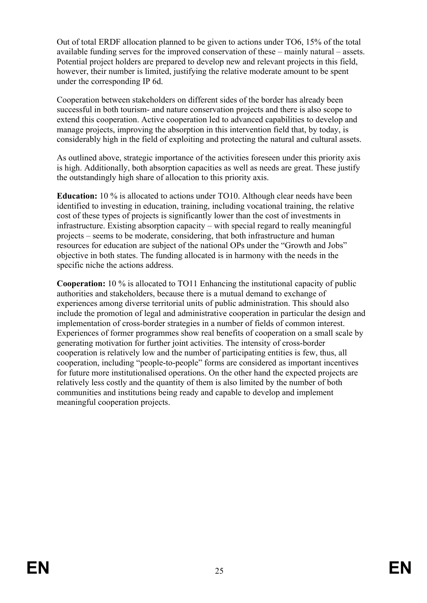Out of total ERDF allocation planned to be given to actions under TO6, 15% of the total available funding serves for the improved conservation of these – mainly natural – assets. Potential project holders are prepared to develop new and relevant projects in this field, however, their number is limited, justifying the relative moderate amount to be spent under the corresponding IP 6d.

Cooperation between stakeholders on different sides of the border has already been successful in both tourism- and nature conservation projects and there is also scope to extend this cooperation. Active cooperation led to advanced capabilities to develop and manage projects, improving the absorption in this intervention field that, by today, is considerably high in the field of exploiting and protecting the natural and cultural assets.

As outlined above, strategic importance of the activities foreseen under this priority axis is high. Additionally, both absorption capacities as well as needs are great. These justify the outstandingly high share of allocation to this priority axis.

**Education:** 10 % is allocated to actions under TO10. Although clear needs have been identified to investing in education, training, including vocational training, the relative cost of these types of projects is significantly lower than the cost of investments in infrastructure. Existing absorption capacity – with special regard to really meaningful projects – seems to be moderate, considering, that both infrastructure and human resources for education are subject of the national OPs under the "Growth and Jobs" objective in both states. The funding allocated is in harmony with the needs in the specific niche the actions address.

**Cooperation:** 10 % is allocated to TO11 Enhancing the institutional capacity of public authorities and stakeholders, because there is a mutual demand to exchange of experiences among diverse territorial units of public administration. This should also include the promotion of legal and administrative cooperation in particular the design and implementation of cross-border strategies in a number of fields of common interest. Experiences of former programmes show real benefits of cooperation on a small scale by generating motivation for further joint activities. The intensity of cross-border cooperation is relatively low and the number of participating entities is few, thus, all cooperation, including "people-to-people" forms are considered as important incentives for future more institutionalised operations. On the other hand the expected projects are relatively less costly and the quantity of them is also limited by the number of both communities and institutions being ready and capable to develop and implement meaningful cooperation projects.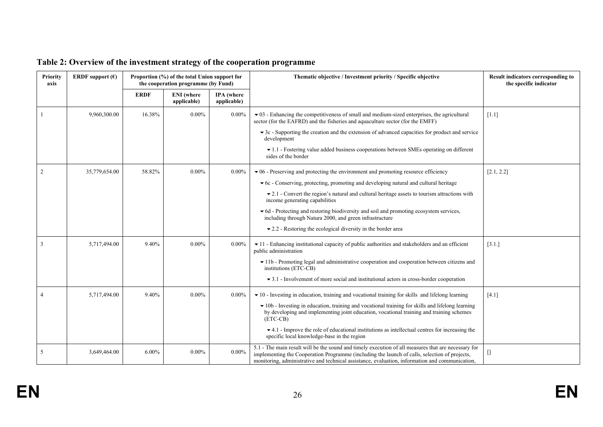| <b>Priority</b><br>axis | ERDF support $(\epsilon)$ | Proportion (%) of the total Union support for<br>the cooperation programme (by Fund) |                                  |                                  | Thematic objective / Investment priority / Specific objective                                                                                                                                                                                                                                           | <b>Result indicators corresponding to</b><br>the specific indicator |
|-------------------------|---------------------------|--------------------------------------------------------------------------------------|----------------------------------|----------------------------------|---------------------------------------------------------------------------------------------------------------------------------------------------------------------------------------------------------------------------------------------------------------------------------------------------------|---------------------------------------------------------------------|
|                         |                           | <b>ERDF</b>                                                                          | <b>ENI</b> (where<br>applicable) | <b>IPA</b> (where<br>applicable) |                                                                                                                                                                                                                                                                                                         |                                                                     |
|                         | 9,960,300.00              | 16.38%                                                                               | $0.00\%$                         | $0.00\%$                         | $\bullet$ 03 - Enhancing the competitiveness of small and medium-sized enterprises, the agricultural<br>sector (for the EAFRD) and the fisheries and aquaculture sector (for the EMFF)                                                                                                                  | [1.1]                                                               |
|                         |                           |                                                                                      |                                  |                                  | $\blacktriangleright$ 3c - Supporting the creation and the extension of advanced capacities for product and service<br>development                                                                                                                                                                      |                                                                     |
|                         |                           |                                                                                      |                                  |                                  | $\blacktriangleright$ 1.1 - Fostering value added business cooperations between SMEs operating on different<br>sides of the border                                                                                                                                                                      |                                                                     |
| 2                       | 35,779,654.00             | 58.82%                                                                               | $0.00\%$                         | $0.00\%$                         | $\bullet$ 06 - Preserving and protecting the environment and promoting resource efficiency                                                                                                                                                                                                              | [2.1, 2.2]                                                          |
|                         |                           |                                                                                      |                                  |                                  | $\bullet$ 6c - Conserving, protecting, promoting and developing natural and cultural heritage                                                                                                                                                                                                           |                                                                     |
|                         |                           |                                                                                      |                                  |                                  | $\blacktriangleright$ 2.1 - Convert the region's natural and cultural heritage assets to tourism attractions with<br>income generating capabilities                                                                                                                                                     |                                                                     |
|                         |                           |                                                                                      |                                  |                                  | • 6d - Protecting and restoring biodiversity and soil and promoting ecosystem services,<br>including through Natura 2000, and green infrastructure                                                                                                                                                      |                                                                     |
|                         |                           |                                                                                      |                                  |                                  | $\bullet$ 2.2 - Restoring the ecological diversity in the border area                                                                                                                                                                                                                                   |                                                                     |
|                         | 5,717,494.00              | 9.40%                                                                                | $0.00\%$                         | $0.00\%$                         | $\blacktriangleright$ 11 - Enhancing institutional capacity of public authorities and stakeholders and an efficient<br>public administration                                                                                                                                                            | [3.1.]                                                              |
|                         |                           |                                                                                      |                                  |                                  | • 11b - Promoting legal and administrative cooperation and cooperation between citizens and<br>institutions (ETC-CB)                                                                                                                                                                                    |                                                                     |
|                         |                           |                                                                                      |                                  |                                  | $\blacktriangleright$ 3.1 - Involvement of more social and institutional actors in cross-border cooperation                                                                                                                                                                                             |                                                                     |
|                         | 5,717,494.00              | 9.40%                                                                                | $0.00\%$                         | $0.00\%$                         | $\bullet$ 10 - Investing in education, training and vocational training for skills and lifelong learning                                                                                                                                                                                                | [4.1]                                                               |
|                         |                           |                                                                                      |                                  |                                  | • 10b - Investing in education, training and vocational training for skills and lifelong learning<br>by developing and implementing joint education, vocational training and training schemes<br>(ETC-CB)                                                                                               |                                                                     |
|                         |                           |                                                                                      |                                  |                                  | $\bullet$ 4.1 - Improve the role of educational institutions as intellectual centres for increasing the<br>specific local knowledge-base in the region                                                                                                                                                  |                                                                     |
| 5                       | 3,649,464.00              | $6.00\%$                                                                             | $0.00\%$                         | $0.00\%$                         | 5.1 - The main result will be the sound and timely execution of all measures that are necessary for<br>implementing the Cooperation Programme (including the launch of calls, selection of projects,<br>monitoring, administrative and technical assistance, evaluation, information and communication, | U                                                                   |

# **Table 2: Overview of the investment strategy of the cooperation programme**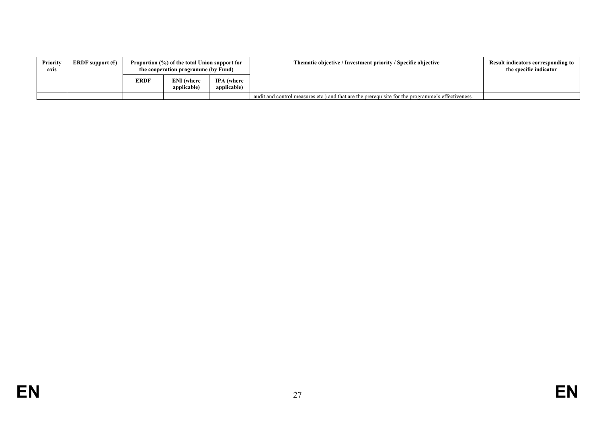| Priority<br>axis | <b>ERDF</b> support $(\epsilon)$ | Proportion (%) of the total Union support for<br>the cooperation programme (by Fund) |                                  |                                  | Thematic objective / Investment priority / Specific objective                                     | <b>Result indicators corresponding to</b><br>the specific indicator |
|------------------|----------------------------------|--------------------------------------------------------------------------------------|----------------------------------|----------------------------------|---------------------------------------------------------------------------------------------------|---------------------------------------------------------------------|
|                  |                                  | <b>ERDF</b>                                                                          | <b>ENI</b> (where<br>applicable) | <b>IPA</b> (where<br>applicable) |                                                                                                   |                                                                     |
|                  |                                  |                                                                                      |                                  |                                  | audit and control measures etc.) and that are the prerequisite for the programme's effectiveness. |                                                                     |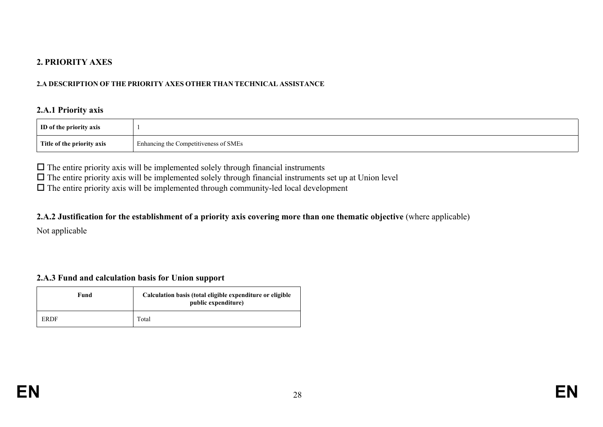### **2. PRIORITY AXES**

#### **2.A DESCRIPTION OF THE PRIORITY AXES OTHER THAN TECHNICAL ASSISTANCE**

#### **2.A.1 Priority axis**

| ID of the priority axis    |                                       |
|----------------------------|---------------------------------------|
| Title of the priority axis | Enhancing the Competitiveness of SMEs |

 $\Box$  The entire priority axis will be implemented solely through financial instruments

 $\Box$  The entire priority axis will be implemented solely through financial instruments set up at Union level

 $\Box$  The entire priority axis will be implemented through community-led local development

#### 2.A.2 Justification for the establishment of a priority axis covering more than one thematic objective (where applicable)

Not applicable

### **2.A.3 Fund and calculation basis for Union support**

| Fund | Calculation basis (total eligible expenditure or eligible<br>public expenditure) |
|------|----------------------------------------------------------------------------------|
| ERDF | Total                                                                            |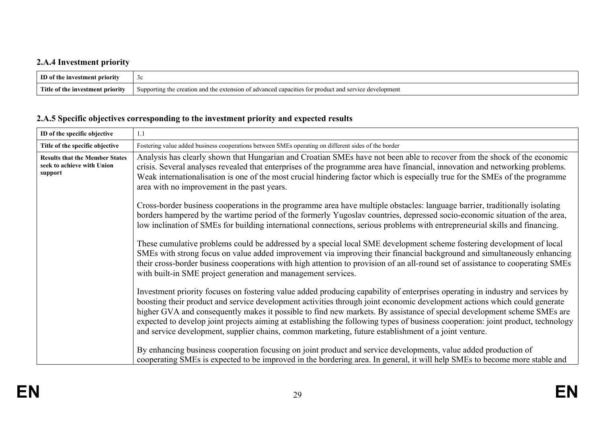# **2.A.4 Investment priority**

| TD of                              | $\sim$                                                                                                                          |
|------------------------------------|---------------------------------------------------------------------------------------------------------------------------------|
| vestment priority                  | JU.                                                                                                                             |
| 1nv                                |                                                                                                                                 |
| Title<br>ot **<br>estment priority | development<br>duanced cans<br>Supporting the<br>es for product .<br>$\cdot$ creation and the $\epsilon$ .<br>extension<br>ot a |

# **2.A.5 Specific objectives corresponding to the investment priority and expected results**

| ID of the specific objective                                                   | 1.1                                                                                                                                                                                                                                                                                                                                                                                                                                                                                                                                                                                                                                |
|--------------------------------------------------------------------------------|------------------------------------------------------------------------------------------------------------------------------------------------------------------------------------------------------------------------------------------------------------------------------------------------------------------------------------------------------------------------------------------------------------------------------------------------------------------------------------------------------------------------------------------------------------------------------------------------------------------------------------|
| Title of the specific objective                                                | Fostering value added business cooperations between SMEs operating on different sides of the border                                                                                                                                                                                                                                                                                                                                                                                                                                                                                                                                |
| <b>Results that the Member States</b><br>seek to achieve with Union<br>support | Analysis has clearly shown that Hungarian and Croatian SMEs have not been able to recover from the shock of the economic<br>crisis. Several analyses revealed that enterprises of the programme area have financial, innovation and networking problems.<br>Weak internationalisation is one of the most crucial hindering factor which is especially true for the SMEs of the programme<br>area with no improvement in the past years.                                                                                                                                                                                            |
|                                                                                | Cross-border business cooperations in the programme area have multiple obstacles: language barrier, traditionally isolating<br>borders hampered by the wartime period of the formerly Yugoslav countries, depressed socio-economic situation of the area,<br>low inclination of SMEs for building international connections, serious problems with entrepreneurial skills and financing.                                                                                                                                                                                                                                           |
|                                                                                | These cumulative problems could be addressed by a special local SME development scheme fostering development of local<br>SMEs with strong focus on value added improvement via improving their financial background and simultaneously enhancing<br>their cross-border business cooperations with high attention to provision of an all-round set of assistance to cooperating SMEs<br>with built-in SME project generation and management services.                                                                                                                                                                               |
|                                                                                | Investment priority focuses on fostering value added producing capability of enterprises operating in industry and services by<br>boosting their product and service development activities through joint economic development actions which could generate<br>higher GVA and consequently makes it possible to find new markets. By assistance of special development scheme SMEs are<br>expected to develop joint projects aiming at establishing the following types of business cooperation: joint product, technology<br>and service development, supplier chains, common marketing, future establishment of a joint venture. |
|                                                                                | By enhancing business cooperation focusing on joint product and service developments, value added production of<br>cooperating SMEs is expected to be improved in the bordering area. In general, it will help SMEs to become more stable and                                                                                                                                                                                                                                                                                                                                                                                      |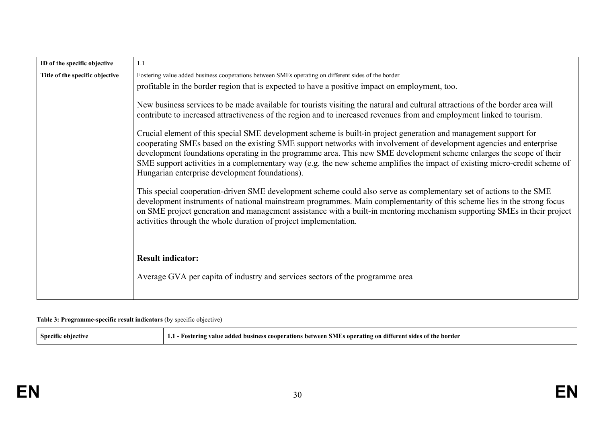| ID of the specific objective    | 1.1                                                                                                                                                                                                                                                                                                                                                                                                                                                                                                                                             |
|---------------------------------|-------------------------------------------------------------------------------------------------------------------------------------------------------------------------------------------------------------------------------------------------------------------------------------------------------------------------------------------------------------------------------------------------------------------------------------------------------------------------------------------------------------------------------------------------|
| Title of the specific objective | Fostering value added business cooperations between SMEs operating on different sides of the border                                                                                                                                                                                                                                                                                                                                                                                                                                             |
|                                 | profitable in the border region that is expected to have a positive impact on employment, too.                                                                                                                                                                                                                                                                                                                                                                                                                                                  |
|                                 | New business services to be made available for tourists visiting the natural and cultural attractions of the border area will<br>contribute to increased attractiveness of the region and to increased revenues from and employment linked to tourism.                                                                                                                                                                                                                                                                                          |
|                                 | Crucial element of this special SME development scheme is built-in project generation and management support for<br>cooperating SMEs based on the existing SME support networks with involvement of development agencies and enterprise<br>development foundations operating in the programme area. This new SME development scheme enlarges the scope of their<br>SME support activities in a complementary way (e.g. the new scheme amplifies the impact of existing micro-credit scheme of<br>Hungarian enterprise development foundations). |
|                                 | This special cooperation-driven SME development scheme could also serve as complementary set of actions to the SME<br>development instruments of national mainstream programmes. Main complementarity of this scheme lies in the strong focus<br>on SME project generation and management assistance with a built-in mentoring mechanism supporting SMEs in their project<br>activities through the whole duration of project implementation.                                                                                                   |
|                                 | <b>Result indicator:</b><br>Average GVA per capita of industry and services sectors of the programme area                                                                                                                                                                                                                                                                                                                                                                                                                                       |

#### **Table 3: Programme-specific result indicators** (by specific objective)

| Specific objective<br>1.1<br>· Fostering value | s onerating on different sides.<br><b>SME</b><br>of the border<br>: added<br>$^{\circ}$ cooperations between $\ddot{\circ}$<br>l business |
|------------------------------------------------|-------------------------------------------------------------------------------------------------------------------------------------------|
|------------------------------------------------|-------------------------------------------------------------------------------------------------------------------------------------------|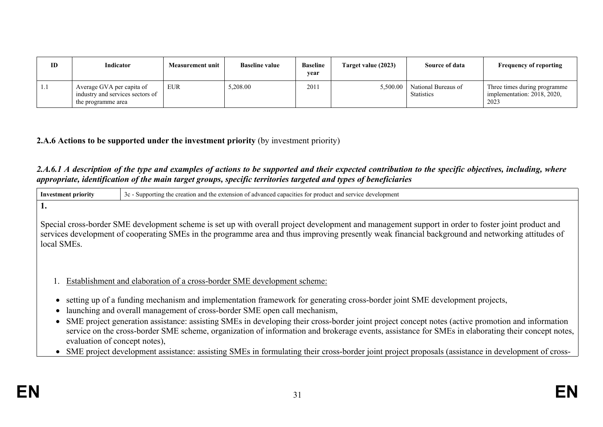| ID   | <b>Indicator</b>                                                                    | <b>Measurement unit</b> | <b>Baseline value</b> | <b>Baseline</b><br>year | Target value (2023) | Source of data                           | <b>Frequency of reporting</b>                                       |
|------|-------------------------------------------------------------------------------------|-------------------------|-----------------------|-------------------------|---------------------|------------------------------------------|---------------------------------------------------------------------|
| -1.1 | Average GVA per capita of<br>industry and services sectors of<br>the programme area | <b>EUR</b>              | 5,208.00              | 2011                    | 5,500.00            | National Bureaus of<br><b>Statistics</b> | Three times during programme<br>implementation: 2018, 2020,<br>2023 |

## **2.A.6 Actions to be supported under the investment priority** (by investment priority)

## 2.A.6.1 A description of the type and examples of actions to be supported and their expected contribution to the specific objectives, including, where *appropriate, identification of the main target groups, specific territories targeted and types of beneficiaries*

| <b>Investment priority</b>                                                                                                                                                                                                                                                                                                                | 3c - Supporting the creation and the extension of advanced capacities for product and service development                                                                                                                                                                                                                                                                                                                                                                                                                                                                                                                                                                                                                                        |  |  |
|-------------------------------------------------------------------------------------------------------------------------------------------------------------------------------------------------------------------------------------------------------------------------------------------------------------------------------------------|--------------------------------------------------------------------------------------------------------------------------------------------------------------------------------------------------------------------------------------------------------------------------------------------------------------------------------------------------------------------------------------------------------------------------------------------------------------------------------------------------------------------------------------------------------------------------------------------------------------------------------------------------------------------------------------------------------------------------------------------------|--|--|
| ı.<br>Special cross-border SME development scheme is set up with overall project development and management support in order to foster joint product and<br>services development of cooperating SMEs in the programme area and thus improving presently weak financial background and networking attitudes of<br>local SME <sub>s</sub> . |                                                                                                                                                                                                                                                                                                                                                                                                                                                                                                                                                                                                                                                                                                                                                  |  |  |
| $\bullet$<br>evaluation of concept notes),                                                                                                                                                                                                                                                                                                | Establishment and elaboration of a cross-border SME development scheme:<br>setting up of a funding mechanism and implementation framework for generating cross-border joint SME development projects,<br>launching and overall management of cross-border SME open call mechanism,<br>SME project generation assistance: assisting SMEs in developing their cross-border joint project concept notes (active promotion and information<br>service on the cross-border SME scheme, organization of information and brokerage events, assistance for SMEs in elaborating their concept notes,<br>SME project development assistance: assisting SMEs in formulating their cross-border joint project proposals (assistance in development of cross- |  |  |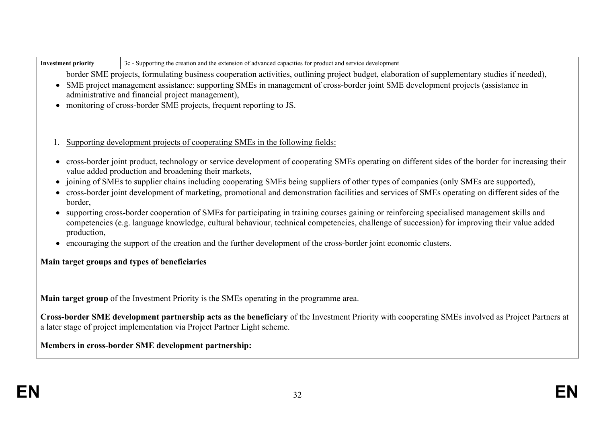| <b>Investment priority</b> | 3c - Supporting the creation and the extension of advanced capacities for product and service development                                                                                                                                                                                                                                                                                                 |
|----------------------------|-----------------------------------------------------------------------------------------------------------------------------------------------------------------------------------------------------------------------------------------------------------------------------------------------------------------------------------------------------------------------------------------------------------|
|                            | border SME projects, formulating business cooperation activities, outlining project budget, elaboration of supplementary studies if needed),<br>SME project management assistance: supporting SMEs in management of cross-border joint SME development projects (assistance in<br>administrative and financial project management),<br>monitoring of cross-border SME projects, frequent reporting to JS. |
|                            | Supporting development projects of cooperating SMEs in the following fields:                                                                                                                                                                                                                                                                                                                              |
|                            | cross-border joint product, technology or service development of cooperating SMEs operating on different sides of the border for increasing their<br>value added production and broadening their markets,                                                                                                                                                                                                 |
| border,                    | joining of SMEs to supplier chains including cooperating SMEs being suppliers of other types of companies (only SMEs are supported),<br>cross-border joint development of marketing, promotional and demonstration facilities and services of SMEs operating on different sides of the                                                                                                                    |
| production,                | supporting cross-border cooperation of SMEs for participating in training courses gaining or reinforcing specialised management skills and<br>competencies (e.g. language knowledge, cultural behaviour, technical competencies, challenge of succession) for improving their value added                                                                                                                 |
|                            | encouraging the support of the creation and the further development of the cross-border joint economic clusters.                                                                                                                                                                                                                                                                                          |
|                            | Main target groups and types of beneficiaries                                                                                                                                                                                                                                                                                                                                                             |
|                            | <b>Main target group</b> of the Investment Priority is the SMEs operating in the programme area.                                                                                                                                                                                                                                                                                                          |
|                            | Cross-border SME development partnership acts as the beneficiary of the Investment Priority with cooperating SMEs involved as Project Partners at<br>a later stage of project implementation via Project Partner Light scheme.                                                                                                                                                                            |
|                            | Members in cross-border SME development partnership:                                                                                                                                                                                                                                                                                                                                                      |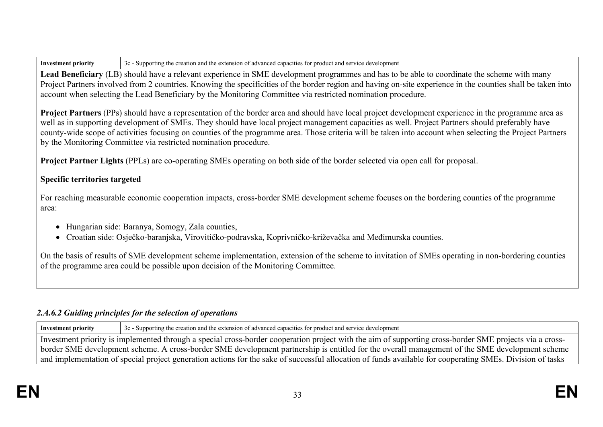**Lead Beneficiary** (LB) should have a relevant experience in SME development programmes and has to be able to coordinate the scheme with many Project Partners involved from 2 countries. Knowing the specificities of the border region and having on-site experience in the counties shall be taken into account when selecting the Lead Beneficiary by the Monitoring Committee via restricted nomination procedure.

**Project Partners** (PPs) should have a representation of the border area and should have local project development experience in the programme area as well as in supporting development of SMEs. They should have local project management capacities as well. Project Partners should preferably have county-wide scope of activities focusing on counties of the programme area. Those criteria will be taken into account when selecting the Project Partners by the Monitoring Committee via restricted nomination procedure.

**Project Partner Lights** (PPLs) are co-operating SMEs operating on both side of the border selected via open call for proposal.

## **Specific territories targeted**

For reaching measurable economic cooperation impacts, cross-border SME development scheme focuses on the bordering counties of the programme area:

- Hungarian side: Baranya, Somogy, Zala counties,
- Croatian side: Osječko-baranjska, Virovitičko-podravska, Koprivničko-križevačka and Međimurska counties.

On the basis of results of SME development scheme implementation, extension of the scheme to invitation of SMEs operating in non-bordering counties of the programme area could be possible upon decision of the Monitoring Committee.

## *2.A.6.2 Guiding principles for the selection of operations*

**Investment priority** 3c - Supporting the creation and the extension of advanced capacities for product and service development

Investment priority is implemented through a special cross-border cooperation project with the aim of supporting cross-border SME projects via a crossborder SME development scheme. A cross-border SME development partnership is entitled for the overall management of the SME development scheme and implementation of special project generation actions for the sake of successful allocation of funds available for cooperating SMEs. Division of tasks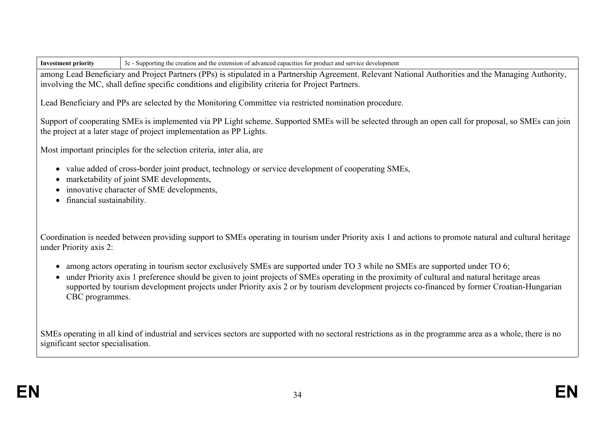among Lead Beneficiary and Project Partners (PPs) is stipulated in a Partnership Agreement. Relevant National Authorities and the Managing Authority, involving the MC, shall define specific conditions and eligibility criteria for Project Partners.

Lead Beneficiary and PPs are selected by the Monitoring Committee via restricted nomination procedure.

Support of cooperating SMEs is implemented via PP Light scheme. Supported SMEs will be selected through an open call for proposal, so SMEs can join the project at a later stage of project implementation as PP Lights.

Most important principles for the selection criteria, inter alia, are

- value added of cross-border joint product, technology or service development of cooperating SMEs,
- marketability of joint SME developments,
- innovative character of SME developments,
- financial sustainability.

Coordination is needed between providing support to SMEs operating in tourism under Priority axis 1 and actions to promote natural and cultural heritage under Priority axis 2:

- among actors operating in tourism sector exclusively SMEs are supported under TO 3 while no SMEs are supported under TO 6;
- under Priority axis 1 preference should be given to joint projects of SMEs operating in the proximity of cultural and natural heritage areas supported by tourism development projects under Priority axis 2 or by tourism development projects co-financed by former Croatian-Hungarian CBC programmes.

SMEs operating in all kind of industrial and services sectors are supported with no sectoral restrictions as in the programme area as a whole, there is no significant sector specialisation.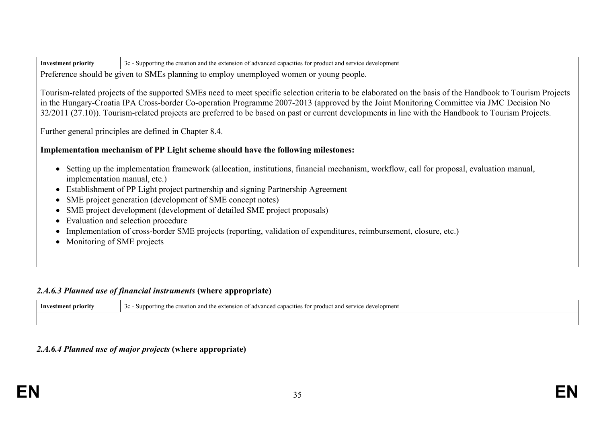| <b>Investment priority</b> | 3c - Supporting the creation and the extension of advanced capacities for product and service development |
|----------------------------|-----------------------------------------------------------------------------------------------------------|
|----------------------------|-----------------------------------------------------------------------------------------------------------|

Preference should be given to SMEs planning to employ unemployed women or young people.

Tourism-related projects of the supported SMEs need to meet specific selection criteria to be elaborated on the basis of the Handbook to Tourism Projects in the Hungary-Croatia IPA Cross-border Co-operation Programme 2007-2013 (approved by the Joint Monitoring Committee via JMC Decision No 32/2011 (27.10)). Tourism-related projects are preferred to be based on past or current developments in line with the Handbook to Tourism Projects.

Further general principles are defined in Chapter 8.4.

### **Implementation mechanism of PP Light scheme should have the following milestones:**

- Setting up the implementation framework (allocation, institutions, financial mechanism, workflow, call for proposal, evaluation manual, implementation manual, etc.)
- Establishment of PP Light project partnership and signing Partnership Agreement
- SME project generation (development of SME concept notes)
- SME project development (development of detailed SME project proposals)
- Evaluation and selection procedure
- Implementation of cross-border SME projects (reporting, validation of expenditures, reimbursement, closure, etc.)
- Monitoring of SME projects

## *2.A.6.3 Planned use of financial instruments* **(where appropriate)**

| Investment priority | evelopment<br>Leanacifies for product and s<br>CPTU1CQ<br>reation<br>extension<br>at advanc<br>pporting<br>$\sim$ $\sim$ |
|---------------------|--------------------------------------------------------------------------------------------------------------------------|
|                     |                                                                                                                          |

## *2.A.6.4 Planned use of major projects* **(where appropriate)**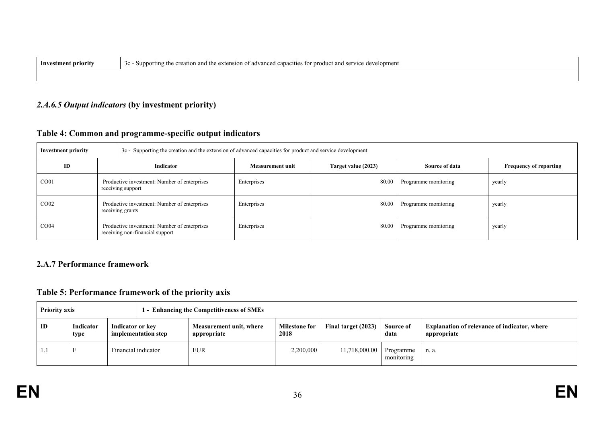| -Investmen<br>mrit | f advanced capacities for product and service o<br>creation and the extension of .<br>development<br>Sunno<br>ıng the |
|--------------------|-----------------------------------------------------------------------------------------------------------------------|
|                    |                                                                                                                       |

# *2.A.6.5 Output indicators* **(by investment priority)**

# **Table 4: Common and programme-specific output indicators**

| <b>Investment priority</b> |  | 3c - Supporting the creation and the extension of advanced capacities for product and service development |                         |                     |                      |                               |
|----------------------------|--|-----------------------------------------------------------------------------------------------------------|-------------------------|---------------------|----------------------|-------------------------------|
| ID                         |  | Indicator                                                                                                 | <b>Measurement unit</b> | Target value (2023) | Source of data       | <b>Frequency of reporting</b> |
| CO <sub>01</sub>           |  | Productive investment: Number of enterprises<br>receiving support                                         | Enterprises             | 80.00               | Programme monitoring | yearly                        |
| CO <sub>02</sub>           |  | Productive investment: Number of enterprises<br>receiving grants                                          | Enterprises             | 80.00               | Programme monitoring | yearly                        |
| CO <sub>04</sub>           |  | Productive investment: Number of enterprises<br>receiving non-financial support                           | Enterprises             | 80.00               | Programme monitoring | yearly                        |

## **2.A.7 Performance framework**

# **Table 5: Performance framework of the priority axis**

| <b>Priority axis</b> |                   | 1 - Enhancing the Competitiveness of SMEs |                     |                                        |                              |                     |                         |                                                                    |
|----------------------|-------------------|-------------------------------------------|---------------------|----------------------------------------|------------------------------|---------------------|-------------------------|--------------------------------------------------------------------|
| ID                   | Indicator<br>type | Indicator or key                          | implementation step | Measurement unit, where<br>appropriate | <b>Milestone for</b><br>2018 | Final target (2023) | Source of<br>data       | <b>Explanation of relevance of indicator, where</b><br>appropriate |
| 1.1                  |                   | Financial indicator                       |                     | <b>EUR</b>                             | 2,200,000                    | 11,718,000.00       | Programme<br>monitoring | n. a.                                                              |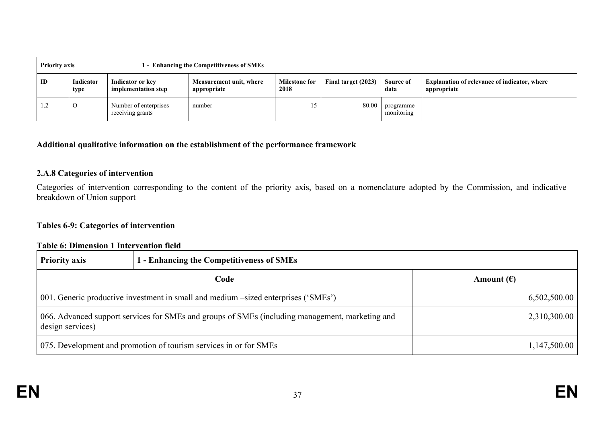| <b>Priority axis</b> |                   |                  |                       | 1 - Enhancing the Competitiveness of SMEs |                              |                     |                         |                                                                    |
|----------------------|-------------------|------------------|-----------------------|-------------------------------------------|------------------------------|---------------------|-------------------------|--------------------------------------------------------------------|
| ID                   | Indicator<br>type | Indicator or key | implementation step   | Measurement unit, where<br>appropriate    | <b>Milestone for</b><br>2018 | Final target (2023) | Source of<br>data       | <b>Explanation of relevance of indicator, where</b><br>appropriate |
| 1.2                  | O                 | receiving grants | Number of enterprises | number                                    | 15                           | 80.00               | programme<br>monitoring |                                                                    |

### **Additional qualitative information on the establishment of the performance framework**

#### **2.A.8 Categories of intervention**

Categories of intervention corresponding to the content of the priority axis, based on a nomenclature adopted by the Commission, and indicative breakdown of Union support

# **Tables 6-9: Categories of intervention**

# **Table 6: Dimension 1 Intervention field**

| <b>Priority axis</b>                                                                                                | 1 - Enhancing the Competitiveness of SMEs |                     |
|---------------------------------------------------------------------------------------------------------------------|-------------------------------------------|---------------------|
|                                                                                                                     | Code                                      | Amount $(\epsilon)$ |
| 001. Generic productive investment in small and medium –sized enterprises ('SMEs')                                  |                                           | 6,502,500.00        |
| 066. Advanced support services for SMEs and groups of SMEs (including management, marketing and<br>design services) |                                           | 2,310,300.00        |
| 075. Development and promotion of tourism services in or for SMEs                                                   |                                           | 1,147,500.00        |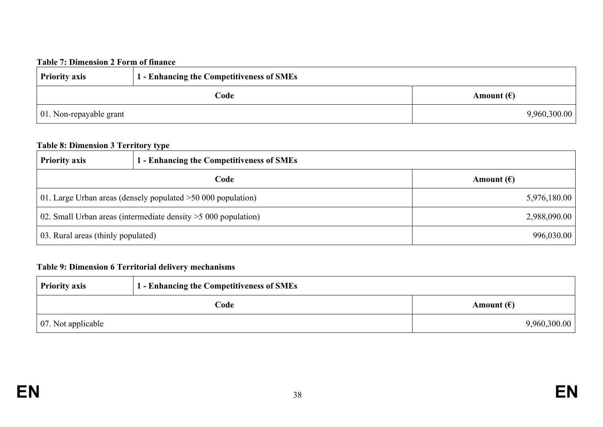#### **Table 7: Dimension 2 Form of finance**

| <b>Priority axis</b>            | 1 - Enhancing the Competitiveness of SMEs |                     |
|---------------------------------|-------------------------------------------|---------------------|
|                                 | Code                                      | Amount $(\epsilon)$ |
| $\vert$ 01. Non-repayable grant |                                           | 9,960,300.00        |

# **Table 8: Dimension 3 Territory type**

| <b>Priority axis</b>                                            | 1 - Enhancing the Competitiveness of SMEs |                     |
|-----------------------------------------------------------------|-------------------------------------------|---------------------|
|                                                                 | Code                                      | Amount $(\epsilon)$ |
| 01. Large Urban areas (densely populated $>50,000$ population)  |                                           | 5,976,180.00        |
| 02. Small Urban areas (intermediate density $>5000$ population) |                                           | 2,988,090.00        |
| 03. Rural areas (thinly populated)                              |                                           | 996,030.00          |

# **Table 9: Dimension 6 Territorial delivery mechanisms**

| <b>Priority axis</b>       | <b>1 - Enhancing the Competitiveness of SMEs</b> |                     |
|----------------------------|--------------------------------------------------|---------------------|
|                            | Code                                             | Amount $(\epsilon)$ |
| $\vert$ 07. Not applicable |                                                  | 9,960,300.00        |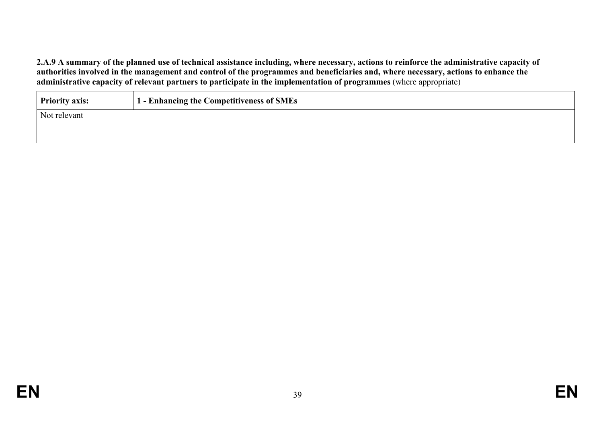2.A.9 A summary of the planned use of technical assistance including, where necessary, actions to reinforce the administrative capacity of authorities involved in the management and control of the programmes and beneficiaries and, where necessary, actions to enhance the **administrative capacity of relevant partners to participate in the implementation of programmes** (where appropriate)

| <b>Priority axis:</b> | 1 - Enhancing the Competitiveness of SMEs |
|-----------------------|-------------------------------------------|
| Not relevant          |                                           |
|                       |                                           |
|                       |                                           |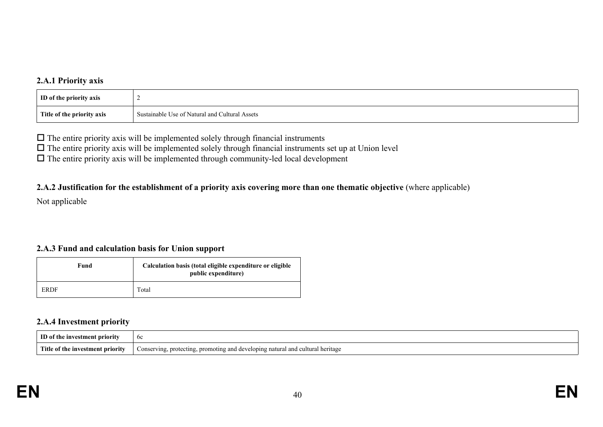#### **2.A.1 Priority axis**

| <b>ID</b> of the priority axis |                                                |
|--------------------------------|------------------------------------------------|
| Title of the priority axis     | Sustainable Use of Natural and Cultural Assets |

 $\Box$  The entire priority axis will be implemented solely through financial instruments

 $\Box$  The entire priority axis will be implemented solely through financial instruments set up at Union level

 $\Box$  The entire priority axis will be implemented through community-led local development

#### 2.A.2 Justification for the establishment of a priority axis covering more than one thematic objective (where applicable)

Not applicable

#### **2.A.3 Fund and calculation basis for Union support**

| Fund        | Calculation basis (total eligible expenditure or eligible<br>public expenditure) |
|-------------|----------------------------------------------------------------------------------|
| <b>ERDF</b> | Total                                                                            |

#### **2.A.4 Investment priority**

| m<br>…ment priori**<br>ıvestr              | hc<br>$\mathsf{v}\mathsf{v}$                                                                                             |
|--------------------------------------------|--------------------------------------------------------------------------------------------------------------------------|
| - "Title<br>of the investment priority \ti | atural and cultural<br>Conserving, protecting<br>al heritage<br>$\alpha$ oting and developing.<br>. prome<br>້<br>$\sim$ |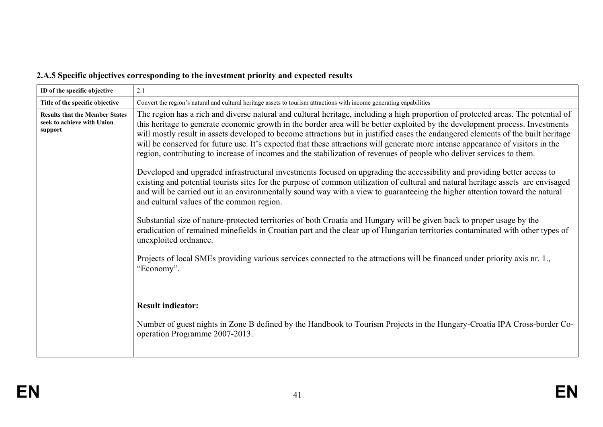# **2.A.5 Specific objectives corresponding to the investment priority and expected results**

| ID of the specific objective                                                   | 2.1                                                                                                                                                                                                                                                                                                                                                                                                                                                                                                                                                                                                                                                                                                                                                                                                                                                                                                                                                                                                                                                                 |  |  |  |
|--------------------------------------------------------------------------------|---------------------------------------------------------------------------------------------------------------------------------------------------------------------------------------------------------------------------------------------------------------------------------------------------------------------------------------------------------------------------------------------------------------------------------------------------------------------------------------------------------------------------------------------------------------------------------------------------------------------------------------------------------------------------------------------------------------------------------------------------------------------------------------------------------------------------------------------------------------------------------------------------------------------------------------------------------------------------------------------------------------------------------------------------------------------|--|--|--|
| Title of the specific objective                                                | Convert the region's natural and cultural heritage assets to tourism attractions with income generating capabilities                                                                                                                                                                                                                                                                                                                                                                                                                                                                                                                                                                                                                                                                                                                                                                                                                                                                                                                                                |  |  |  |
| <b>Results that the Member States</b><br>seek to achieve with Union<br>support | The region has a rich and diverse natural and cultural heritage, including a high proportion of protected areas. The potential of<br>this heritage to generate economic growth in the border area will be better exploited by the development process. Investments<br>will mostly result in assets developed to become attractions but in justified cases the endangered elements of the built heritage<br>will be conserved for future use. It's expected that these attractions will generate more intense appearance of visitors in the<br>region, contributing to increase of incomes and the stabilization of revenues of people who deliver services to them.<br>Developed and upgraded infrastructural investments focused on upgrading the accessibility and providing better access to<br>existing and potential tourists sites for the purpose of common utilization of cultural and natural heritage assets are envisaged<br>and will be carried out in an environmentally sound way with a view to guaranteeing the higher attention toward the natural |  |  |  |
|                                                                                | and cultural values of the common region.                                                                                                                                                                                                                                                                                                                                                                                                                                                                                                                                                                                                                                                                                                                                                                                                                                                                                                                                                                                                                           |  |  |  |
|                                                                                | Substantial size of nature-protected territories of both Croatia and Hungary will be given back to proper usage by the<br>eradication of remained minefields in Croatian part and the clear up of Hungarian territories contaminated with other types of<br>unexploited ordnance.                                                                                                                                                                                                                                                                                                                                                                                                                                                                                                                                                                                                                                                                                                                                                                                   |  |  |  |
|                                                                                | Projects of local SMEs providing various services connected to the attractions will be financed under priority axis nr. 1.,<br>"Economy".                                                                                                                                                                                                                                                                                                                                                                                                                                                                                                                                                                                                                                                                                                                                                                                                                                                                                                                           |  |  |  |
|                                                                                |                                                                                                                                                                                                                                                                                                                                                                                                                                                                                                                                                                                                                                                                                                                                                                                                                                                                                                                                                                                                                                                                     |  |  |  |
|                                                                                | <b>Result indicator:</b>                                                                                                                                                                                                                                                                                                                                                                                                                                                                                                                                                                                                                                                                                                                                                                                                                                                                                                                                                                                                                                            |  |  |  |
|                                                                                | Number of guest nights in Zone B defined by the Handbook to Tourism Projects in the Hungary-Croatia IPA Cross-border Co-<br>operation Programme 2007-2013.                                                                                                                                                                                                                                                                                                                                                                                                                                                                                                                                                                                                                                                                                                                                                                                                                                                                                                          |  |  |  |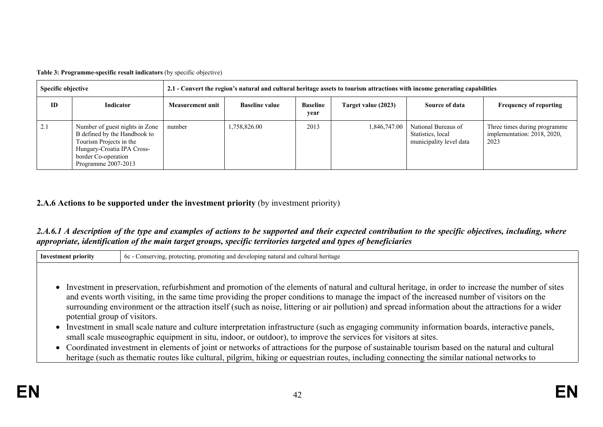**Table 3: Programme-specific result indicators** (by specific objective)

| <b>Specific objective</b> |                                                                                                                                                                       | 2.1 - Convert the region's natural and cultural heritage assets to tourism attractions with income generating capabilities |                       |                         |                     |                                                                     |                                                                     |  |
|---------------------------|-----------------------------------------------------------------------------------------------------------------------------------------------------------------------|----------------------------------------------------------------------------------------------------------------------------|-----------------------|-------------------------|---------------------|---------------------------------------------------------------------|---------------------------------------------------------------------|--|
| ID                        | Indicator                                                                                                                                                             | <b>Measurement unit</b>                                                                                                    | <b>Baseline value</b> | <b>Baseline</b><br>year | Target value (2023) | Source of data                                                      | <b>Frequency of reporting</b>                                       |  |
| 2.1                       | Number of guest nights in Zone<br>B defined by the Handbook to<br>Tourism Projects in the<br>Hungary-Croatia IPA Cross-<br>border Co-operation<br>Programme 2007-2013 | number                                                                                                                     | 1,758,826.00          | 2013                    | 1,846,747.00        | National Bureaus of<br>Statistics, local<br>municipality level data | Three times during programme<br>implementation: 2018, 2020,<br>2023 |  |

# **2.A.6 Actions to be supported under the investment priority** (by investment priority)

## 2.A.6.1 A description of the type and examples of actions to be supported and their expected contribution to the specific objectives, including, where *appropriate, identification of the main target groups, specific territories targeted and types of beneficiaries*

| <b>Investment priority</b>   | 6c - Conserving, protecting, promoting and developing natural and cultural heritage                                                                                                                                                                                                                                                                                                                                                                                                                                                                                                                                                                                                                                                                                                                                                                                                                                                                                                                                                      |
|------------------------------|------------------------------------------------------------------------------------------------------------------------------------------------------------------------------------------------------------------------------------------------------------------------------------------------------------------------------------------------------------------------------------------------------------------------------------------------------------------------------------------------------------------------------------------------------------------------------------------------------------------------------------------------------------------------------------------------------------------------------------------------------------------------------------------------------------------------------------------------------------------------------------------------------------------------------------------------------------------------------------------------------------------------------------------|
| potential group of visitors. | • Investment in preservation, refurbishment and promotion of the elements of natural and cultural heritage, in order to increase the number of sites<br>and events worth visiting, in the same time providing the proper conditions to manage the impact of the increased number of visitors on the<br>surrounding environment or the attraction itself (such as noise, littering or air pollution) and spread information about the attractions for a wider<br>• Investment in small scale nature and culture interpretation infrastructure (such as engaging community information boards, interactive panels,<br>small scale museographic equipment in situ, indoor, or outdoor), to improve the services for visitors at sites.<br>• Coordinated investment in elements of joint or networks of attractions for the purpose of sustainable tourism based on the natural and cultural<br>heritage (such as thematic routes like cultural, pilgrim, hiking or equestrian routes, including connecting the similar national networks to |
|                              |                                                                                                                                                                                                                                                                                                                                                                                                                                                                                                                                                                                                                                                                                                                                                                                                                                                                                                                                                                                                                                          |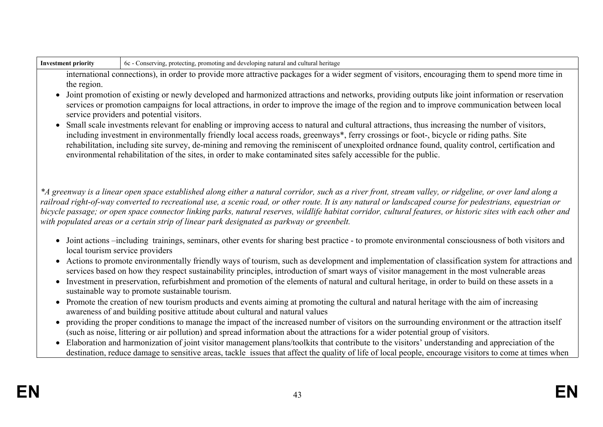|                                                                                                                                                                                                                                                                                                                                                                                                                                                                                                                                                                                | 6c - Conserving, protecting, promoting and developing natural and cultural heritage                                                                                                                                                                                                                                                                                                                                                                                                                                                                                                  |  |  |  |
|--------------------------------------------------------------------------------------------------------------------------------------------------------------------------------------------------------------------------------------------------------------------------------------------------------------------------------------------------------------------------------------------------------------------------------------------------------------------------------------------------------------------------------------------------------------------------------|--------------------------------------------------------------------------------------------------------------------------------------------------------------------------------------------------------------------------------------------------------------------------------------------------------------------------------------------------------------------------------------------------------------------------------------------------------------------------------------------------------------------------------------------------------------------------------------|--|--|--|
| international connections), in order to provide more attractive packages for a wider segment of visitors, encouraging them to spend more time in<br>the region.                                                                                                                                                                                                                                                                                                                                                                                                                |                                                                                                                                                                                                                                                                                                                                                                                                                                                                                                                                                                                      |  |  |  |
| $\bullet$                                                                                                                                                                                                                                                                                                                                                                                                                                                                                                                                                                      | Joint promotion of existing or newly developed and harmonized attractions and networks, providing outputs like joint information or reservation<br>services or promotion campaigns for local attractions, in order to improve the image of the region and to improve communication between local<br>service providers and potential visitors.                                                                                                                                                                                                                                        |  |  |  |
| Small scale investments relevant for enabling or improving access to natural and cultural attractions, thus increasing the number of visitors,<br>$\bullet$<br>including investment in environmentally friendly local access roads, greenways*, ferry crossings or foot-, bicycle or riding paths. Site<br>rehabilitation, including site survey, de-mining and removing the reminiscent of unexploited ordnance found, quality control, certification and<br>environmental rehabilitation of the sites, in order to make contaminated sites safely accessible for the public. |                                                                                                                                                                                                                                                                                                                                                                                                                                                                                                                                                                                      |  |  |  |
|                                                                                                                                                                                                                                                                                                                                                                                                                                                                                                                                                                                | *A greenway is a linear open space established along either a natural corridor, such as a river front, stream valley, or ridgeline, or over land along a<br>railroad right-of-way converted to recreational use, a scenic road, or other route. It is any natural or landscaped course for pedestrians, equestrian or<br>bicycle passage; or open space connector linking parks, natural reserves, wildlife habitat corridor, cultural features, or historic sites with each other and<br>with populated areas or a certain strip of linear park designated as parkway or greenbelt. |  |  |  |
| • Joint actions -including trainings, seminars, other events for sharing best practice - to promote environmental consciousness of both visitors and<br>local tourism service providers                                                                                                                                                                                                                                                                                                                                                                                        |                                                                                                                                                                                                                                                                                                                                                                                                                                                                                                                                                                                      |  |  |  |
| Actions to promote environmentally friendly ways of tourism, such as development and implementation of classification system for attractions and<br>$\bullet$<br>services based on how they respect sustainability principles, introduction of smart ways of visitor management in the most vulnerable areas                                                                                                                                                                                                                                                                   |                                                                                                                                                                                                                                                                                                                                                                                                                                                                                                                                                                                      |  |  |  |
| Investment in preservation, refurbishment and promotion of the elements of natural and cultural heritage, in order to build on these assets in a<br>$\bullet$<br>sustainable way to promote sustainable tourism.                                                                                                                                                                                                                                                                                                                                                               |                                                                                                                                                                                                                                                                                                                                                                                                                                                                                                                                                                                      |  |  |  |
| Promote the creation of new tourism products and events aiming at promoting the cultural and natural heritage with the aim of increasing<br>$\bullet$<br>awareness of and building positive attitude about cultural and natural values                                                                                                                                                                                                                                                                                                                                         |                                                                                                                                                                                                                                                                                                                                                                                                                                                                                                                                                                                      |  |  |  |
| providing the proper conditions to manage the impact of the increased number of visitors on the surrounding environment or the attraction itself<br>$\bullet$                                                                                                                                                                                                                                                                                                                                                                                                                  |                                                                                                                                                                                                                                                                                                                                                                                                                                                                                                                                                                                      |  |  |  |
|                                                                                                                                                                                                                                                                                                                                                                                                                                                                                                                                                                                | (such as noise, littering or air pollution) and spread information about the attractions for a wider potential group of visitors.                                                                                                                                                                                                                                                                                                                                                                                                                                                    |  |  |  |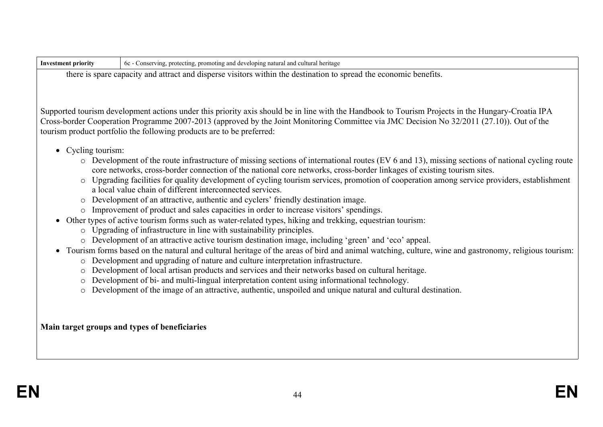| <b>Investment priority</b>                                                                                        | 6c - Conserving, protecting, promoting and developing natural and cultural heritage                                                                                                                                                                                                                                                                                     |  |  |
|-------------------------------------------------------------------------------------------------------------------|-------------------------------------------------------------------------------------------------------------------------------------------------------------------------------------------------------------------------------------------------------------------------------------------------------------------------------------------------------------------------|--|--|
| there is spare capacity and attract and disperse visitors within the destination to spread the economic benefits. |                                                                                                                                                                                                                                                                                                                                                                         |  |  |
|                                                                                                                   |                                                                                                                                                                                                                                                                                                                                                                         |  |  |
|                                                                                                                   |                                                                                                                                                                                                                                                                                                                                                                         |  |  |
|                                                                                                                   | Supported tourism development actions under this priority axis should be in line with the Handbook to Tourism Projects in the Hungary-Croatia IPA<br>Cross-border Cooperation Programme 2007-2013 (approved by the Joint Monitoring Committee via JMC Decision No 32/2011 (27.10)). Out of the<br>tourism product portfolio the following products are to be preferred: |  |  |
| • Cycling tourism:                                                                                                |                                                                                                                                                                                                                                                                                                                                                                         |  |  |
|                                                                                                                   | o Development of the route infrastructure of missing sections of international routes (EV 6 and 13), missing sections of national cycling route<br>core networks, cross-border connection of the national core networks, cross-border linkages of existing tourism sites.                                                                                               |  |  |
| $\circ$                                                                                                           | Upgrading facilities for quality development of cycling tourism services, promotion of cooperation among service providers, establishment<br>a local value chain of different interconnected services.                                                                                                                                                                  |  |  |
|                                                                                                                   | Development of an attractive, authentic and cyclers' friendly destination image.                                                                                                                                                                                                                                                                                        |  |  |
|                                                                                                                   | o Improvement of product and sales capacities in order to increase visitors' spendings.                                                                                                                                                                                                                                                                                 |  |  |
| $\circ$                                                                                                           | • Other types of active tourism forms such as water-related types, hiking and trekking, equestrian tourism:<br>Upgrading of infrastructure in line with sustainability principles.                                                                                                                                                                                      |  |  |
|                                                                                                                   | Development of an attractive active tourism destination image, including 'green' and 'eco' appeal.                                                                                                                                                                                                                                                                      |  |  |
| $\bullet$<br>$\circ$                                                                                              | Tourism forms based on the natural and cultural heritage of the areas of bird and animal watching, culture, wine and gastronomy, religious tourism:<br>Development and upgrading of nature and culture interpretation infrastructure.                                                                                                                                   |  |  |
| $\circ$                                                                                                           | Development of local artisan products and services and their networks based on cultural heritage.                                                                                                                                                                                                                                                                       |  |  |
| $\circ$                                                                                                           | Development of bi- and multi-lingual interpretation content using informational technology.                                                                                                                                                                                                                                                                             |  |  |
| $\circ$                                                                                                           | Development of the image of an attractive, authentic, unspoiled and unique natural and cultural destination.                                                                                                                                                                                                                                                            |  |  |
|                                                                                                                   |                                                                                                                                                                                                                                                                                                                                                                         |  |  |
|                                                                                                                   |                                                                                                                                                                                                                                                                                                                                                                         |  |  |
| Main target groups and types of beneficiaries                                                                     |                                                                                                                                                                                                                                                                                                                                                                         |  |  |
|                                                                                                                   |                                                                                                                                                                                                                                                                                                                                                                         |  |  |
|                                                                                                                   |                                                                                                                                                                                                                                                                                                                                                                         |  |  |
|                                                                                                                   |                                                                                                                                                                                                                                                                                                                                                                         |  |  |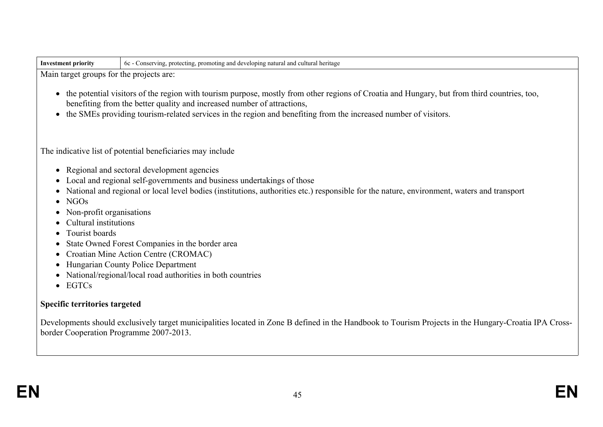| -Inv<br>A priority | natural and cu<br>' heritage<br>oping<br>rultui<br>-60<br>onservin<br>prote<br>əromot<br>eting<br>٦nσ<br>. dev<br>.<br>. |
|--------------------|--------------------------------------------------------------------------------------------------------------------------|
|                    |                                                                                                                          |

Main target groups for the projects are:

- the potential visitors of the region with tourism purpose, mostly from other regions of Croatia and Hungary, but from third countries, too, benefiting from the better quality and increased number of attractions,
- the SMEs providing tourism-related services in the region and benefiting from the increased number of visitors.

The indicative list of potential beneficiaries may include

- Regional and sectoral development agencies
- Local and regional self-governments and business undertakings of those
- National and regional or local level bodies (institutions, authorities etc.) responsible for the nature, environment, waters and transport
- $\bullet$  NGOs
- Non-profit organisations
- Cultural institutions
- Tourist boards
- State Owned Forest Companies in the border area
- Croatian Mine Action Centre (CROMAC)
- Hungarian County Police Department
- National/regional/local road authorities in both countries
- EGTCs

# **Specific territories targeted**

Developments should exclusively target municipalities located in Zone B defined in the Handbook to Tourism Projects in the Hungary-Croatia IPA Crossborder Cooperation Programme 2007-2013.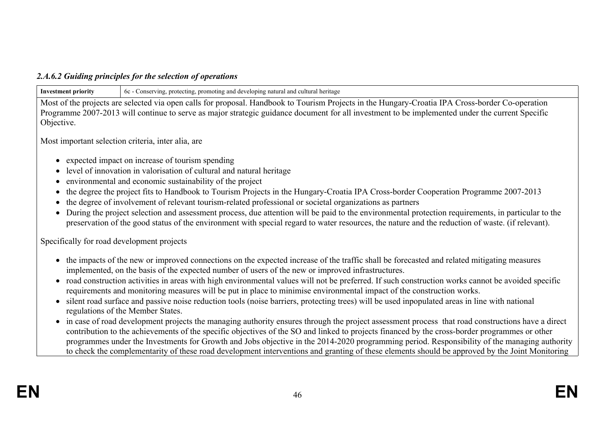### *2.A.6.2 Guiding principles for the selection of operations*

**Investment priority** 6c - Conserving, protecting, promoting and developing natural and cultural heritage

Most of the projects are selected via open calls for proposal. Handbook to Tourism Projects in the Hungary-Croatia IPA Cross-border Co-operation Programme 2007-2013 will continue to serve as major strategic guidance document for all investment to be implemented under the current Specific Objective.

Most important selection criteria, inter alia, are

- expected impact on increase of tourism spending
- level of innovation in valorisation of cultural and natural heritage
- environmental and economic sustainability of the project
- the degree the project fits to Handbook to Tourism Projects in the Hungary-Croatia IPA Cross-border Cooperation Programme 2007-2013
- the degree of involvement of relevant tourism-related professional or societal organizations as partners
- During the project selection and assessment process, due attention will be paid to the environmental protection requirements, in particular to the preservation of the good status of the environment with special regard to water resources, the nature and the reduction of waste. (if relevant).

Specifically for road development projects

- the impacts of the new or improved connections on the expected increase of the traffic shall be forecasted and related mitigating measures implemented, on the basis of the expected number of users of the new or improved infrastructures.
- road construction activities in areas with high environmental values will not be preferred. If such construction works cannot be avoided specific requirements and monitoring measures will be put in place to minimise environmental impact of the construction works.
- silent road surface and passive noise reduction tools (noise barriers, protecting trees) will be used inpopulated areas in line with national regulations of the Member States.
- in case of road development projects the managing authority ensures through the project assessment process that road constructions have a direct contribution to the achievements of the specific objectives of the SO and linked to projects financed by the cross-border programmes or other programmes under the Investments for Growth and Jobs objective in the 2014-2020 programming period. Responsibility of the managing authority to check the complementarity of these road development interventions and granting of these elements should be approved by the Joint Monitoring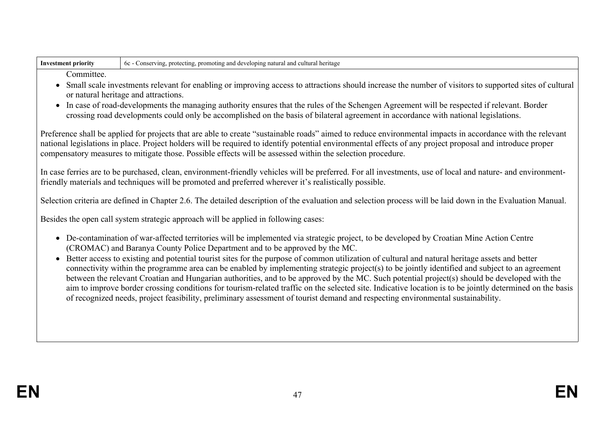| -Inv<br>* priority | l and cultu<br>g and developing natural<br>heritage<br><b>promo</b><br>cting<br>ervin.<br>prote <sub>s</sub><br>nting<br>റ്റ<br>.<br>,,,,,, |
|--------------------|---------------------------------------------------------------------------------------------------------------------------------------------|
|                    |                                                                                                                                             |

**Committee** 

- Small scale investments relevant for enabling or improving access to attractions should increase the number of visitors to supported sites of cultural or natural heritage and attractions.
- In case of road-developments the managing authority ensures that the rules of the Schengen Agreement will be respected if relevant. Border crossing road developments could only be accomplished on the basis of bilateral agreement in accordance with national legislations.

Preference shall be applied for projects that are able to create "sustainable roads" aimed to reduce environmental impacts in accordance with the relevant national legislations in place. Project holders will be required to identify potential environmental effects of any project proposal and introduce proper compensatory measures to mitigate those. Possible effects will be assessed within the selection procedure.

In case ferries are to be purchased, clean, environment-friendly vehicles will be preferred. For all investments, use of local and nature- and environmentfriendly materials and techniques will be promoted and preferred wherever it's realistically possible.

Selection criteria are defined in Chapter 2.6. The detailed description of the evaluation and selection process will be laid down in the Evaluation Manual.

Besides the open call system strategic approach will be applied in following cases:

- De-contamination of war-affected territories will be implemented via strategic project, to be developed by Croatian Mine Action Centre (CROMAC) and Baranya County Police Department and to be approved by the MC.
- Better access to existing and potential tourist sites for the purpose of common utilization of cultural and natural heritage assets and better connectivity within the programme area can be enabled by implementing strategic project(s) to be jointly identified and subject to an agreement between the relevant Croatian and Hungarian authorities, and to be approved by the MC. Such potential project(s) should be developed with the aim to improve border crossing conditions for tourism-related traffic on the selected site. Indicative location is to be jointly determined on the basis of recognized needs, project feasibility, preliminary assessment of tourist demand and respecting environmental sustainability.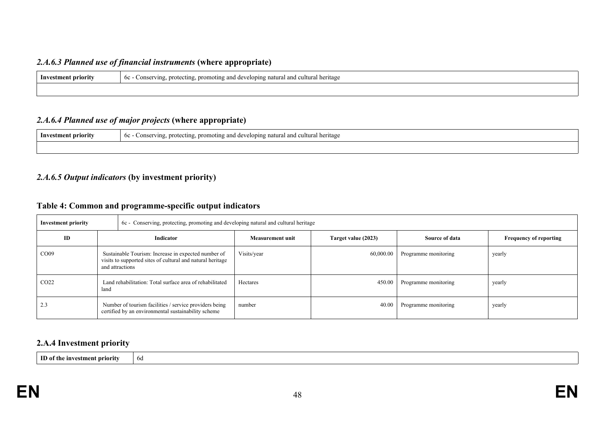#### *2.A.6.3 Planned use of financial instruments* **(where appropriate)**

| Investment priority | c - Conserving, protecting, promoting and developing natural and cultural heritage<br><sub>6</sub> c |
|---------------------|------------------------------------------------------------------------------------------------------|
|                     |                                                                                                      |

#### *2.A.6.4 Planned use of major projects* **(where appropriate)**

| Investment priority | cultural heritage<br>. prom<br>oting and a.<br>developing natural.<br>-6c<br>. protecting<br>Conserving<br>$^{\circ}$<br>anu |
|---------------------|------------------------------------------------------------------------------------------------------------------------------|
|                     |                                                                                                                              |

# *2.A.6.5 Output indicators* **(by investment priority)**

### **Table 4: Common and programme-specific output indicators**

| <b>Investment priority</b> |                                                                  | 6c - Conserving, protecting, promoting and developing natural and cultural heritage                                                  |                         |                     |                      |                               |  |  |
|----------------------------|------------------------------------------------------------------|--------------------------------------------------------------------------------------------------------------------------------------|-------------------------|---------------------|----------------------|-------------------------------|--|--|
| ID                         | Indicator                                                        |                                                                                                                                      | <b>Measurement unit</b> | Target value (2023) | Source of data       | <b>Frequency of reporting</b> |  |  |
| CO <sub>09</sub>           |                                                                  | Sustainable Tourism: Increase in expected number of<br>visits to supported sites of cultural and natural heritage<br>and attractions | Visits/year             | 60,000.00           | Programme monitoring | yearly                        |  |  |
| CO <sub>22</sub>           | Land rehabilitation: Total surface area of rehabilitated<br>land |                                                                                                                                      | Hectares                | 450.00              | Programme monitoring | yearly                        |  |  |
| 2.3                        |                                                                  | Number of tourism facilities / service providers being<br>certified by an environmental sustainability scheme                        | number                  | 40.00               | Programme monitoring | yearly                        |  |  |

#### **2.A.4 Investment priority**

**ID of the investment priority** 6d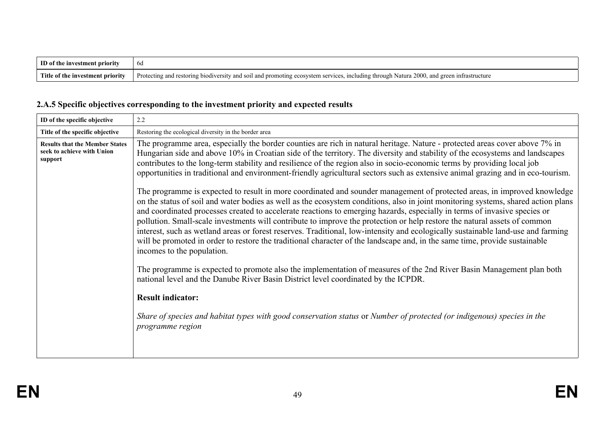| m<br>ent priority<br>estr<br>. The<br>∖ ınv | bd                                                                                                                                                                            |
|---------------------------------------------|-------------------------------------------------------------------------------------------------------------------------------------------------------------------------------|
| Title of the<br>e investment priority       | 2000.<br>Protec<br>. including through<br>Natura<br>anc<br>ntrastructure<br>lectin<br>indiver<br>a services<br>and sou<br>moting ecosystem<br>restoring<br>$\ldots$ and prome |

# **2.A.5 Specific objectives corresponding to the investment priority and expected results**

| ID of the specific objective                                                   | 2.2                                                                                                                                                                                                                                                                                                                                                                                                                                                                                                                                                                                                                                                                                                                                                                                                                                                                                                                                                                                                                                                                                                                                                                                                                                                                                                                                                                                                                                                                                                                                                                                                                                                                                                                      |
|--------------------------------------------------------------------------------|--------------------------------------------------------------------------------------------------------------------------------------------------------------------------------------------------------------------------------------------------------------------------------------------------------------------------------------------------------------------------------------------------------------------------------------------------------------------------------------------------------------------------------------------------------------------------------------------------------------------------------------------------------------------------------------------------------------------------------------------------------------------------------------------------------------------------------------------------------------------------------------------------------------------------------------------------------------------------------------------------------------------------------------------------------------------------------------------------------------------------------------------------------------------------------------------------------------------------------------------------------------------------------------------------------------------------------------------------------------------------------------------------------------------------------------------------------------------------------------------------------------------------------------------------------------------------------------------------------------------------------------------------------------------------------------------------------------------------|
| Title of the specific objective                                                | Restoring the ecological diversity in the border area                                                                                                                                                                                                                                                                                                                                                                                                                                                                                                                                                                                                                                                                                                                                                                                                                                                                                                                                                                                                                                                                                                                                                                                                                                                                                                                                                                                                                                                                                                                                                                                                                                                                    |
| <b>Results that the Member States</b><br>seek to achieve with Union<br>support | The programme area, especially the border counties are rich in natural heritage. Nature - protected areas cover above 7% in<br>Hungarian side and above 10% in Croatian side of the territory. The diversity and stability of the ecosystems and landscapes<br>contributes to the long-term stability and resilience of the region also in socio-economic terms by providing local job<br>opportunities in traditional and environment-friendly agricultural sectors such as extensive animal grazing and in eco-tourism.<br>The programme is expected to result in more coordinated and sounder management of protected areas, in improved knowledge<br>on the status of soil and water bodies as well as the ecosystem conditions, also in joint monitoring systems, shared action plans<br>and coordinated processes created to accelerate reactions to emerging hazards, especially in terms of invasive species or<br>pollution. Small-scale investments will contribute to improve the protection or help restore the natural assets of common<br>interest, such as wetland areas or forest reserves. Traditional, low-intensity and ecologically sustainable land-use and farming<br>will be promoted in order to restore the traditional character of the landscape and, in the same time, provide sustainable<br>incomes to the population.<br>The programme is expected to promote also the implementation of measures of the 2nd River Basin Management plan both<br>national level and the Danube River Basin District level coordinated by the ICPDR.<br><b>Result indicator:</b><br>Share of species and habitat types with good conservation status or Number of protected (or indigenous) species in the |
|                                                                                | programme region                                                                                                                                                                                                                                                                                                                                                                                                                                                                                                                                                                                                                                                                                                                                                                                                                                                                                                                                                                                                                                                                                                                                                                                                                                                                                                                                                                                                                                                                                                                                                                                                                                                                                                         |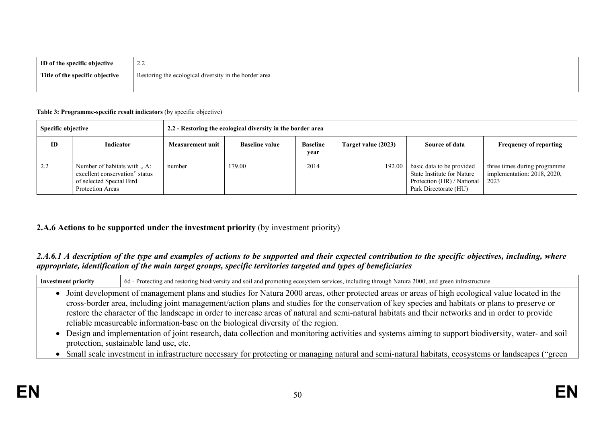| ID of the specific objective    | $\sim$<br>.                                           |
|---------------------------------|-------------------------------------------------------|
| Title of the specific objective | Restoring the ecological diversity in the border area |
|                                 |                                                       |

#### **Table 3: Programme-specific result indicators** (by specific objective)

| Specific objective |                                                                                                               | 2.2 - Restoring the ecological diversity in the border area |                       |                         |                     |                                                                                                                |                                                                     |
|--------------------|---------------------------------------------------------------------------------------------------------------|-------------------------------------------------------------|-----------------------|-------------------------|---------------------|----------------------------------------------------------------------------------------------------------------|---------------------------------------------------------------------|
| ID                 | <b>Indicator</b>                                                                                              | Measurement unit                                            | <b>Baseline value</b> | <b>Baseline</b><br>year | Target value (2023) | Source of data                                                                                                 | <b>Frequency of reporting</b>                                       |
| 2.2                | Number of habitats with  A:<br>excellent conservation" status<br>of selected Special Bird<br>Protection Areas | number                                                      | 179.00                | 2014                    | 192.00              | basic data to be provided<br>State Institute for Nature<br>Protection (HR) / National<br>Park Directorate (HU) | three times during programme<br>implementation: 2018, 2020,<br>2023 |

#### **2.A.6 Actions to be supported under the investment priority** (by investment priority)

#### 2.A.6.1 A description of the type and examples of actions to be supported and their expected contribution to the specific objectives, including, where *appropriate, identification of the main target groups, specific territories targeted and types of beneficiaries*

| <b>Investment priority</b>                                                                                                                         | 6d - Protecting and restoring biodiversity and soil and promoting ecosystem services, including through Natura 2000, and green infrastructure     |  |  |  |  |  |
|----------------------------------------------------------------------------------------------------------------------------------------------------|---------------------------------------------------------------------------------------------------------------------------------------------------|--|--|--|--|--|
| Joint development of management plans and studies for Natura 2000 areas, other protected areas or areas of high ecological value located in the    |                                                                                                                                                   |  |  |  |  |  |
|                                                                                                                                                    | cross-border area, including joint management/action plans and studies for the conservation of key species and habitats or plans to preserve or   |  |  |  |  |  |
|                                                                                                                                                    | restore the character of the landscape in order to increase areas of natural and semi-natural habitats and their networks and in order to provide |  |  |  |  |  |
|                                                                                                                                                    | reliable measureable information-base on the biological diversity of the region.                                                                  |  |  |  |  |  |
| Design and implementation of joint research, data collection and monitoring activities and systems aiming to support biodiversity, water- and soil |                                                                                                                                                   |  |  |  |  |  |
|                                                                                                                                                    | protection, sustainable land use, etc.                                                                                                            |  |  |  |  |  |

Small scale investment in infrastructure necessary for protecting or managing natural and semi-natural habitats, ecosystems or landscapes ("green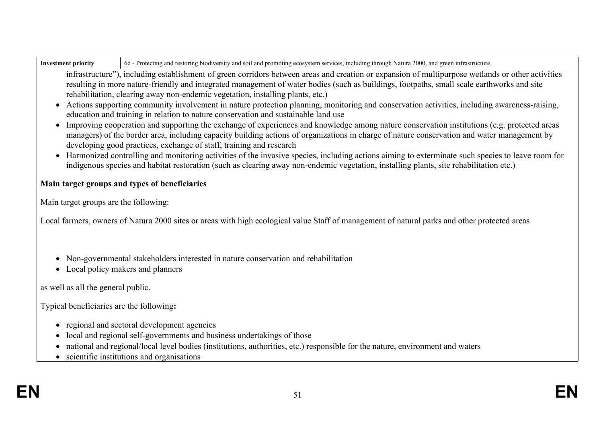| Investment priority | 6d - Protecting and restoring biodiversity and soil and promoting ecosystem services, including through Natura 2000, and green infrastructure |
|---------------------|-----------------------------------------------------------------------------------------------------------------------------------------------|
|---------------------|-----------------------------------------------------------------------------------------------------------------------------------------------|

infrastructure"), including establishment of green corridors between areas and creation or expansion of multipurpose wetlands or other activities resulting in more nature-friendly and integrated management of water bodies (such as buildings, footpaths, small scale earthworks and site rehabilitation, clearing away non-endemic vegetation, installing plants, etc.)

- Actions supporting community involvement in nature protection planning, monitoring and conservation activities, including awareness-raising, education and training in relation to nature conservation and sustainable land use
- Improving cooperation and supporting the exchange of experiences and knowledge among nature conservation institutions (e.g. protected areas managers) of the border area, including capacity building actions of organizations in charge of nature conservation and water management by developing good practices, exchange of staff, training and research
- Harmonized controlling and monitoring activities of the invasive species, including actions aiming to exterminate such species to leave room for indigenous species and habitat restoration (such as clearing away non-endemic vegetation, installing plants, site rehabilitation etc.)

# **Main target groups and types of beneficiaries**

Main target groups are the following:

Local farmers, owners of Natura 2000 sites or areas with high ecological value Staff of management of natural parks and other protected areas

- Non-governmental stakeholders interested in nature conservation and rehabilitation
- Local policy makers and planners

as well as all the general public.

Typical beneficiaries are the following**:**

- regional and sectoral development agencies
- local and regional self-governments and business undertakings of those
- national and regional/local level bodies (institutions, authorities, etc.) responsible for the nature, environment and waters
- scientific institutions and organisations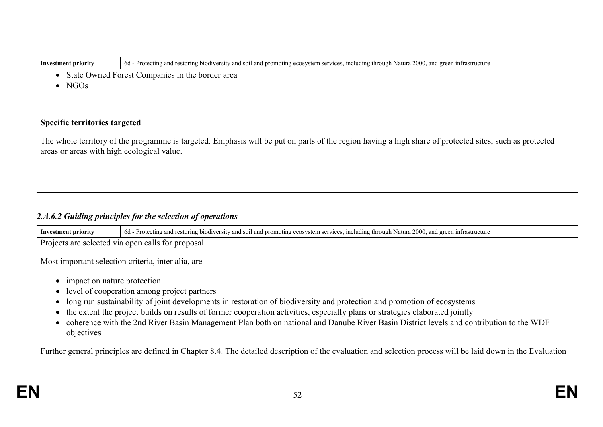| <b>Investment priority</b>                                                                                                                                                                            | 6d - Protecting and restoring biodiversity and soil and promoting ecosystem services, including through Natura 2000, and green infrastructure |  |  |  |  |  |
|-------------------------------------------------------------------------------------------------------------------------------------------------------------------------------------------------------|-----------------------------------------------------------------------------------------------------------------------------------------------|--|--|--|--|--|
| State Owned Forest Companies in the border area<br>$\bullet$                                                                                                                                          |                                                                                                                                               |  |  |  |  |  |
| $\bullet$ NGOs                                                                                                                                                                                        |                                                                                                                                               |  |  |  |  |  |
|                                                                                                                                                                                                       |                                                                                                                                               |  |  |  |  |  |
|                                                                                                                                                                                                       |                                                                                                                                               |  |  |  |  |  |
| <b>Specific territories targeted</b>                                                                                                                                                                  |                                                                                                                                               |  |  |  |  |  |
| The whole territory of the programme is targeted. Emphasis will be put on parts of the region having a high share of protected sites, such as protected<br>areas or areas with high ecological value. |                                                                                                                                               |  |  |  |  |  |
|                                                                                                                                                                                                       |                                                                                                                                               |  |  |  |  |  |
|                                                                                                                                                                                                       |                                                                                                                                               |  |  |  |  |  |
|                                                                                                                                                                                                       |                                                                                                                                               |  |  |  |  |  |

# *2.A.6.2 Guiding principles for the selection of operations*

| <b>Investment priority</b>                                                                                                                                  | 6d - Protecting and restoring biodiversity and soil and promoting ecosystem services, including through Natura 2000, and green infrastructure                            |  |  |  |  |  |
|-------------------------------------------------------------------------------------------------------------------------------------------------------------|--------------------------------------------------------------------------------------------------------------------------------------------------------------------------|--|--|--|--|--|
| Projects are selected via open calls for proposal.                                                                                                          |                                                                                                                                                                          |  |  |  |  |  |
| Most important selection criteria, inter alia, are                                                                                                          |                                                                                                                                                                          |  |  |  |  |  |
| impact on nature protection                                                                                                                                 |                                                                                                                                                                          |  |  |  |  |  |
|                                                                                                                                                             | • level of cooperation among project partners<br>long run sustainability of joint developments in restoration of biodiversity and protection and promotion of ecosystems |  |  |  |  |  |
|                                                                                                                                                             | the extent the project builds on results of former cooperation activities, especially plans or strategies elaborated jointly                                             |  |  |  |  |  |
| coherence with the 2nd River Basin Management Plan both on national and Danube River Basin District levels and contribution to the WDF<br>objectives        |                                                                                                                                                                          |  |  |  |  |  |
| Further general principles are defined in Chapter 8.4. The detailed description of the evaluation and selection process will be laid down in the Evaluation |                                                                                                                                                                          |  |  |  |  |  |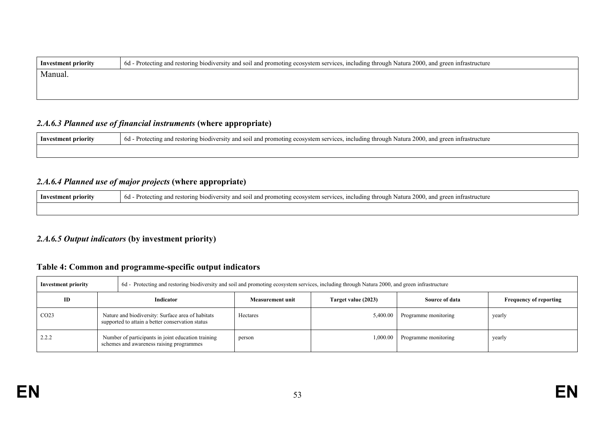| 6d - Protecting and restoring biodiversity and soil and promoting ecosystem services, including through Natura 2000, and green infrastructure<br><b>Investment priority</b> |  |  |
|-----------------------------------------------------------------------------------------------------------------------------------------------------------------------------|--|--|
| Manual.                                                                                                                                                                     |  |  |
|                                                                                                                                                                             |  |  |

# *2.A.6.3 Planned use of financial instruments* **(where appropriate)**

| Investment priority | 1 - Protecting and restoring biodiversity and soil and promoting ecosystem services, including through Natura 2000, and green infrastructure<br>6d |
|---------------------|----------------------------------------------------------------------------------------------------------------------------------------------------|
|                     |                                                                                                                                                    |

# *2.A.6.4 Planned use of major projects* **(where appropriate)**

| Investment priority | <sup>1</sup> - Protecting and restoring biodiversity and soil and promoting ecosystem services, including through Natura 2000, and green infrastructure<br>6d |
|---------------------|---------------------------------------------------------------------------------------------------------------------------------------------------------------|
|                     |                                                                                                                                                               |

#### *2.A.6.5 Output indicators* **(by investment priority)**

# **Table 4: Common and programme-specific output indicators**

| Investment priority |                                                                                                       | 6d - Protecting and restoring biodiversity and soil and promoting ecosystem services, including through Natura 2000, and green infrastructure |                         |                     |                      |                               |  |
|---------------------|-------------------------------------------------------------------------------------------------------|-----------------------------------------------------------------------------------------------------------------------------------------------|-------------------------|---------------------|----------------------|-------------------------------|--|
| ID                  | Indicator                                                                                             |                                                                                                                                               | <b>Measurement unit</b> | Target value (2023) | Source of data       | <b>Frequency of reporting</b> |  |
| CO <sub>23</sub>    | Nature and biodiversity: Surface area of habitats<br>supported to attain a better conservation status |                                                                                                                                               | Hectares                | 5,400.00            | Programme monitoring | yearly                        |  |
| 2.2.2               |                                                                                                       | Number of participants in joint education training<br>schemes and awareness raising programmes                                                | person                  | 1.000.00            | Programme monitoring | yearly                        |  |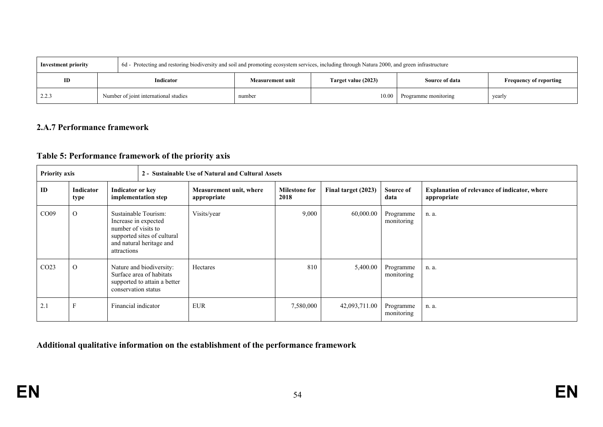| <b>Investment priority</b> |                                       | 6d - Protecting and restoring biodiversity and soil and promoting ecosystem services, including through Natura 2000, and green infrastructure |                  |                      |                               |  |
|----------------------------|---------------------------------------|-----------------------------------------------------------------------------------------------------------------------------------------------|------------------|----------------------|-------------------------------|--|
| ID                         | Indicator                             | Target value (2023)<br><b>Measurement unit</b>                                                                                                |                  | Source of data       | <b>Frequency of reporting</b> |  |
| 2.2.3                      | Number of joint international studies | number                                                                                                                                        | $10.00 \text{ }$ | Programme monitoring | yearly                        |  |

#### **2.A.7 Performance framework**

# **Table 5: Performance framework of the priority axis**

| <b>Priority axis</b> |                          |                                                                                                                                               | 2 - Sustainable Use of Natural and Cultural Assets |                                        |                              |                         |                         |                                                                    |
|----------------------|--------------------------|-----------------------------------------------------------------------------------------------------------------------------------------------|----------------------------------------------------|----------------------------------------|------------------------------|-------------------------|-------------------------|--------------------------------------------------------------------|
| ID                   | Indicator<br>type        | Indicator or key<br>implementation step                                                                                                       |                                                    | Measurement unit, where<br>appropriate | <b>Milestone for</b><br>2018 | Final target (2023)     | Source of<br>data       | <b>Explanation of relevance of indicator, where</b><br>appropriate |
| CO <sub>09</sub>     | $\Omega$                 | Sustainable Tourism:<br>Increase in expected<br>number of visits to<br>supported sites of cultural<br>and natural heritage and<br>attractions |                                                    | Visits/year                            | 9,000                        | 60,000.00               | Programme<br>monitoring | n. a.                                                              |
| CO <sub>23</sub>     | $\Omega$                 | Nature and biodiversity:<br>Surface area of habitats<br>supported to attain a better<br>conservation status                                   |                                                    | Hectares                               | 810                          | 5,400.00                | Programme<br>monitoring | n. a.                                                              |
| 2.1                  | F<br>Financial indicator |                                                                                                                                               | <b>EUR</b>                                         | 7,580,000                              | 42,093,711.00                | Programme<br>monitoring | n. a.                   |                                                                    |

**Additional qualitative information on the establishment of the performance framework**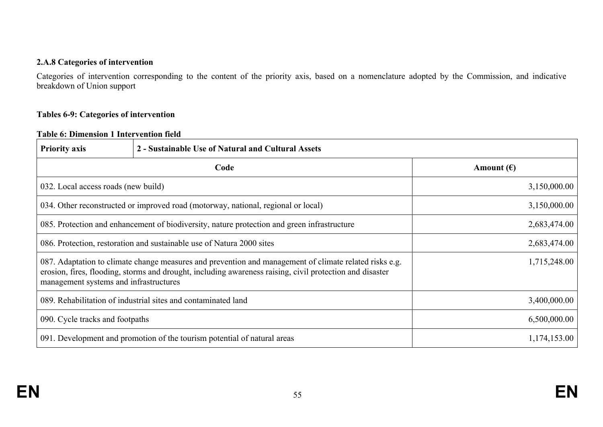#### **2.A.8 Categories of intervention**

Categories of intervention corresponding to the content of the priority axis, based on a nomenclature adopted by the Commission, and indicative breakdown of Union support

#### **Tables 6-9: Categories of intervention**

#### **Table 6: Dimension 1 Intervention field**

| <b>Priority axis</b>                                                                                                                                                                                                                                         | 2 - Sustainable Use of Natural and Cultural Assets                                |                     |
|--------------------------------------------------------------------------------------------------------------------------------------------------------------------------------------------------------------------------------------------------------------|-----------------------------------------------------------------------------------|---------------------|
|                                                                                                                                                                                                                                                              | Code                                                                              | Amount $(\epsilon)$ |
| 032. Local access roads (new build)                                                                                                                                                                                                                          |                                                                                   | 3,150,000.00        |
|                                                                                                                                                                                                                                                              | 034. Other reconstructed or improved road (motorway, national, regional or local) | 3,150,000.00        |
| 085. Protection and enhancement of biodiversity, nature protection and green infrastructure                                                                                                                                                                  |                                                                                   | 2,683,474.00        |
| 086. Protection, restoration and sustainable use of Natura 2000 sites                                                                                                                                                                                        |                                                                                   | 2,683,474.00        |
| 087. Adaptation to climate change measures and prevention and management of climate related risks e.g.<br>erosion, fires, flooding, storms and drought, including awareness raising, civil protection and disaster<br>management systems and infrastructures |                                                                                   | 1,715,248.00        |
| 089. Rehabilitation of industrial sites and contaminated land                                                                                                                                                                                                |                                                                                   | 3,400,000.00        |
| 090. Cycle tracks and footpaths                                                                                                                                                                                                                              |                                                                                   | 6,500,000.00        |
| 091. Development and promotion of the tourism potential of natural areas                                                                                                                                                                                     |                                                                                   | 1,174,153.00        |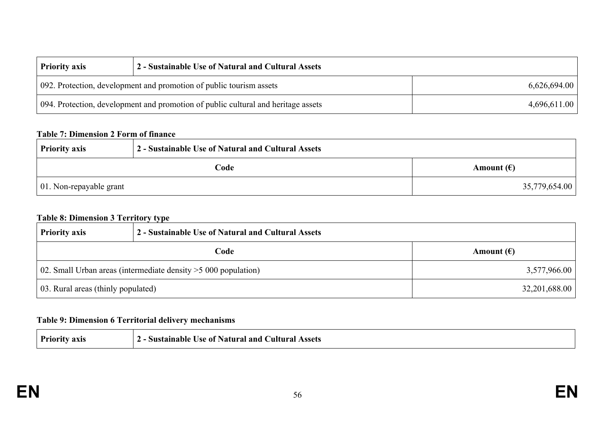| <b>Priority axis</b>                                                              | 2 - Sustainable Use of Natural and Cultural Assets |              |
|-----------------------------------------------------------------------------------|----------------------------------------------------|--------------|
| 092. Protection, development and promotion of public tourism assets               |                                                    | 6,626,694.00 |
| 094. Protection, development and promotion of public cultural and heritage assets |                                                    | 4,696,611.00 |

#### **Table 7: Dimension 2 Form of finance**

| <b>Priority axis</b>            | 2 - Sustainable Use of Natural and Cultural Assets |                     |
|---------------------------------|----------------------------------------------------|---------------------|
|                                 | Code                                               | Amount $(\epsilon)$ |
| $\vert$ 01. Non-repayable grant |                                                    | 35,779,654.00       |

## **Table 8: Dimension 3 Territory type**

| <b>Priority axis</b>                                                      | 2 - Sustainable Use of Natural and Cultural Assets |                     |
|---------------------------------------------------------------------------|----------------------------------------------------|---------------------|
| Code                                                                      |                                                    | Amount $(\epsilon)$ |
| $\vert$ 02. Small Urban areas (intermediate density $>$ 5 000 population) |                                                    | 3,577,966.00        |
| 03. Rural areas (thinly populated)                                        |                                                    | 32,201,688.00       |

# **Table 9: Dimension 6 Territorial delivery mechanisms**

| Priority axis | - Sustainable Use of Natural and Cultural Assets |  |
|---------------|--------------------------------------------------|--|
|               |                                                  |  |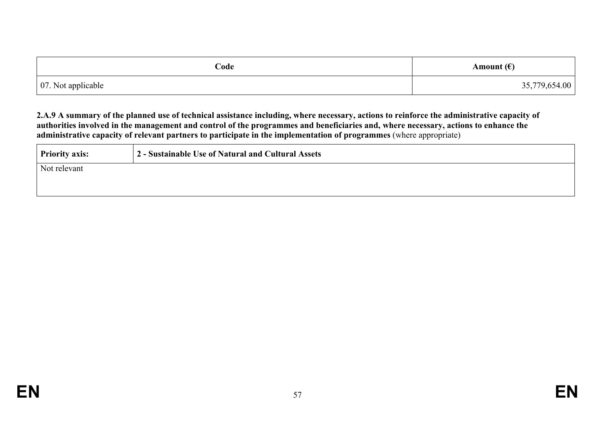| Code               | Amount $(\epsilon)$ |
|--------------------|---------------------|
| 07. Not applicable | 35,779,654.00       |

2.A.9 A summary of the planned use of technical assistance including, where necessary, actions to reinforce the administrative capacity of authorities involved in the management and control of the programmes and beneficiaries and, where necessary, actions to enhance the **administrative capacity of relevant partners to participate in the implementation of programmes** (where appropriate)

| <b>Priority axis:</b> | 2 - Sustainable Use of Natural and Cultural Assets |
|-----------------------|----------------------------------------------------|
| Not relevant          |                                                    |
|                       |                                                    |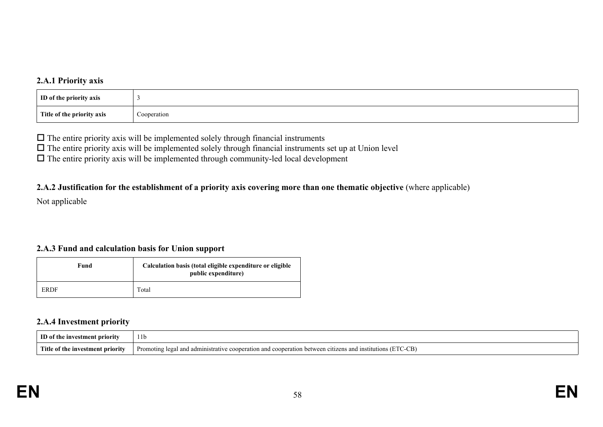#### **2.A.1 Priority axis**

| ID of the priority axis    |             |
|----------------------------|-------------|
| Title of the priority axis | Cooperation |

 $\Box$  The entire priority axis will be implemented solely through financial instruments

 $\Box$  The entire priority axis will be implemented solely through financial instruments set up at Union level

 $\Box$  The entire priority axis will be implemented through community-led local development

#### 2.A.2 Justification for the establishment of a priority axis covering more than one thematic objective (where applicable)

Not applicable

### **2.A.3 Fund and calculation basis for Union support**

| Fund        | Calculation basis (total eligible expenditure or eligible<br>public expenditure) |
|-------------|----------------------------------------------------------------------------------|
| <b>ERDF</b> | Total                                                                            |

#### **2.A.4 Investment priority**

| m<br>nrıorı<br>ш                                       | 11 <sub>b</sub>                                                                                                                     |
|--------------------------------------------------------|-------------------------------------------------------------------------------------------------------------------------------------|
| Title <sub>1</sub><br>stment priority<br>1nv6<br>⊺ TN€ | $\sim$ $\sim$<br>Promoting legal<br>and.<br>administrative<br>ation.<br>cooperation<br>and<br>vstitutions v<br>cooper<br>and<br>√…⊡ |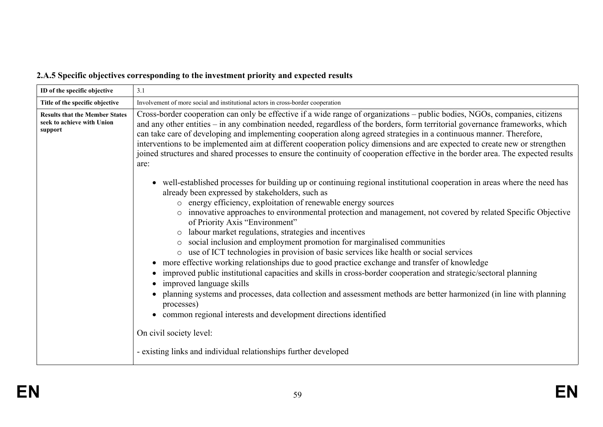# **2.A.5 Specific objectives corresponding to the investment priority and expected results**

| ID of the specific objective                                                   | 3.1                                                                                                                                                                                                                                                                                                                                                                                                                                                                                                                                                                                                                                                                                                                                                                                                                                                                                                                                                                                                                                                                                                                                                                                                                          |
|--------------------------------------------------------------------------------|------------------------------------------------------------------------------------------------------------------------------------------------------------------------------------------------------------------------------------------------------------------------------------------------------------------------------------------------------------------------------------------------------------------------------------------------------------------------------------------------------------------------------------------------------------------------------------------------------------------------------------------------------------------------------------------------------------------------------------------------------------------------------------------------------------------------------------------------------------------------------------------------------------------------------------------------------------------------------------------------------------------------------------------------------------------------------------------------------------------------------------------------------------------------------------------------------------------------------|
| Title of the specific objective                                                | Involvement of more social and institutional actors in cross-border cooperation                                                                                                                                                                                                                                                                                                                                                                                                                                                                                                                                                                                                                                                                                                                                                                                                                                                                                                                                                                                                                                                                                                                                              |
| <b>Results that the Member States</b><br>seek to achieve with Union<br>support | Cross-border cooperation can only be effective if a wide range of organizations – public bodies, NGOs, companies, citizens<br>and any other entities – in any combination needed, regardless of the borders, form territorial governance frameworks, which<br>can take care of developing and implementing cooperation along agreed strategies in a continuous manner. Therefore,<br>interventions to be implemented aim at different cooperation policy dimensions and are expected to create new or strengthen<br>joined structures and shared processes to ensure the continuity of cooperation effective in the border area. The expected results<br>are:                                                                                                                                                                                                                                                                                                                                                                                                                                                                                                                                                                |
|                                                                                | well-established processes for building up or continuing regional institutional cooperation in areas where the need has<br>already been expressed by stakeholders, such as<br>o energy efficiency, exploitation of renewable energy sources<br>o innovative approaches to environmental protection and management, not covered by related Specific Objective<br>of Priority Axis "Environment"<br>labour market regulations, strategies and incentives<br>$\circ$<br>social inclusion and employment promotion for marginalised communities<br>$\circ$<br>use of ICT technologies in provision of basic services like health or social services<br>$\circ$<br>more effective working relationships due to good practice exchange and transfer of knowledge<br>improved public institutional capacities and skills in cross-border cooperation and strategic/sectoral planning<br>improved language skills<br>planning systems and processes, data collection and assessment methods are better harmonized (in line with planning<br>processes)<br>common regional interests and development directions identified<br>$\bullet$<br>On civil society level:<br>- existing links and individual relationships further developed |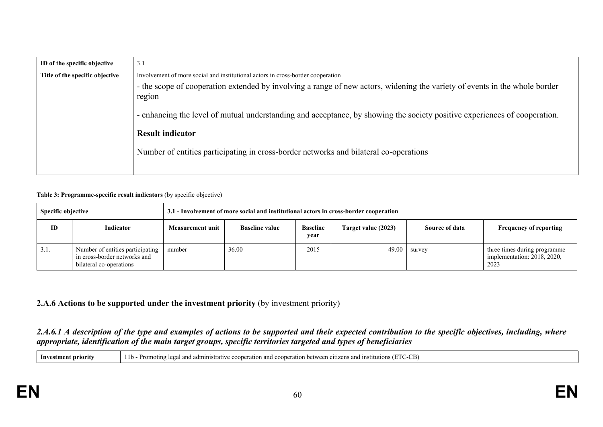| ID of the specific objective    | 3.1                                                                                                                                  |
|---------------------------------|--------------------------------------------------------------------------------------------------------------------------------------|
| Title of the specific objective | Involvement of more social and institutional actors in cross-border cooperation                                                      |
|                                 | - the scope of cooperation extended by involving a range of new actors, widening the variety of events in the whole border<br>region |
|                                 | - enhancing the level of mutual understanding and acceptance, by showing the society positive experiences of cooperation.            |
|                                 | <b>Result indicator</b>                                                                                                              |
|                                 | Number of entities participating in cross-border networks and bilateral co-operations                                                |
|                                 |                                                                                                                                      |

#### **Table 3: Programme-specific result indicators** (by specific objective)

| Specific objective |                                                                                             | 3.1 - Involvement of more social and institutional actors in cross-border cooperation |                       |                         |                     |                |                                                                     |  |  |
|--------------------|---------------------------------------------------------------------------------------------|---------------------------------------------------------------------------------------|-----------------------|-------------------------|---------------------|----------------|---------------------------------------------------------------------|--|--|
| ID                 | Indicator                                                                                   | <b>Measurement unit</b>                                                               | <b>Baseline value</b> | <b>Baseline</b><br>year | Target value (2023) | Source of data | <b>Frequency of reporting</b>                                       |  |  |
| 3.1.               | Number of entities participating<br>in cross-border networks and<br>bilateral co-operations | number                                                                                | 36.00                 | 2015                    | 49.00               | survey         | three times during programme<br>implementation: 2018, 2020,<br>2023 |  |  |

#### **2.A.6 Actions to be supported under the investment priority** (by investment priority)

#### 2.A.6.1 A description of the type and examples of actions to be supported and their expected contribution to the specific objectives, including, where *appropriate, identification of the main target groups, specific territories targeted and types of beneficiaries*

| Investment priority | 11b - Promoting legal and administrative cooperation and cooperation between citizens and institutions (ETC-CB) |
|---------------------|-----------------------------------------------------------------------------------------------------------------|
|---------------------|-----------------------------------------------------------------------------------------------------------------|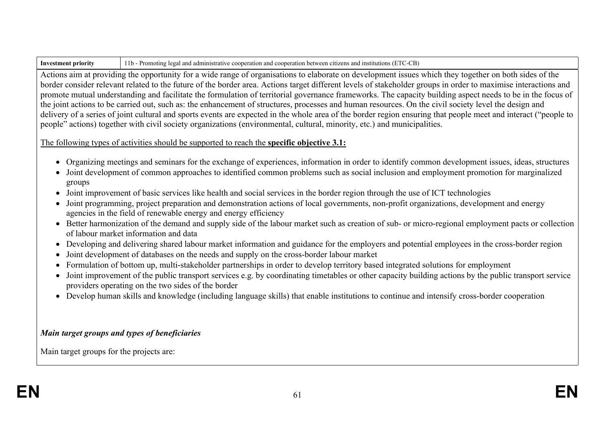| -Investment pri | $\mu$ legal and administrative cooperation and cooperation between citizens and institutions ( $\tau$ ).<br>CB<br><b>Promoting</b> |
|-----------------|------------------------------------------------------------------------------------------------------------------------------------|
|                 |                                                                                                                                    |

Actions aim at providing the opportunity for a wide range of organisations to elaborate on development issues which they together on both sides of the border consider relevant related to the future of the border area. Actions target different levels of stakeholder groups in order to maximise interactions and promote mutual understanding and facilitate the formulation of territorial governance frameworks. The capacity building aspect needs to be in the focus of the joint actions to be carried out, such as: the enhancement of structures, processes and human resources. On the civil society level the design and delivery of a series of joint cultural and sports events are expected in the whole area of the border region ensuring that people meet and interact ("people to people" actions) together with civil society organizations (environmental, cultural, minority, etc.) and municipalities.

# The following types of activities should be supported to reach the **specific objective 3.1:**

- Organizing meetings and seminars for the exchange of experiences, information in order to identify common development issues, ideas, structures
- Joint development of common approaches to identified common problems such as social inclusion and employment promotion for marginalized groups
- Joint improvement of basic services like health and social services in the border region through the use of ICT technologies
- Joint programming, project preparation and demonstration actions of local governments, non-profit organizations, development and energy agencies in the field of renewable energy and energy efficiency
- Better harmonization of the demand and supply side of the labour market such as creation of sub- or micro-regional employment pacts or collection of labour market information and data
- Developing and delivering shared labour market information and guidance for the employers and potential employees in the cross-border region
- Joint development of databases on the needs and supply on the cross-border labour market
- Formulation of bottom up, multi-stakeholder partnerships in order to develop territory based integrated solutions for employment
- Joint improvement of the public transport services e.g. by coordinating timetables or other capacity building actions by the public transport service providers operating on the two sides of the border
- Develop human skills and knowledge (including language skills) that enable institutions to continue and intensify cross-border cooperation

# *Main target groups and types of beneficiaries*

Main target groups for the projects are: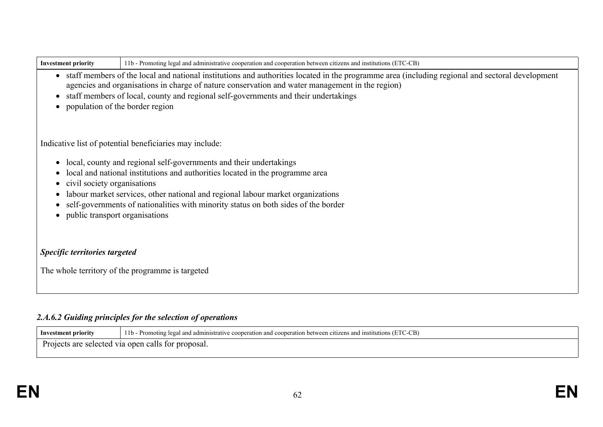| <b>Investment priority</b>    | 11b - Promoting legal and administrative cooperation and cooperation between citizens and institutions (ETC-CB)                                                                                                                                      |
|-------------------------------|------------------------------------------------------------------------------------------------------------------------------------------------------------------------------------------------------------------------------------------------------|
|                               | • staff members of the local and national institutions and authorities located in the programme area (including regional and sectoral development<br>agencies and organisations in charge of nature conservation and water management in the region) |
|                               | staff members of local, county and regional self-governments and their undertakings                                                                                                                                                                  |
|                               | population of the border region                                                                                                                                                                                                                      |
|                               |                                                                                                                                                                                                                                                      |
|                               | Indicative list of potential beneficiaries may include:                                                                                                                                                                                              |
|                               | local, county and regional self-governments and their undertakings                                                                                                                                                                                   |
|                               | local and national institutions and authorities located in the programme area                                                                                                                                                                        |
| civil society organisations   |                                                                                                                                                                                                                                                      |
|                               | labour market services, other national and regional labour market organizations<br>self-governments of nationalities with minority status on both sides of the border                                                                                |
|                               | public transport organisations                                                                                                                                                                                                                       |
|                               |                                                                                                                                                                                                                                                      |
| Specific territories targeted |                                                                                                                                                                                                                                                      |
|                               | The whole territory of the programme is targeted                                                                                                                                                                                                     |
|                               |                                                                                                                                                                                                                                                      |
|                               |                                                                                                                                                                                                                                                      |
|                               | 2.A.6.2 Guiding principles for the selection of operations                                                                                                                                                                                           |

| - Investment priority | $11b -$<br>TC-CB`<br>- Promoting le<br>l institutions (<br>i and cooperation between citizens and<br>and administrative cooperation |
|-----------------------|-------------------------------------------------------------------------------------------------------------------------------------|
| $\sqrt{ }$            | Projects are selected via open calls for proposal.                                                                                  |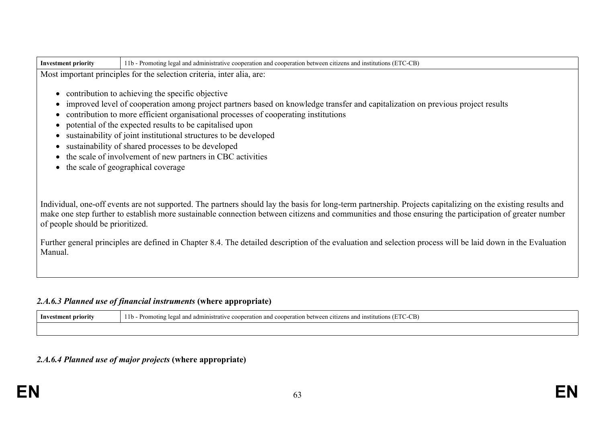| <b>Investment priority</b>                                                                           | 11b - Promoting legal and administrative cooperation and cooperation between citizens and institutions (ETC-CB)                                                                                                                                                                                                                                                                                                                                                                                                                                                      |
|------------------------------------------------------------------------------------------------------|----------------------------------------------------------------------------------------------------------------------------------------------------------------------------------------------------------------------------------------------------------------------------------------------------------------------------------------------------------------------------------------------------------------------------------------------------------------------------------------------------------------------------------------------------------------------|
|                                                                                                      | Most important principles for the selection criteria, inter alia, are:                                                                                                                                                                                                                                                                                                                                                                                                                                                                                               |
| $\bullet$<br>$\bullet$<br>$\bullet$<br>$\bullet$<br>$\bullet$<br>$\bullet$<br>$\bullet$<br>$\bullet$ | contribution to achieving the specific objective<br>improved level of cooperation among project partners based on knowledge transfer and capitalization on previous project results<br>contribution to more efficient organisational processes of cooperating institutions<br>potential of the expected results to be capitalised upon<br>sustainability of joint institutional structures to be developed<br>sustainability of shared processes to be developed<br>the scale of involvement of new partners in CBC activities<br>the scale of geographical coverage |
| of people should be prioritized.                                                                     | Individual, one-off events are not supported. The partners should lay the basis for long-term partnership. Projects capitalizing on the existing results and<br>make one step further to establish more sustainable connection between citizens and communities and those ensuring the participation of greater number                                                                                                                                                                                                                                               |
| Manual.                                                                                              | Further general principles are defined in Chapter 8.4. The detailed description of the evaluation and selection process will be laid down in the Evaluation                                                                                                                                                                                                                                                                                                                                                                                                          |

# *2.A.6.3 Planned use of financial instruments* **(where appropriate)**

| — Inv<br>priority<br>:tment | $\sim$<br>CB)<br>institutior<br>.<br>ministrative c<br>`∩∩ne<br>. between<br>moting<br>and coopera<br>י היר<br>$-10$ .<br>ition.<br>$\mathbf{u}$<br>an.<br>Ωr<br>17. |
|-----------------------------|----------------------------------------------------------------------------------------------------------------------------------------------------------------------|
|                             |                                                                                                                                                                      |

# *2.A.6.4 Planned use of major projects* **(where appropriate)**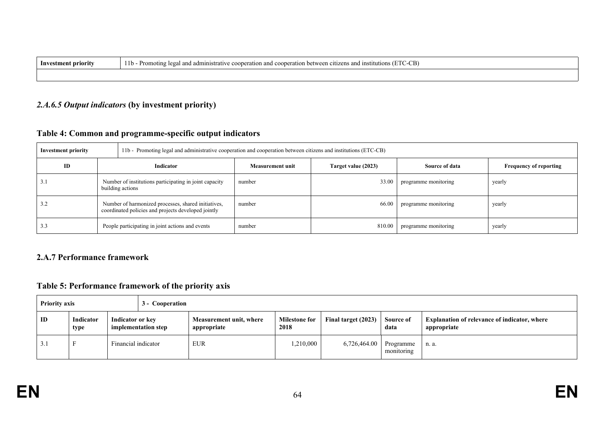| Inv<br>t príoritv | 'C-CB'<br>11b<br>ʻromoj<br>ation between<br>utions<br>ritizens and<br>unstit<br>.uministrative<br>⊶∩ner<br>$\cdots$<br>en o<br>. |
|-------------------|----------------------------------------------------------------------------------------------------------------------------------|
|                   |                                                                                                                                  |

#### *2.A.6.5 Output indicators* **(by investment priority)**

# **Table 4: Common and programme-specific output indicators**

| <b>Investment priority</b> |                                                                                                            | 11b - Promoting legal and administrative cooperation and cooperation between citizens and institutions (ETC-CB) |                         |                     |                      |                               |  |  |  |
|----------------------------|------------------------------------------------------------------------------------------------------------|-----------------------------------------------------------------------------------------------------------------|-------------------------|---------------------|----------------------|-------------------------------|--|--|--|
| ID                         |                                                                                                            | Indicator                                                                                                       | <b>Measurement unit</b> | Target value (2023) | Source of data       | <b>Frequency of reporting</b> |  |  |  |
| 5.1                        | Number of institutions participating in joint capacity<br>building actions                                 |                                                                                                                 | number                  | 33.00               | programme monitoring | yearly                        |  |  |  |
| 3.2                        | Number of harmonized processes, shared initiatives,<br>coordinated policies and projects developed jointly |                                                                                                                 | number                  | 66.00               | programme monitoring | yearly                        |  |  |  |
| 3.3                        |                                                                                                            | People participating in joint actions and events                                                                | number                  | 810.00              | programme monitoring | yearly                        |  |  |  |

# **2.A.7 Performance framework**

# **Table 5: Performance framework of the priority axis**

| <b>Priority axis</b> |                   | 3 - Cooperation |                                                                                   |  |                              |                     |                   |                                                                    |       |
|----------------------|-------------------|-----------------|-----------------------------------------------------------------------------------|--|------------------------------|---------------------|-------------------|--------------------------------------------------------------------|-------|
| ID                   | Indicator<br>type |                 | Indicator or key<br>Measurement unit, where<br>implementation step<br>appropriate |  | <b>Milestone for</b><br>2018 | Final target (2023) | Source of<br>data | <b>Explanation of relevance of indicator, where</b><br>appropriate |       |
| 3.1                  |                   |                 | Financial indicator                                                               |  | <b>EUR</b>                   | 1,210,000           | 6,726,464.00      | Programme<br>monitoring                                            | n. a. |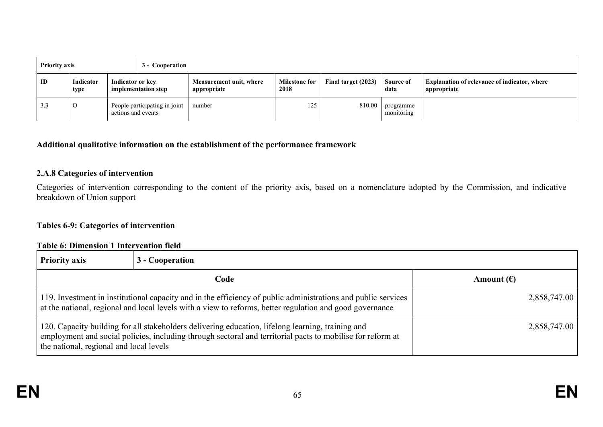| <b>Priority axis</b> |                   |                                         | 3 - Cooperation               |                                                                        |     |                     |                         |                                                                    |  |
|----------------------|-------------------|-----------------------------------------|-------------------------------|------------------------------------------------------------------------|-----|---------------------|-------------------------|--------------------------------------------------------------------|--|
| ID                   | Indicator<br>type | Indicator or key<br>implementation step |                               | <b>Milestone for</b><br>Measurement unit, where<br>2018<br>appropriate |     | Final target (2023) | Source of<br>data       | <b>Explanation of relevance of indicator, where</b><br>appropriate |  |
| 3.3                  | $\Omega$          | actions and events                      | People participating in joint | number                                                                 | 125 | 810.00              | programme<br>monitoring |                                                                    |  |

### **Additional qualitative information on the establishment of the performance framework**

#### **2.A.8 Categories of intervention**

Categories of intervention corresponding to the content of the priority axis, based on a nomenclature adopted by the Commission, and indicative breakdown of Union support

### **Tables 6-9: Categories of intervention**

#### **Table 6: Dimension 1 Intervention field**

| <b>Priority axis</b>                                                                                                                                                                                                                                       | 3 - Cooperation                                                                                                                                                                                                           |                     |  |  |  |  |  |
|------------------------------------------------------------------------------------------------------------------------------------------------------------------------------------------------------------------------------------------------------------|---------------------------------------------------------------------------------------------------------------------------------------------------------------------------------------------------------------------------|---------------------|--|--|--|--|--|
|                                                                                                                                                                                                                                                            | Code                                                                                                                                                                                                                      | Amount $(\epsilon)$ |  |  |  |  |  |
|                                                                                                                                                                                                                                                            | 119. Investment in institutional capacity and in the efficiency of public administrations and public services<br>at the national, regional and local levels with a view to reforms, better regulation and good governance | 2,858,747.00        |  |  |  |  |  |
| 120. Capacity building for all stakeholders delivering education, lifelong learning, training and<br>employment and social policies, including through sectoral and territorial pacts to mobilise for reform at<br>the national, regional and local levels | 2,858,747.00                                                                                                                                                                                                              |                     |  |  |  |  |  |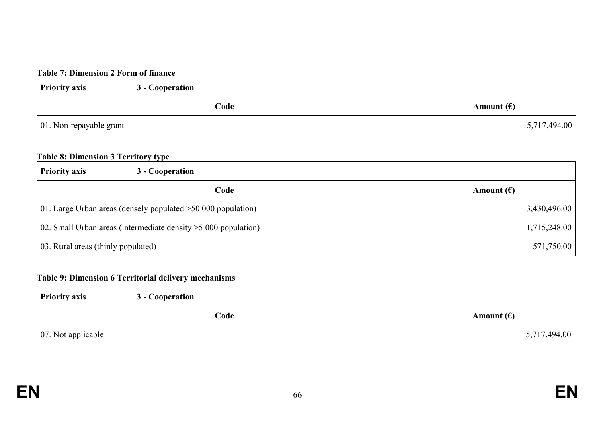## **Table 7: Dimension 2 Form of finance**

| <b>Priority axis</b>            | 3 - Cooperation |                     |  |
|---------------------------------|-----------------|---------------------|--|
|                                 | Code            | Amount $(\epsilon)$ |  |
| $\vert$ 01. Non-repayable grant |                 | 5,717,494.00        |  |

#### **Table 8: Dimension 3 Territory type**

| <b>Priority axis</b>                                                           | 3 - Cooperation |                     |  |  |
|--------------------------------------------------------------------------------|-----------------|---------------------|--|--|
| Code                                                                           |                 | Amount $(\epsilon)$ |  |  |
| 01. Large Urban areas (densely populated $>50,000$ population)<br>3,430,496.00 |                 |                     |  |  |
| 02. Small Urban areas (intermediate density $>$ 5 000 population)              | 1,715,248.00    |                     |  |  |
| 03. Rural areas (thinly populated)                                             | 571,750.00      |                     |  |  |

# **Table 9: Dimension 6 Territorial delivery mechanisms**

| <b>Priority axis</b>       | 3 - Cooperation |                     |  |
|----------------------------|-----------------|---------------------|--|
|                            | Code            | Amount $(\epsilon)$ |  |
| $\vert$ 07. Not applicable |                 | 5,717,494.00        |  |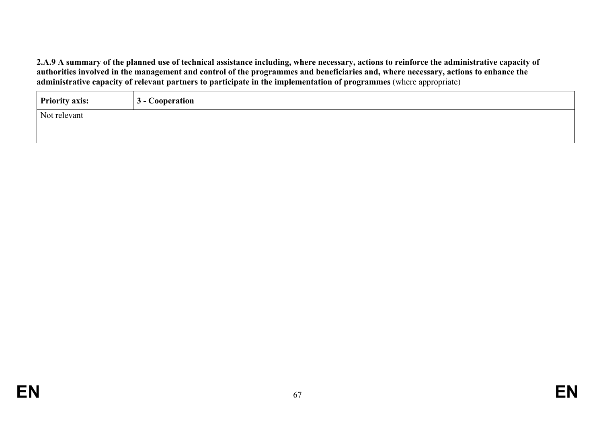2.A.9 A summary of the planned use of technical assistance including, where necessary, actions to reinforce the administrative capacity of authorities involved in the management and control of the programmes and beneficiaries and, where necessary, actions to enhance the **administrative capacity of relevant partners to participate in the implementation of programmes** (where appropriate)

| <b>Priority axis:</b> | 3 - Cooperation |
|-----------------------|-----------------|
| Not relevant          |                 |
|                       |                 |
|                       |                 |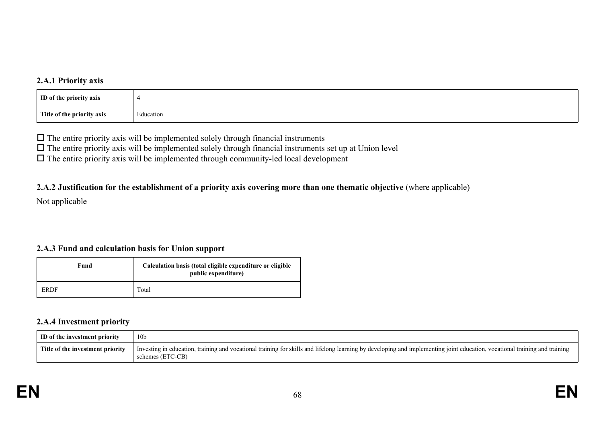#### **2.A.1 Priority axis**

| ID of the priority axis    |           |
|----------------------------|-----------|
| Title of the priority axis | Education |

 $\Box$  The entire priority axis will be implemented solely through financial instruments

 $\Box$  The entire priority axis will be implemented solely through financial instruments set up at Union level

 $\Box$  The entire priority axis will be implemented through community-led local development

#### 2.A.2 Justification for the establishment of a priority axis covering more than one thematic objective (where applicable)

Not applicable

### **2.A.3 Fund and calculation basis for Union support**

| Fund        | Calculation basis (total eligible expenditure or eligible<br>public expenditure) |  |
|-------------|----------------------------------------------------------------------------------|--|
| <b>ERDF</b> | Total                                                                            |  |

#### **2.A.4 Investment priority**

| <b>ID</b> of the investment priority | 10 <sub>b</sub>                                                                                                                                                                                |
|--------------------------------------|------------------------------------------------------------------------------------------------------------------------------------------------------------------------------------------------|
| Title of the investment priority     | Investing in education, training and vocational training for skills and lifelong learning by developing and implementing joint education, vocational training and training<br>schemes (ETC-CB) |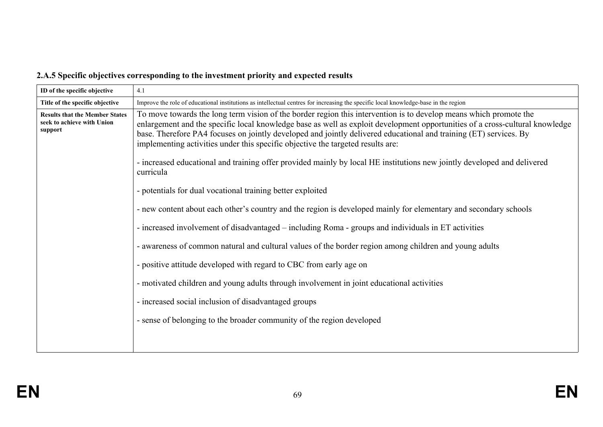# **2.A.5 Specific objectives corresponding to the investment priority and expected results**

| ID of the specific objective                                                                                     | 4.1                                                                                                                                                                                                                                                                                                                                                                                                                                                       |  |  |  |
|------------------------------------------------------------------------------------------------------------------|-----------------------------------------------------------------------------------------------------------------------------------------------------------------------------------------------------------------------------------------------------------------------------------------------------------------------------------------------------------------------------------------------------------------------------------------------------------|--|--|--|
| Title of the specific objective                                                                                  | Improve the role of educational institutions as intellectual centres for increasing the specific local knowledge-base in the region                                                                                                                                                                                                                                                                                                                       |  |  |  |
| <b>Results that the Member States</b><br>seek to achieve with Union<br>support                                   | To move towards the long term vision of the border region this intervention is to develop means which promote the<br>enlargement and the specific local knowledge base as well as exploit development opportunities of a cross-cultural knowledge<br>base. Therefore PA4 focuses on jointly developed and jointly delivered educational and training (ET) services. By<br>implementing activities under this specific objective the targeted results are: |  |  |  |
|                                                                                                                  | - increased educational and training offer provided mainly by local HE institutions new jointly developed and delivered<br>curricula                                                                                                                                                                                                                                                                                                                      |  |  |  |
|                                                                                                                  | - potentials for dual vocational training better exploited                                                                                                                                                                                                                                                                                                                                                                                                |  |  |  |
| - new content about each other's country and the region is developed mainly for elementary and secondary schools |                                                                                                                                                                                                                                                                                                                                                                                                                                                           |  |  |  |
|                                                                                                                  | - increased involvement of disadvantaged – including Roma - groups and individuals in ET activities                                                                                                                                                                                                                                                                                                                                                       |  |  |  |
|                                                                                                                  | - awareness of common natural and cultural values of the border region among children and young adults                                                                                                                                                                                                                                                                                                                                                    |  |  |  |
|                                                                                                                  | - positive attitude developed with regard to CBC from early age on                                                                                                                                                                                                                                                                                                                                                                                        |  |  |  |
|                                                                                                                  | - motivated children and young adults through involvement in joint educational activities                                                                                                                                                                                                                                                                                                                                                                 |  |  |  |
|                                                                                                                  | - increased social inclusion of disadvantaged groups                                                                                                                                                                                                                                                                                                                                                                                                      |  |  |  |
|                                                                                                                  | - sense of belonging to the broader community of the region developed                                                                                                                                                                                                                                                                                                                                                                                     |  |  |  |
|                                                                                                                  |                                                                                                                                                                                                                                                                                                                                                                                                                                                           |  |  |  |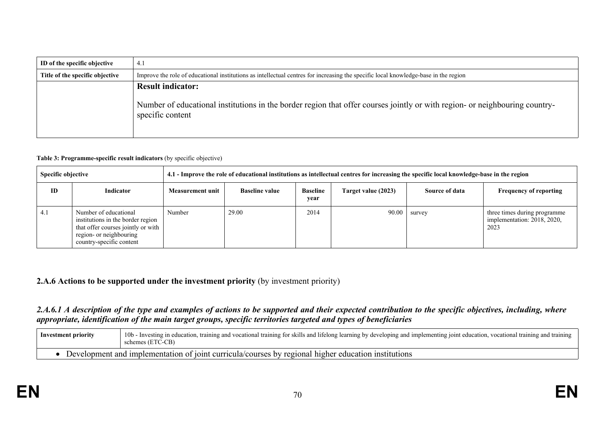| ID of the specific objective    | 4.1                                                                                                                                                                         |  |  |  |
|---------------------------------|-----------------------------------------------------------------------------------------------------------------------------------------------------------------------------|--|--|--|
| Title of the specific objective | Improve the role of educational institutions as intellectual centres for increasing the specific local knowledge-base in the region                                         |  |  |  |
|                                 | <b>Result indicator:</b><br>Number of educational institutions in the border region that offer courses jointly or with region- or neighbouring country-<br>specific content |  |  |  |

#### **Table 3: Programme-specific result indicators** (by specific objective)

| <b>Specific objective</b> |                                                                                                                                                         | 4.1 - Improve the role of educational institutions as intellectual centres for increasing the specific local knowledge-base in the region |                       |                         |                     |                |                                                                     |
|---------------------------|---------------------------------------------------------------------------------------------------------------------------------------------------------|-------------------------------------------------------------------------------------------------------------------------------------------|-----------------------|-------------------------|---------------------|----------------|---------------------------------------------------------------------|
| <b>ID</b>                 | Indicator                                                                                                                                               | Measurement unit                                                                                                                          | <b>Baseline value</b> | <b>Baseline</b><br>year | Target value (2023) | Source of data | <b>Frequency of reporting</b>                                       |
| 4.1                       | Number of educational<br>institutions in the border region<br>that offer courses jointly or with<br>region- or neighbouring<br>country-specific content | Number                                                                                                                                    | 29.00                 | 2014                    |                     | $90.00$ survey | three times during programme<br>implementation: 2018, 2020,<br>2023 |

#### **2.A.6 Actions to be supported under the investment priority** (by investment priority)

## 2.A.6.1 A description of the type and examples of actions to be supported and their expected contribution to the specific objectives, including, where *appropriate, identification of the main target groups, specific territories targeted and types of beneficiaries*

| Investment priority                                                                                 | 10b - Investing in education, training and vocational training for skills and lifelong learning by developing and implementing joint education, vocational training and training<br>schemes (ETC-CB) |
|-----------------------------------------------------------------------------------------------------|------------------------------------------------------------------------------------------------------------------------------------------------------------------------------------------------------|
| Development and implementation of joint curricula/courses by regional higher education institutions |                                                                                                                                                                                                      |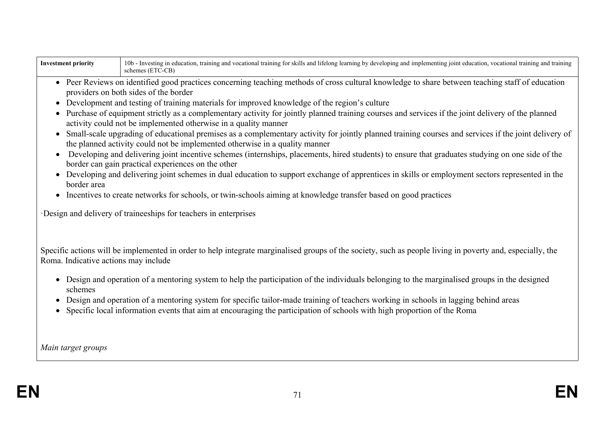| <b>Investment priority</b>                                                                                                                                                                                                                                                                                                                                                                                                                                                                                                                                                                                                                                                                                                                                                                                                                                                                                                                                                                                                                                                                                                                                                                                                                                                                                                              | 10b - Investing in education, training and vocational training for skills and lifelong learning by developing and implementing joint education, vocational training and training<br>schemes (ETC-CB)                                                                                                        |  |  |  |
|-----------------------------------------------------------------------------------------------------------------------------------------------------------------------------------------------------------------------------------------------------------------------------------------------------------------------------------------------------------------------------------------------------------------------------------------------------------------------------------------------------------------------------------------------------------------------------------------------------------------------------------------------------------------------------------------------------------------------------------------------------------------------------------------------------------------------------------------------------------------------------------------------------------------------------------------------------------------------------------------------------------------------------------------------------------------------------------------------------------------------------------------------------------------------------------------------------------------------------------------------------------------------------------------------------------------------------------------|-------------------------------------------------------------------------------------------------------------------------------------------------------------------------------------------------------------------------------------------------------------------------------------------------------------|--|--|--|
| • Peer Reviews on identified good practices concerning teaching methods of cross cultural knowledge to share between teaching staff of education<br>providers on both sides of the border<br>Development and testing of training materials for improved knowledge of the region's culture<br>Purchase of equipment strictly as a complementary activity for jointly planned training courses and services if the joint delivery of the planned<br>activity could not be implemented otherwise in a quality manner<br>Small-scale upgrading of educational premises as a complementary activity for jointly planned training courses and services if the joint delivery of<br>the planned activity could not be implemented otherwise in a quality manner<br>Developing and delivering joint incentive schemes (internships, placements, hired students) to ensure that graduates studying on one side of the<br>border can gain practical experiences on the other<br>Developing and delivering joint schemes in dual education to support exchange of apprentices in skills or employment sectors represented in the<br>border area<br>Incentives to create networks for schools, or twin-schools aiming at knowledge transfer based on good practices<br>$\bullet$<br>Design and delivery of traineeships for teachers in enterprises |                                                                                                                                                                                                                                                                                                             |  |  |  |
| Roma. Indicative actions may include                                                                                                                                                                                                                                                                                                                                                                                                                                                                                                                                                                                                                                                                                                                                                                                                                                                                                                                                                                                                                                                                                                                                                                                                                                                                                                    | Specific actions will be implemented in order to help integrate marginalised groups of the society, such as people living in poverty and, especially, the<br>• Design and operation of a mentoring system to help the participation of the individuals belonging to the marginalised groups in the designed |  |  |  |
| schemes                                                                                                                                                                                                                                                                                                                                                                                                                                                                                                                                                                                                                                                                                                                                                                                                                                                                                                                                                                                                                                                                                                                                                                                                                                                                                                                                 | Design and operation of a mentoring system for specific tailor-made training of teachers working in schools in lagging behind areas<br>Specific local information events that aim at encouraging the participation of schools with high proportion of the Roma                                              |  |  |  |
| Main target groups                                                                                                                                                                                                                                                                                                                                                                                                                                                                                                                                                                                                                                                                                                                                                                                                                                                                                                                                                                                                                                                                                                                                                                                                                                                                                                                      |                                                                                                                                                                                                                                                                                                             |  |  |  |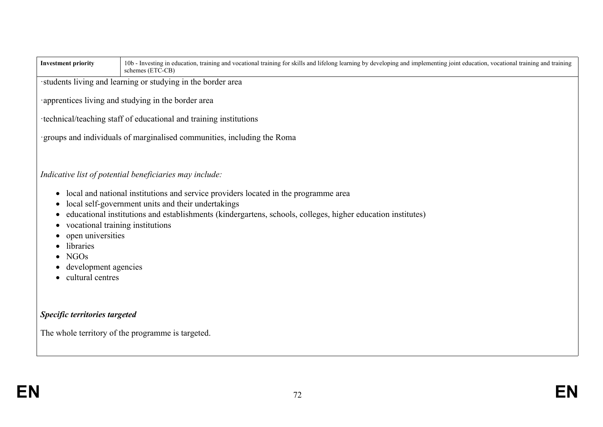| <b>Investment priority</b>                                                                                                                              | 10b - Investing in education, training and vocational training for skills and lifelong learning by developing and implementing joint education, vocational training and training<br>schemes (ETC-CB)                                                                                                                |  |  |  |
|---------------------------------------------------------------------------------------------------------------------------------------------------------|---------------------------------------------------------------------------------------------------------------------------------------------------------------------------------------------------------------------------------------------------------------------------------------------------------------------|--|--|--|
|                                                                                                                                                         | students living and learning or studying in the border area                                                                                                                                                                                                                                                         |  |  |  |
|                                                                                                                                                         | apprentices living and studying in the border area                                                                                                                                                                                                                                                                  |  |  |  |
|                                                                                                                                                         | technical/teaching staff of educational and training institutions                                                                                                                                                                                                                                                   |  |  |  |
|                                                                                                                                                         | groups and individuals of marginalised communities, including the Roma                                                                                                                                                                                                                                              |  |  |  |
| $\bullet$<br>vocational training institutions<br>$\bullet$<br>open universities<br>libraries<br><b>NGOs</b><br>development agencies<br>cultural centres | Indicative list of potential beneficiaries may include:<br>local and national institutions and service providers located in the programme area<br>local self-government units and their undertakings<br>educational institutions and establishments (kindergartens, schools, colleges, higher education institutes) |  |  |  |
| Specific territories targeted                                                                                                                           |                                                                                                                                                                                                                                                                                                                     |  |  |  |
| The whole territory of the programme is targeted.                                                                                                       |                                                                                                                                                                                                                                                                                                                     |  |  |  |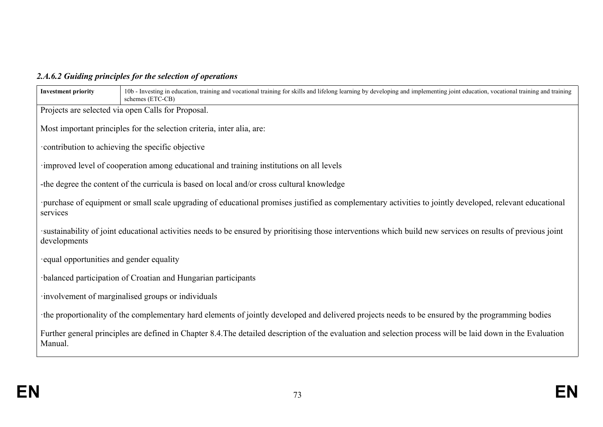# *2.A.6.2 Guiding principles for the selection of operations*

| <b>Investment priority</b>                                                                                                                                                   | 10b - Investing in education, training and vocational training for skills and lifelong learning by developing and implementing joint education, vocational training and training<br>schemes (ETC-CB) |  |  |  |
|------------------------------------------------------------------------------------------------------------------------------------------------------------------------------|------------------------------------------------------------------------------------------------------------------------------------------------------------------------------------------------------|--|--|--|
|                                                                                                                                                                              | Projects are selected via open Calls for Proposal.                                                                                                                                                   |  |  |  |
|                                                                                                                                                                              | Most important principles for the selection criteria, inter alia, are:                                                                                                                               |  |  |  |
|                                                                                                                                                                              |                                                                                                                                                                                                      |  |  |  |
|                                                                                                                                                                              | contribution to achieving the specific objective                                                                                                                                                     |  |  |  |
|                                                                                                                                                                              | improved level of cooperation among educational and training institutions on all levels                                                                                                              |  |  |  |
|                                                                                                                                                                              | -the degree the content of the curricula is based on local and/or cross cultural knowledge                                                                                                           |  |  |  |
| purchase of equipment or small scale upgrading of educational promises justified as complementary activities to jointly developed, relevant educational<br>services          |                                                                                                                                                                                                      |  |  |  |
| sustainability of joint educational activities needs to be ensured by prioritising those interventions which build new services on results of previous joint<br>developments |                                                                                                                                                                                                      |  |  |  |
| equal opportunities and gender equality                                                                                                                                      |                                                                                                                                                                                                      |  |  |  |
| balanced participation of Croatian and Hungarian participants                                                                                                                |                                                                                                                                                                                                      |  |  |  |
| involvement of marginalised groups or individuals                                                                                                                            |                                                                                                                                                                                                      |  |  |  |
| the proportionality of the complementary hard elements of jointly developed and delivered projects needs to be ensured by the programming bodies                             |                                                                                                                                                                                                      |  |  |  |
| Further general principles are defined in Chapter 8.4. The detailed description of the evaluation and selection process will be laid down in the Evaluation<br>Manual.       |                                                                                                                                                                                                      |  |  |  |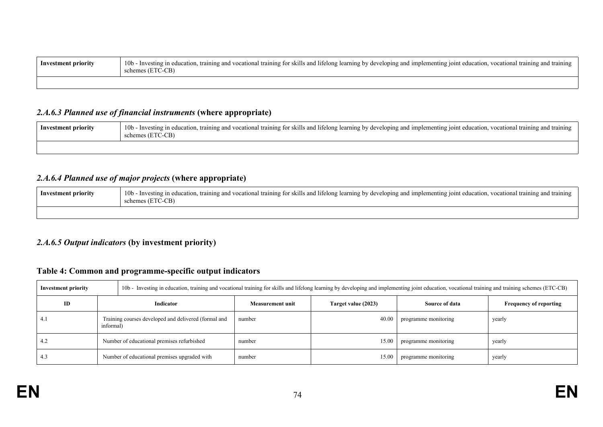| Inv<br>nrıorıtv | $\cdots$<br>10 <sub>b</sub><br>training<br>l training for skills and l<br>telong learning by developing and implementing join<br>training<br>تن raining<br>Investing<br>and vocationa<br>ional<br>education<br>and<br>non<br>CB)<br>. n n |
|-----------------|-------------------------------------------------------------------------------------------------------------------------------------------------------------------------------------------------------------------------------------------|
|                 |                                                                                                                                                                                                                                           |

## *2.A.6.3 Planned use of financial instruments* **(where appropriate)**

| Investment priority | 10 <sub>b</sub><br>I training for skills and lifelong learning by developing and implementing joint education, vocational training and training<br>training and vocational i<br>- Investing in education.<br>ETC-CB)<br>schemes (E<br>co h |
|---------------------|--------------------------------------------------------------------------------------------------------------------------------------------------------------------------------------------------------------------------------------------|
|                     |                                                                                                                                                                                                                                            |

## *2.A.6.4 Planned use of major projects* **(where appropriate)**

| Investment priority | 10b - Investing in education, training and vocational training for skills and lifelong learning by developing and implementing joint education, vocational training and training<br>schemes (ETC-CB) |
|---------------------|------------------------------------------------------------------------------------------------------------------------------------------------------------------------------------------------------|
|                     |                                                                                                                                                                                                      |

## *2.A.6.5 Output indicators* **(by investment priority)**

## **Table 4: Common and programme-specific output indicators**

| <b>Investment priority</b> |                                                                   | 10b - Investing in education, training and vocational training for skills and lifelong learning by developing and implementing joint education, vocational training and training schemes (ETC-CB) |                         |                     |                       |                               |
|----------------------------|-------------------------------------------------------------------|---------------------------------------------------------------------------------------------------------------------------------------------------------------------------------------------------|-------------------------|---------------------|-----------------------|-------------------------------|
| ID                         |                                                                   | Indicator                                                                                                                                                                                         | <b>Measurement unit</b> | Target value (2023) | <b>Source of data</b> | <b>Frequency of reporting</b> |
| -4. I                      | Training courses developed and delivered (formal and<br>informal) |                                                                                                                                                                                                   | number                  | 40.00               | programme monitoring  | yearly                        |
| 4.2                        | Number of educational premises refurbished                        |                                                                                                                                                                                                   | number                  | 15.00               | programme monitoring  | yearly                        |
| 4.3                        | Number of educational premises upgraded with                      |                                                                                                                                                                                                   | number                  | 15.00               | programme monitoring  | yearly                        |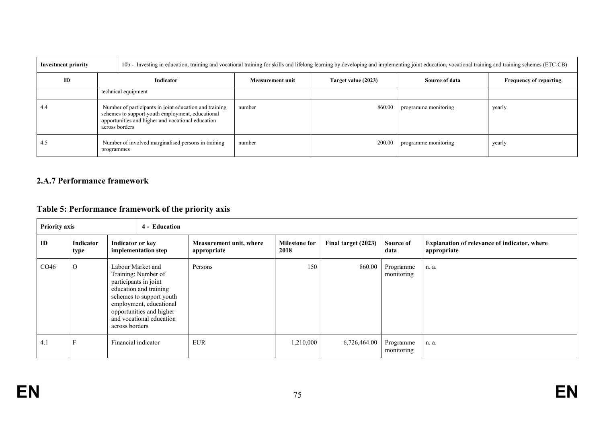| <b>Investment priority</b> | 100 - Investing in education, training and vocational training for skills and lifelong learning by developing and implementing joint education, vocational training and training schemes (ETC-CB) |                                                     |                  |                     |                      |                               |
|----------------------------|---------------------------------------------------------------------------------------------------------------------------------------------------------------------------------------------------|-----------------------------------------------------|------------------|---------------------|----------------------|-------------------------------|
| ID                         | Indicator                                                                                                                                                                                         |                                                     | Measurement unit | Target value (2023) | Source of data       | <b>Frequency of reporting</b> |
|                            | technical equipment                                                                                                                                                                               |                                                     |                  |                     |                      |                               |
| 4.4                        | Number of participants in joint education and training<br>schemes to support youth employment, educational<br>opportunities and higher and vocational education<br>across borders                 |                                                     | number           | 860.00              | programme monitoring | yearly                        |
| 4.5                        | programmes                                                                                                                                                                                        | Number of involved marginalised persons in training | number           | 200.00              | programme monitoring | yearly                        |

## **2.A.7 Performance framework**

## **Table 5: Performance framework of the priority axis**

| <b>Priority axis</b><br>4 - Education |                   |                                                                                                                                                                                                                              |  |                                        |                              |                     |                         |                                                                    |
|---------------------------------------|-------------------|------------------------------------------------------------------------------------------------------------------------------------------------------------------------------------------------------------------------------|--|----------------------------------------|------------------------------|---------------------|-------------------------|--------------------------------------------------------------------|
| ID                                    | Indicator<br>type | Indicator or key<br>implementation step                                                                                                                                                                                      |  | Measurement unit, where<br>appropriate | <b>Milestone for</b><br>2018 | Final target (2023) | Source of<br>data       | <b>Explanation of relevance of indicator, where</b><br>appropriate |
| CO <sub>46</sub>                      | $\Omega$          | Labour Market and<br>Training: Number of<br>participants in joint<br>education and training<br>schemes to support youth<br>employment, educational<br>opportunities and higher<br>and vocational education<br>across borders |  | Persons                                | 150                          | 860.00              | Programme<br>monitoring | n. a.                                                              |
| 4.1                                   | Е                 | Financial indicator                                                                                                                                                                                                          |  | <b>EUR</b>                             | 1,210,000                    | 6,726,464.00        | Programme<br>monitoring | n. a.                                                              |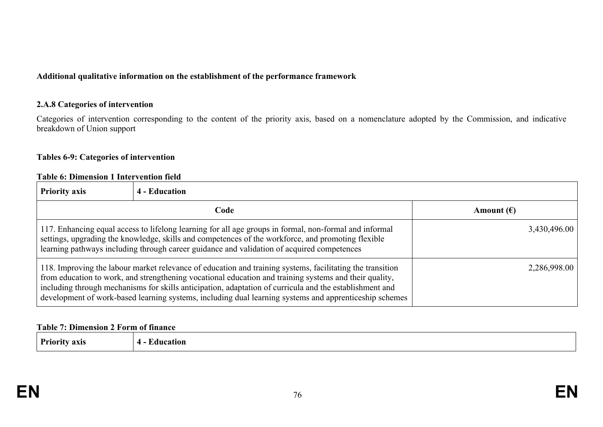#### **Additional qualitative information on the establishment of the performance framework**

#### **2.A.8 Categories of intervention**

Categories of intervention corresponding to the content of the priority axis, based on a nomenclature adopted by the Commission, and indicative breakdown of Union support

## **Tables 6-9: Categories of intervention**

#### **Table 6: Dimension 1 Intervention field**

| <b>Priority axis</b>                                                                                                                                                                                                                                                                                                                                                                                                                     | <b>4 - Education</b> |                     |
|------------------------------------------------------------------------------------------------------------------------------------------------------------------------------------------------------------------------------------------------------------------------------------------------------------------------------------------------------------------------------------------------------------------------------------------|----------------------|---------------------|
|                                                                                                                                                                                                                                                                                                                                                                                                                                          | Code                 | Amount $(\epsilon)$ |
| 117. Enhancing equal access to lifelong learning for all age groups in formal, non-formal and informal<br>settings, upgrading the knowledge, skills and competences of the workforce, and promoting flexible<br>learning pathways including through career guidance and validation of acquired competences                                                                                                                               |                      | 3,430,496.00        |
| 118. Improving the labour market relevance of education and training systems, facilitating the transition<br>from education to work, and strengthening vocational education and training systems and their quality,<br>including through mechanisms for skills anticipation, adaptation of curricula and the establishment and<br>development of work-based learning systems, including dual learning systems and apprenticeship schemes |                      | 2,286,998.00        |

#### **Table 7: Dimension 2 Form of finance**

**Priority axis 4 - Education**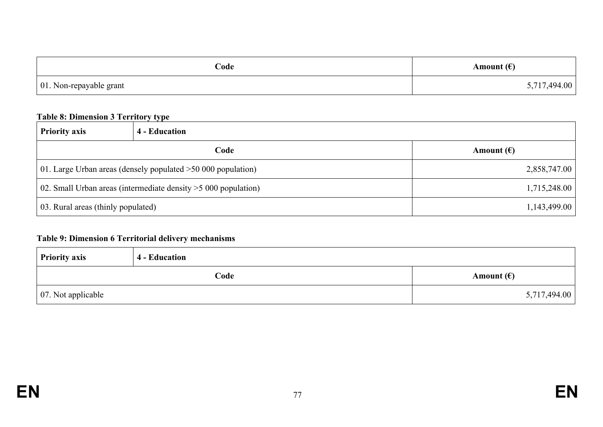| Code                            | Amount $(\epsilon)$ |
|---------------------------------|---------------------|
| $\vert$ 01. Non-repayable grant | 5,717,494.00        |

## **Table 8: Dimension 3 Territory type**

| <b>Priority axis</b>                                              | 4 - Education |                     |
|-------------------------------------------------------------------|---------------|---------------------|
|                                                                   | Code          | Amount $(\epsilon)$ |
| 01. Large Urban areas (densely populated $>50,000$ population)    |               | 2,858,747.00        |
| 02. Small Urban areas (intermediate density $>$ 5 000 population) |               | 1,715,248.00        |
| 03. Rural areas (thinly populated)                                |               | 1,143,499.00        |

## **Table 9: Dimension 6 Territorial delivery mechanisms**

| <b>Priority axis</b>       | 4 - Education |                     |
|----------------------------|---------------|---------------------|
|                            | Code          | Amount $(\epsilon)$ |
| $\vert$ 07. Not applicable |               | 5,717,494.00        |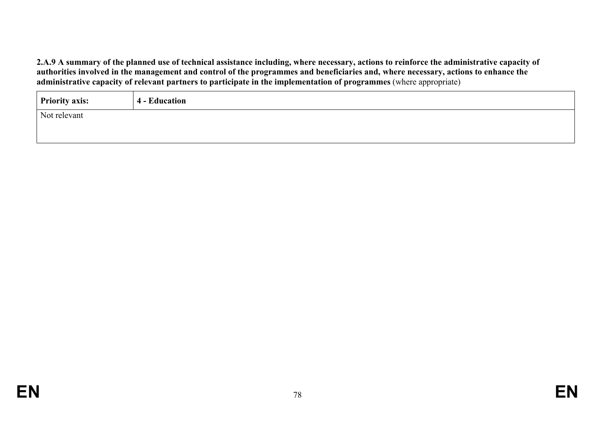2.A.9 A summary of the planned use of technical assistance including, where necessary, actions to reinforce the administrative capacity of authorities involved in the management and control of the programmes and beneficiaries and, where necessary, actions to enhance the **administrative capacity of relevant partners to participate in the implementation of programmes** (where appropriate)

| <b>Priority axis:</b> | <b>4 - Education</b> |
|-----------------------|----------------------|
| Not relevant          |                      |
|                       |                      |
|                       |                      |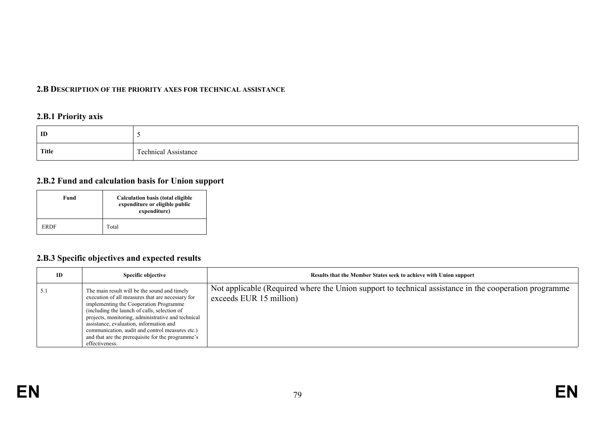#### **2.B DESCRIPTION OF THE PRIORITY AXES FOR TECHNICAL ASSISTANCE**

## **2.B.1 Priority axis**

| ID           |                            |
|--------------|----------------------------|
| <b>Title</b> | Assistance<br>l echnical . |

#### **2.B.2 Fund and calculation basis for Union support**

| Fund        | <b>Calculation basis (total eligible</b><br>expenditure or eligible public<br>expenditure) |
|-------------|--------------------------------------------------------------------------------------------|
| <b>ERDF</b> | Total                                                                                      |

## **2.B.3 Specific objectives and expected results**

| ID | Specific objective                                                                                                                                                                                                                                                                                                                                                                                                    | Results that the Member States seek to achieve with Union support                                                                |
|----|-----------------------------------------------------------------------------------------------------------------------------------------------------------------------------------------------------------------------------------------------------------------------------------------------------------------------------------------------------------------------------------------------------------------------|----------------------------------------------------------------------------------------------------------------------------------|
|    | The main result will be the sound and timely<br>execution of all measures that are necessary for<br>implementing the Cooperation Programme<br>(including the launch of calls, selection of<br>projects, monitoring, administrative and technical<br>assistance, evaluation, information and<br>communication, audit and control measures etc.)<br>and that are the prerequisite for the programme's<br>effectiveness. | Not applicable (Required where the Union support to technical assistance in the cooperation programme<br>exceeds EUR 15 million) |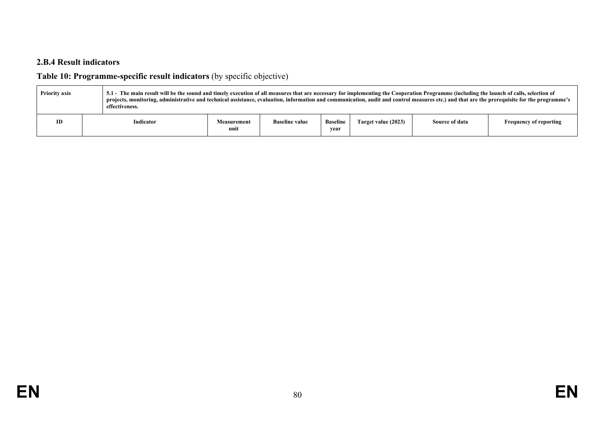## **2.B.4 Result indicators**

# **Table 10: Programme-specific result indicators** (by specific objective)

| <b>Priority axis</b> |  | 5.1 - The main result will be the sound and timely execution of all measures that are necessary for implementing the Cooperation Programme (including the launch of calls, selection of<br>projects, monitoring, administrative and technical assistance, evaluation, information and communication, audit and control measures etc.) and that are the prerequisite for the programme's<br>effectiveness. |                     |                       |                         |                     |                |                               |
|----------------------|--|-----------------------------------------------------------------------------------------------------------------------------------------------------------------------------------------------------------------------------------------------------------------------------------------------------------------------------------------------------------------------------------------------------------|---------------------|-----------------------|-------------------------|---------------------|----------------|-------------------------------|
| ID                   |  | Indicator                                                                                                                                                                                                                                                                                                                                                                                                 | Measurement<br>unit | <b>Baseline value</b> | <b>Baseline</b><br>vear | Target value (2023) | Source of data | <b>Frequency of reporting</b> |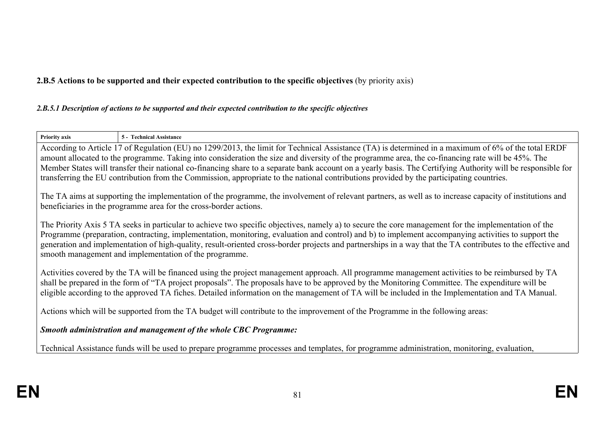## **2.B.5 Actions to be supported and their expected contribution to the specific objectives** (by priority axis)

#### *2.B.5.1 Description of actions to be supported and their expected contribution to the specific objectives*

| <b>Priority axis</b>                                                                                                                                                                                                                                                                                                                                                                                                                                                                                                                                                                                                 | 5 - Technical Assistance                                                                                                                                                                                                      |  |  |
|----------------------------------------------------------------------------------------------------------------------------------------------------------------------------------------------------------------------------------------------------------------------------------------------------------------------------------------------------------------------------------------------------------------------------------------------------------------------------------------------------------------------------------------------------------------------------------------------------------------------|-------------------------------------------------------------------------------------------------------------------------------------------------------------------------------------------------------------------------------|--|--|
| According to Article 17 of Regulation (EU) no 1299/2013, the limit for Technical Assistance (TA) is determined in a maximum of 6% of the total ERDF<br>amount allocated to the programme. Taking into consideration the size and diversity of the programme area, the co-financing rate will be 45%. The<br>Member States will transfer their national co-financing share to a separate bank account on a yearly basis. The Certifying Authority will be responsible for<br>transferring the EU contribution from the Commission, appropriate to the national contributions provided by the participating countries. |                                                                                                                                                                                                                               |  |  |
|                                                                                                                                                                                                                                                                                                                                                                                                                                                                                                                                                                                                                      | The TA aims at supporting the implementation of the programme, the involvement of relevant partners, as well as to increase capacity of institutions and<br>beneficiaries in the programme area for the cross-border actions. |  |  |
| The Priority Axis 5 TA seeks in particular to achieve two specific objectives, namely a) to secure the core management for the implementation of the<br>Programme (preparation, contracting, implementation, monitoring, evaluation and control) and b) to implement accompanying activities to support the<br>generation and implementation of high-quality, result-oriented cross-border projects and partnerships in a way that the TA contributes to the effective and<br>smooth management and implementation of the programme.                                                                                 |                                                                                                                                                                                                                               |  |  |
| Activities covered by the TA will be financed using the project management approach. All programme management activities to be reimbursed by TA<br>shall be prepared in the form of "TA project proposals". The proposals have to be approved by the Monitoring Committee. The expenditure will be<br>eligible according to the approved TA fiches. Detailed information on the management of TA will be included in the Implementation and TA Manual.                                                                                                                                                               |                                                                                                                                                                                                                               |  |  |
| Actions which will be supported from the TA budget will contribute to the improvement of the Programme in the following areas:                                                                                                                                                                                                                                                                                                                                                                                                                                                                                       |                                                                                                                                                                                                                               |  |  |
| Smooth administration and management of the whole CBC Programme:                                                                                                                                                                                                                                                                                                                                                                                                                                                                                                                                                     |                                                                                                                                                                                                                               |  |  |
| Technical Assistance funds will be used to prepare programme processes and templates, for programme administration, monitoring, evaluation,                                                                                                                                                                                                                                                                                                                                                                                                                                                                          |                                                                                                                                                                                                                               |  |  |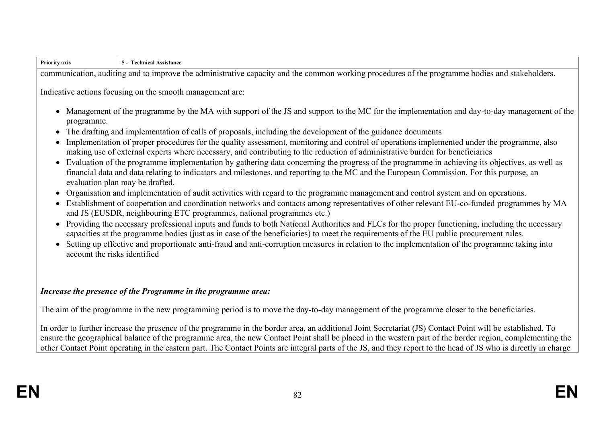| <b>Priority axis</b>                                                                                                                           | 5 - Technical Assistance                                                                                                                                                                                                                                                                                                                                                                                                                                                                                                                                                                                                                                                                                                                                                                                                                                                                                                                                                                                                                                                                                                                                                                                                                                                                                                                                                                                                                                                                                                                                                                                                                                                                                                                               |  |  |
|------------------------------------------------------------------------------------------------------------------------------------------------|--------------------------------------------------------------------------------------------------------------------------------------------------------------------------------------------------------------------------------------------------------------------------------------------------------------------------------------------------------------------------------------------------------------------------------------------------------------------------------------------------------------------------------------------------------------------------------------------------------------------------------------------------------------------------------------------------------------------------------------------------------------------------------------------------------------------------------------------------------------------------------------------------------------------------------------------------------------------------------------------------------------------------------------------------------------------------------------------------------------------------------------------------------------------------------------------------------------------------------------------------------------------------------------------------------------------------------------------------------------------------------------------------------------------------------------------------------------------------------------------------------------------------------------------------------------------------------------------------------------------------------------------------------------------------------------------------------------------------------------------------------|--|--|
| communication, auditing and to improve the administrative capacity and the common working procedures of the programme bodies and stakeholders. |                                                                                                                                                                                                                                                                                                                                                                                                                                                                                                                                                                                                                                                                                                                                                                                                                                                                                                                                                                                                                                                                                                                                                                                                                                                                                                                                                                                                                                                                                                                                                                                                                                                                                                                                                        |  |  |
| programme.<br>$\bullet$<br>account the risks identified                                                                                        | Indicative actions focusing on the smooth management are:<br>• Management of the programme by the MA with support of the JS and support to the MC for the implementation and day-to-day management of the<br>The drafting and implementation of calls of proposals, including the development of the guidance documents<br>Implementation of proper procedures for the quality assessment, monitoring and control of operations implemented under the programme, also<br>making use of external experts where necessary, and contributing to the reduction of administrative burden for beneficiaries<br>• Evaluation of the programme implementation by gathering data concerning the progress of the programme in achieving its objectives, as well as<br>financial data and data relating to indicators and milestones, and reporting to the MC and the European Commission. For this purpose, an<br>evaluation plan may be drafted.<br>• Organisation and implementation of audit activities with regard to the programme management and control system and on operations.<br>Establishment of cooperation and coordination networks and contacts among representatives of other relevant EU-co-funded programmes by MA<br>and JS (EUSDR, neighbouring ETC programmes, national programmes etc.)<br>• Providing the necessary professional inputs and funds to both National Authorities and FLCs for the proper functioning, including the necessary<br>capacities at the programme bodies (just as in case of the beneficiaries) to meet the requirements of the EU public procurement rules.<br>• Setting up effective and proportionate anti-fraud and anti-corruption measures in relation to the implementation of the programme taking into |  |  |
|                                                                                                                                                | Increase the presence of the Programme in the programme area:<br>The aim of the programme in the new programming period is to move the day-to-day management of the programme closer to the beneficiaries.                                                                                                                                                                                                                                                                                                                                                                                                                                                                                                                                                                                                                                                                                                                                                                                                                                                                                                                                                                                                                                                                                                                                                                                                                                                                                                                                                                                                                                                                                                                                             |  |  |

In order to further increase the presence of the programme in the border area, an additional Joint Secretariat (JS) Contact Point will be established. To ensure the geographical balance of the programme area, the new Contact Point shall be placed in the western part of the border region, complementing the other Contact Point operating in the eastern part. The Contact Points are integral parts of the JS, and they report to the head of JS who is directly in charge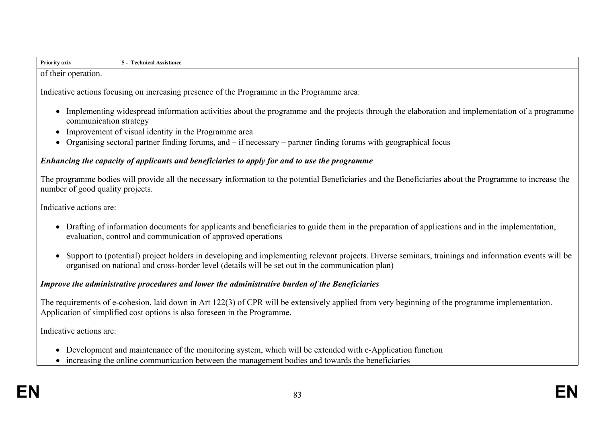| .<br><b>Priority axis</b> | Assistance<br>ncal |
|---------------------------|--------------------|
| operation.<br>their<br>ОT |                    |

Indicative actions focusing on increasing presence of the Programme in the Programme area:

- Implementing widespread information activities about the programme and the projects through the elaboration and implementation of a programme communication strategy
- Improvement of visual identity in the Programme area
- Organising sectoral partner finding forums, and if necessary partner finding forums with geographical focus

#### *Enhancing the capacity of applicants and beneficiaries to apply for and to use the programme*

The programme bodies will provide all the necessary information to the potential Beneficiaries and the Beneficiaries about the Programme to increase the number of good quality projects.

Indicative actions are:

- Drafting of information documents for applicants and beneficiaries to guide them in the preparation of applications and in the implementation, evaluation, control and communication of approved operations
- Support to (potential) project holders in developing and implementing relevant projects. Diverse seminars, trainings and information events will be organised on national and cross-border level (details will be set out in the communication plan)

#### *Improve the administrative procedures and lower the administrative burden of the Beneficiaries*

The requirements of e-cohesion, laid down in Art 122(3) of CPR will be extensively applied from very beginning of the programme implementation. Application of simplified cost options is also foreseen in the Programme.

Indicative actions are:

- Development and maintenance of the monitoring system, which will be extended with e-Application function
- increasing the online communication between the management bodies and towards the beneficiaries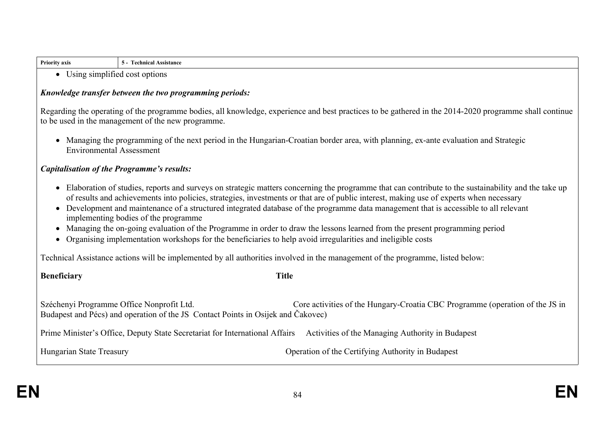| <b>Priority axis</b> | nical Assistance<br>-гесь |
|----------------------|---------------------------|
|                      |                           |

Using simplified cost options

#### *Knowledge transfer between the two programming periods:*

Regarding the operating of the programme bodies, all knowledge, experience and best practices to be gathered in the 2014-2020 programme shall continue to be used in the management of the new programme.

 Managing the programming of the next period in the Hungarian-Croatian border area, with planning, ex-ante evaluation and Strategic Environmental Assessment

#### *Capitalisation of the Programme's results:*

- Elaboration of studies, reports and surveys on strategic matters concerning the programme that can contribute to the sustainability and the take up of results and achievements into policies, strategies, investments or that are of public interest, making use of experts when necessary
- Development and maintenance of a structured integrated database of the programme data management that is accessible to all relevant implementing bodies of the programme
- Managing the on-going evaluation of the Programme in order to draw the lessons learned from the present programming period
- Organising implementation workshops for the beneficiaries to help avoid irregularities and ineligible costs

Technical Assistance actions will be implemented by all authorities involved in the management of the programme, listed below:

## **Beneficiary Title**

Széchenyi Programme Office Nonprofit Ltd. Core activities of the Hungary-Croatia CBC Programme (operation of the JS in Budapest and Pécs) and operation of the JS Contact Points in Osijek and Čakovec)

Prime Minister's Office, Deputy State Secretariat for International Affairs Activities of the Managing Authority in Budapest

Hungarian State Treasury Operation of the Certifying Authority in Budapest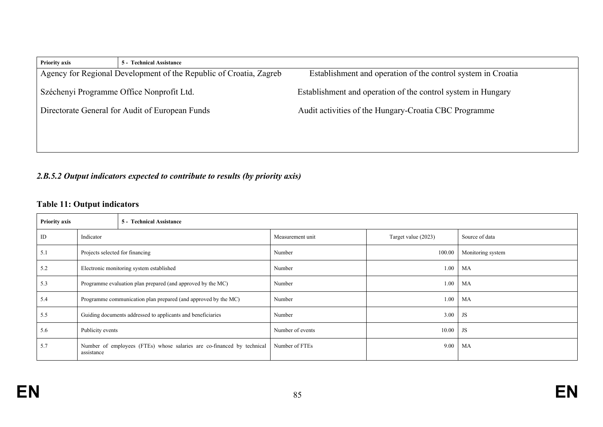| <b>Priority axis</b>                                               | <b>5 - Technical Assistance</b>           |                                                              |
|--------------------------------------------------------------------|-------------------------------------------|--------------------------------------------------------------|
| Agency for Regional Development of the Republic of Croatia, Zagreb |                                           | Establishment and operation of the control system in Croatia |
|                                                                    | Széchenyi Programme Office Nonprofit Ltd. | Establishment and operation of the control system in Hungary |
| Directorate General for Audit of European Funds                    |                                           | Audit activities of the Hungary-Croatia CBC Programme        |
|                                                                    |                                           |                                                              |
|                                                                    |                                           |                                                              |

# *2.B.5.2 Output indicators expected to contribute to results (by priority axis)*

## **Table 11: Output indicators**

| <b>Priority axis</b><br>5 - Technical Assistance |                                                                                      |                                          |                  |                     |                   |
|--------------------------------------------------|--------------------------------------------------------------------------------------|------------------------------------------|------------------|---------------------|-------------------|
| ID                                               | Indicator                                                                            |                                          | Measurement unit | Target value (2023) | Source of data    |
| 5.1                                              | Projects selected for financing                                                      |                                          | Number           | 100.00              | Monitoring system |
| 5.2                                              |                                                                                      | Electronic monitoring system established | Number           | 1.00                | MA                |
| 5.3                                              | Programme evaluation plan prepared (and approved by the MC)                          |                                          | Number           | 1.00                | MA                |
| 5.4                                              | Programme communication plan prepared (and approved by the MC)                       |                                          | Number           | 1.00                | MA                |
| 5.5                                              | Guiding documents addressed to applicants and beneficiaries                          |                                          | Number           | 3.00                | JS                |
| 5.6                                              | Publicity events                                                                     |                                          | Number of events | 10.00               | <b>JS</b>         |
| 5.7                                              | Number of employees (FTEs) whose salaries are co-financed by technical<br>assistance |                                          | Number of FTEs   | 9.00                | MA                |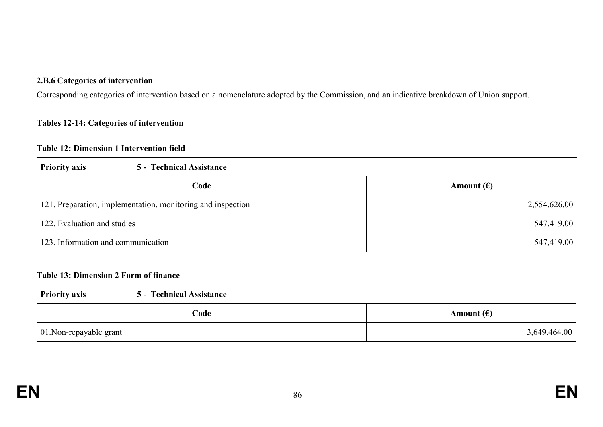#### **2.B.6 Categories of intervention**

Corresponding categories of intervention based on a nomenclature adopted by the Commission, and an indicative breakdown of Union support.

#### **Tables 12-14: Categories of intervention**

#### **Table 12: Dimension 1 Intervention field**

| <b>Priority axis</b>                                        | 5 - Technical Assistance |                     |
|-------------------------------------------------------------|--------------------------|---------------------|
|                                                             | Code                     | Amount $(\epsilon)$ |
| 121. Preparation, implementation, monitoring and inspection |                          | 2,554,626.00        |
| 122. Evaluation and studies                                 |                          | 547,419.00          |
| 123. Information and communication                          |                          | 547,419.00          |

#### **Table 13: Dimension 2 Form of finance**

| <b>Priority axis</b>    | <b>5 - Technical Assistance</b> |                     |
|-------------------------|---------------------------------|---------------------|
|                         | Code                            | Amount $(\epsilon)$ |
| 01. Non-repayable grant |                                 | 3,649,464.00        |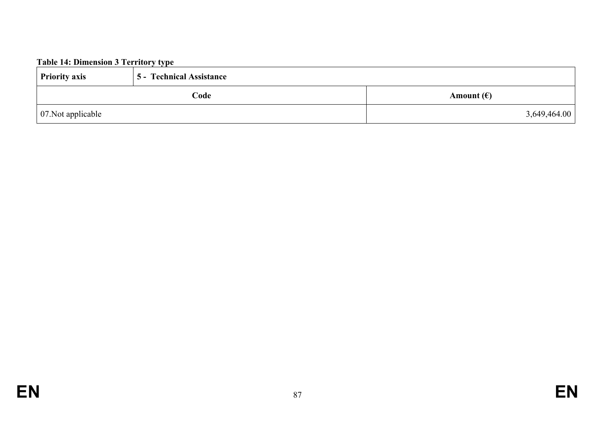# **Table 14: Dimension 3 Territory type**

| <b>Priority axis</b>       | <b>5 - Technical Assistance</b> |                     |
|----------------------------|---------------------------------|---------------------|
|                            | Code                            | Amount $(\epsilon)$ |
| $\vert$ 07. Not applicable |                                 | 3,649,464.00        |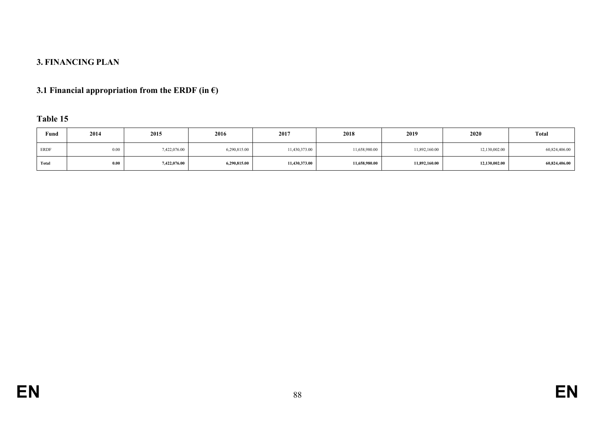## **3. FINANCING PLAN**

## **3.1 Financial appropriation from the ERDF (in €)**

## **Table 15**

| Fund        | 2014 | 2015         | 2016         | 2017          | 2018          | 2019          | 2020          | <b>Total</b>  |
|-------------|------|--------------|--------------|---------------|---------------|---------------|---------------|---------------|
| <b>ERDF</b> | 0.00 | 7,422,076.00 | 6,290,815.00 | 11,430,373.00 | 11,658,980.00 | 11,892,160.00 | 12,130,002.00 | 60,824,406.00 |
| Total       | 0.00 | 7,422,076.00 | 6,290,815.00 | 11,430,373.00 | 11,658,980.00 | 11,892,160.00 | 12,130,002.00 | 60,824,406.00 |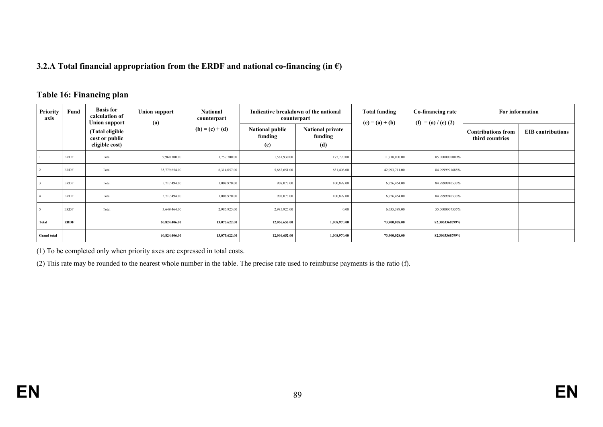#### **3.2.A Total financial appropriation from the ERDF and national co-financing (in €)**

#### **Table 16: Financing plan**

| <b>Priority</b><br>axis | Fund        | <b>Basis for</b><br>calculation of<br><b>Union support</b> | <b>Union support</b><br>(a) | <b>National</b><br>counterpart |                                          | Indicative breakdown of the national<br>counterpart | <b>Total funding</b><br>$(e) = (a) + (b)$ | Co-financing rate<br>$(f) = (a) / (e) (2)$ | For information                              |                          |
|-------------------------|-------------|------------------------------------------------------------|-----------------------------|--------------------------------|------------------------------------------|-----------------------------------------------------|-------------------------------------------|--------------------------------------------|----------------------------------------------|--------------------------|
|                         |             | (Total eligible<br>cost or public<br>eligible cost)        |                             | $(b) = (c) + (d)$              | <b>National public</b><br>funding<br>(c) | <b>National private</b><br>funding<br>(d)           |                                           |                                            | <b>Contributions from</b><br>third countries | <b>EIB</b> contributions |
|                         | ERDF        | Total                                                      | 9,960,300.00                | 1,757,700.00                   | 1,581,930.00                             | 175,770.00                                          | 11,718,000.00                             | 85.0000000000%                             |                                              |                          |
|                         | ERDF        | Total                                                      | 35,779,654.00               | 6,314,057.00                   | 5,682,651.00                             | 631,406.00                                          | 42,093,711.00                             | 84.9999991685%                             |                                              |                          |
|                         | <b>ERDF</b> | Total                                                      | 5,717,494.00                | 1,008,970.00                   | 908,073.00                               | 100,897.00                                          | 6,726,464.00                              | 84.9999940533%                             |                                              |                          |
|                         | ERDF        | Total                                                      | 5,717,494.00                | 1,008,970.00                   | 908,073.00                               | 100,897.00                                          | 6,726,464.00                              | 84.9999940533%                             |                                              |                          |
|                         | <b>ERDF</b> | Total                                                      | 3,649,464.00                | 2,985,925.00                   | 2,985,925.00                             | 0.00                                                | 6,635,389.00                              | 55.0000007535%                             |                                              |                          |
| Total                   | <b>ERDF</b> |                                                            | 60,824,406.00               | 13,075,622.00                  | 12,066,652.00                            | 1,008,970.00                                        | 73,900,028.00                             | 82.3063368799%                             |                                              |                          |
| <b>Grand</b> total      |             |                                                            | 60,824,406.00               | 13,075,622.00                  | 12,066,652.00                            | 1,008,970.00                                        | 73,900,028.00                             | 82.3063368799%                             |                                              |                          |

(1) To be completed only when priority axes are expressed in total costs.

(2) This rate may be rounded to the nearest whole number in the table. The precise rate used to reimburse payments is the ratio (f).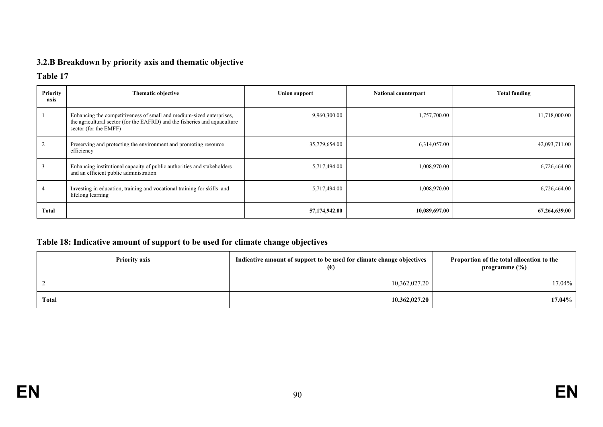## **3.2.B Breakdown by priority axis and thematic objective**

## **Table 17**

| <b>Priority</b><br>axis | <b>Thematic objective</b>                                                                                                                                                  | <b>Union support</b> | <b>National counterpart</b> | <b>Total funding</b> |
|-------------------------|----------------------------------------------------------------------------------------------------------------------------------------------------------------------------|----------------------|-----------------------------|----------------------|
|                         | Enhancing the competitiveness of small and medium-sized enterprises,<br>the agricultural sector (for the EAFRD) and the fisheries and aquaculture<br>sector (for the EMFF) | 9,960,300.00         | 1,757,700.00                | 11,718,000.00        |
|                         | Preserving and protecting the environment and promoting resource<br>efficiency                                                                                             | 35,779,654.00        | 6,314,057.00                | 42,093,711.00        |
|                         | Enhancing institutional capacity of public authorities and stakeholders<br>and an efficient public administration                                                          | 5,717,494.00         | 1,008,970.00                | 6,726,464.00         |
|                         | Investing in education, training and vocational training for skills and<br>lifelong learning                                                                               | 5,717,494.00         | 1,008,970.00                | 6,726,464.00         |
| <b>Total</b>            |                                                                                                                                                                            | 57,174,942.00        | 10,089,697.00               | 67,264,639.00        |

## **Table 18: Indicative amount of support to be used for climate change objectives**

| <b>Priority axis</b> | Indicative amount of support to be used for climate change objectives<br>(E) | Proportion of the total allocation to the<br>programme $(\%)$ |  |
|----------------------|------------------------------------------------------------------------------|---------------------------------------------------------------|--|
|                      | 10,362,027.20                                                                | 17.04%                                                        |  |
| <b>Total</b>         | 10,362,027.20                                                                | 17.04%                                                        |  |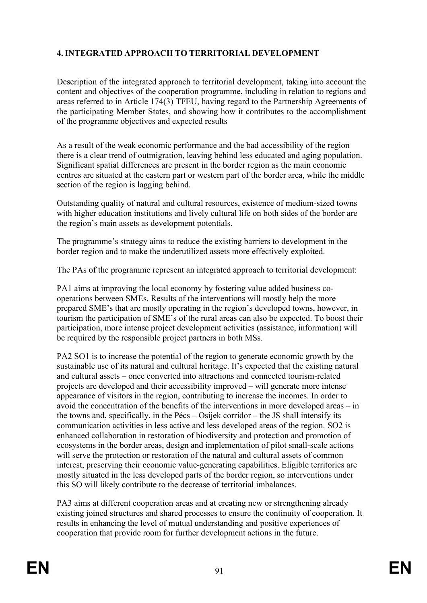## **4. INTEGRATED APPROACH TO TERRITORIAL DEVELOPMENT**

Description of the integrated approach to territorial development, taking into account the content and objectives of the cooperation programme, including in relation to regions and areas referred to in Article 174(3) TFEU, having regard to the Partnership Agreements of the participating Member States, and showing how it contributes to the accomplishment of the programme objectives and expected results

As a result of the weak economic performance and the bad accessibility of the region there is a clear trend of outmigration, leaving behind less educated and aging population. Significant spatial differences are present in the border region as the main economic centres are situated at the eastern part or western part of the border area, while the middle section of the region is lagging behind.

Outstanding quality of natural and cultural resources, existence of medium-sized towns with higher education institutions and lively cultural life on both sides of the border are the region's main assets as development potentials.

The programme's strategy aims to reduce the existing barriers to development in the border region and to make the underutilized assets more effectively exploited.

The PAs of the programme represent an integrated approach to territorial development:

PA1 aims at improving the local economy by fostering value added business cooperations between SMEs. Results of the interventions will mostly help the more prepared SME's that are mostly operating in the region's developed towns, however, in tourism the participation of SME's of the rural areas can also be expected. To boost their participation, more intense project development activities (assistance, information) will be required by the responsible project partners in both MSs.

PA2 SO1 is to increase the potential of the region to generate economic growth by the sustainable use of its natural and cultural heritage. It's expected that the existing natural and cultural assets – once converted into attractions and connected tourism-related projects are developed and their accessibility improved – will generate more intense appearance of visitors in the region, contributing to increase the incomes. In order to avoid the concentration of the benefits of the interventions in more developed areas – in the towns and, specifically, in the Pécs – Osijek corridor – the JS shall intensify its communication activities in less active and less developed areas of the region. SO2 is enhanced collaboration in restoration of biodiversity and protection and promotion of ecosystems in the border areas, design and implementation of pilot small-scale actions will serve the protection or restoration of the natural and cultural assets of common interest, preserving their economic value-generating capabilities. Eligible territories are mostly situated in the less developed parts of the border region, so interventions under this SO will likely contribute to the decrease of territorial imbalances.

PA3 aims at different cooperation areas and at creating new or strengthening already existing joined structures and shared processes to ensure the continuity of cooperation. It results in enhancing the level of mutual understanding and positive experiences of cooperation that provide room for further development actions in the future.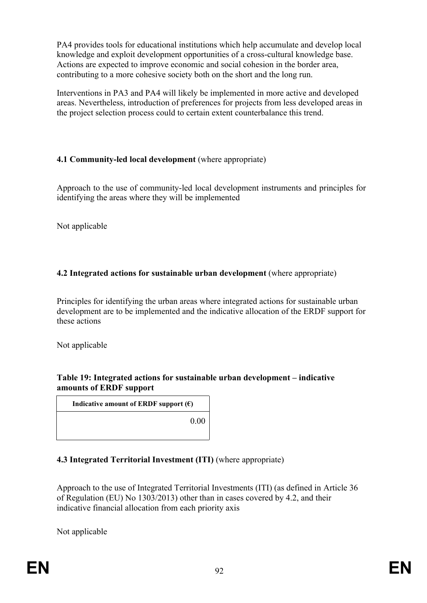PA4 provides tools for educational institutions which help accumulate and develop local knowledge and exploit development opportunities of a cross-cultural knowledge base. Actions are expected to improve economic and social cohesion in the border area, contributing to a more cohesive society both on the short and the long run.

Interventions in PA3 and PA4 will likely be implemented in more active and developed areas. Nevertheless, introduction of preferences for projects from less developed areas in the project selection process could to certain extent counterbalance this trend.

## **4.1 Community-led local development** (where appropriate)

Approach to the use of community-led local development instruments and principles for identifying the areas where they will be implemented

Not applicable

## **4.2 Integrated actions for sustainable urban development** (where appropriate)

Principles for identifying the urban areas where integrated actions for sustainable urban development are to be implemented and the indicative allocation of the ERDF support for these actions

Not applicable

#### **Table 19: Integrated actions for sustainable urban development – indicative amounts of ERDF support**

**Indicative amount of ERDF** support  $(\epsilon)$ 

0.00

## **4.3 Integrated Territorial Investment (ITI)** (where appropriate)

Approach to the use of Integrated Territorial Investments (ITI) (as defined in Article 36 of Regulation (EU) No 1303/2013) other than in cases covered by 4.2, and their indicative financial allocation from each priority axis

Not applicable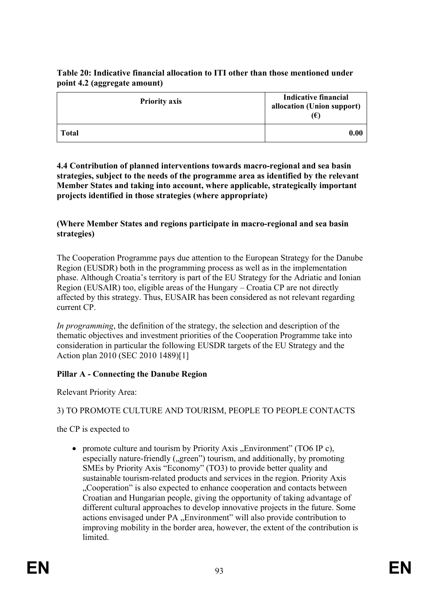## **Table 20: Indicative financial allocation to ITI other than those mentioned under point 4.2 (aggregate amount)**

| <b>Priority axis</b> | <b>Indicative financial</b><br>allocation (Union support)<br>$(\epsilon)$ |
|----------------------|---------------------------------------------------------------------------|
| <b>Total</b>         | 0.00                                                                      |

**4.4 Contribution of planned interventions towards macro-regional and sea basin strategies, subject to the needs of the programme area as identified by the relevant Member States and taking into account, where applicable, strategically important projects identified in those strategies (where appropriate)**

## **(Where Member States and regions participate in macro-regional and sea basin strategies)**

The Cooperation Programme pays due attention to the European Strategy for the Danube Region (EUSDR) both in the programming process as well as in the implementation phase. Although Croatia's territory is part of the EU Strategy for the Adriatic and Ionian Region (EUSAIR) too, eligible areas of the Hungary – Croatia CP are not directly affected by this strategy. Thus, EUSAIR has been considered as not relevant regarding current CP.

*In programming*, the definition of the strategy, the selection and description of the thematic objectives and investment priorities of the Cooperation Programme take into consideration in particular the following EUSDR targets of the EU Strategy and the Action plan 2010 (SEC 2010 1489)[1]

## **Pillar A - Connecting the Danube Region**

Relevant Priority Area:

## 3) TO PROMOTE CULTURE AND TOURISM, PEOPLE TO PEOPLE CONTACTS

the CP is expected to

• promote culture and tourism by Priority Axis "Environment" (TO6 IP c), especially nature-friendly ("green") tourism, and additionally, by promoting SMEs by Priority Axis "Economy" (TO3) to provide better quality and sustainable tourism-related products and services in the region. Priority Axis "Cooperation" is also expected to enhance cooperation and contacts between Croatian and Hungarian people, giving the opportunity of taking advantage of different cultural approaches to develop innovative projects in the future. Some actions envisaged under PA "Environment" will also provide contribution to improving mobility in the border area, however, the extent of the contribution is limited.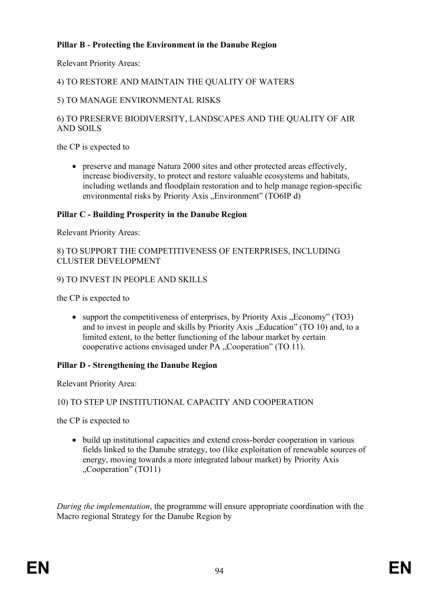## **Pillar B - Protecting the Environment in the Danube Region**

Relevant Priority Areas:

## 4) TO RESTORE AND MAINTAIN THE QUALITY OF WATERS

### 5) TO MANAGE ENVIRONMENTAL RISKS

## 6) TO PRESERVE BIODIVERSITY, LANDSCAPES AND THE QUALITY OF AIR AND SOILS

the CP is expected to

 preserve and manage Natura 2000 sites and other protected areas effectively, increase biodiversity, to protect and restore valuable ecosystems and habitats, including wetlands and floodplain restoration and to help manage region-specific environmental risks by Priority Axis "Environment" (TO6IP d)

#### **Pillar C - Building Prosperity in the Danube Region**

Relevant Priority Areas:

#### 8) TO SUPPORT THE COMPETITIVENESS OF ENTERPRISES, INCLUDING CLUSTER DEVELOPMENT

#### 9) TO INVEST IN PEOPLE AND SKILLS

the CP is expected to

• support the competitiveness of enterprises, by Priority Axis "Economy" (TO3) and to invest in people and skills by Priority Axis . Education"  $(TO 10)$  and, to a limited extent, to the better functioning of the labour market by certain cooperative actions envisaged under PA "Cooperation" (TO 11).

#### **Pillar D - Strengthening the Danube Region**

Relevant Priority Area:

#### 10) TO STEP UP INSTITUTIONAL CAPACITY AND COOPERATION

the CP is expected to

 build up institutional capacities and extend cross-border cooperation in various fields linked to the Danube strategy, too (like exploitation of renewable sources of energy, moving towards a more integrated labour market) by Priority Axis "Cooperation" (TO11)

*During the implementation*, the programme will ensure appropriate coordination with the Macro regional Strategy for the Danube Region by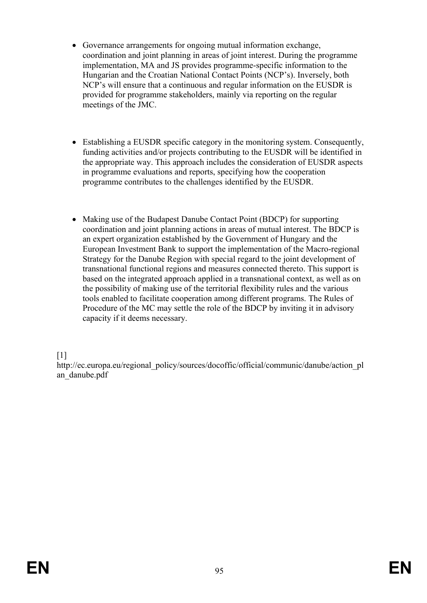- Governance arrangements for ongoing mutual information exchange, coordination and joint planning in areas of joint interest. During the programme implementation, MA and JS provides programme-specific information to the Hungarian and the Croatian National Contact Points (NCP's). Inversely, both NCP's will ensure that a continuous and regular information on the EUSDR is provided for programme stakeholders, mainly via reporting on the regular meetings of the JMC.
- Establishing a EUSDR specific category in the monitoring system. Consequently, funding activities and/or projects contributing to the EUSDR will be identified in the appropriate way. This approach includes the consideration of EUSDR aspects in programme evaluations and reports, specifying how the cooperation programme contributes to the challenges identified by the EUSDR.
- Making use of the Budapest Danube Contact Point (BDCP) for supporting coordination and joint planning actions in areas of mutual interest. The BDCP is an expert organization established by the Government of Hungary and the European Investment Bank to support the implementation of the Macro-regional Strategy for the Danube Region with special regard to the joint development of transnational functional regions and measures connected thereto. This support is based on the integrated approach applied in a transnational context, as well as on the possibility of making use of the territorial flexibility rules and the various tools enabled to facilitate cooperation among different programs. The Rules of Procedure of the MC may settle the role of the BDCP by inviting it in advisory capacity if it deems necessary.

[1]

http://ec.europa.eu/regional\_policy/sources/docoffic/official/communic/danube/action\_pl an\_danube.pdf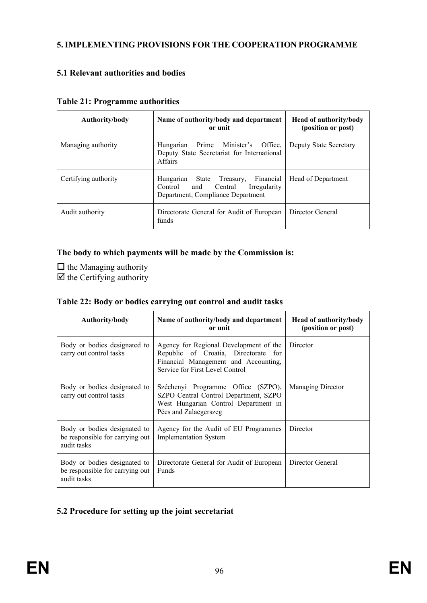## **5. IMPLEMENTING PROVISIONS FOR THE COOPERATION PROGRAMME**

## **5.1 Relevant authorities and bodies**

| Authority/body       | Name of authority/body and department<br>or unit                                                                         | <b>Head of authority/body</b><br>(position or post) |
|----------------------|--------------------------------------------------------------------------------------------------------------------------|-----------------------------------------------------|
| Managing authority   | Prime Minister's Office.<br>Hungarian<br>Deputy State Secretariat for International<br><b>Affairs</b>                    | Deputy State Secretary                              |
| Certifying authority | Financial<br>Hungarian<br>State Treasury,<br>Control<br>and Central<br>Irregularity<br>Department, Compliance Department | Head of Department                                  |
| Audit authority      | Directorate General for Audit of European<br>funds                                                                       | Director General                                    |

#### **Table 21: Programme authorities**

## **The body to which payments will be made by the Commission is:**

 $\Box$  the Managing authority  $\overrightarrow{v}$  the Certifying authority

|  |  | Table 22: Body or bodies carrying out control and audit tasks |  |
|--|--|---------------------------------------------------------------|--|
|  |  |                                                               |  |

| Authority/body                                                                 | Name of authority/body and department<br>or unit                                                                                                          | <b>Head of authority/body</b><br>(position or post) |
|--------------------------------------------------------------------------------|-----------------------------------------------------------------------------------------------------------------------------------------------------------|-----------------------------------------------------|
| Body or bodies designated to<br>carry out control tasks                        | Agency for Regional Development of the<br>Republic of Croatia, Directorate for<br>Financial Management and Accounting,<br>Service for First Level Control | Director                                            |
| Body or bodies designated to<br>carry out control tasks                        | Széchenyi Programme Office (SZPO),<br>SZPO Central Control Department, SZPO<br>West Hungarian Control Department in<br>Pécs and Zalaegerszeg              | Managing Director                                   |
| Body or bodies designated to<br>be responsible for carrying out<br>audit tasks | Agency for the Audit of EU Programmes<br><b>Implementation System</b>                                                                                     | Director                                            |
| Body or bodies designated to<br>be responsible for carrying out<br>audit tasks | Directorate General for Audit of European<br><b>Funds</b>                                                                                                 | Director General                                    |

# **5.2 Procedure for setting up the joint secretariat**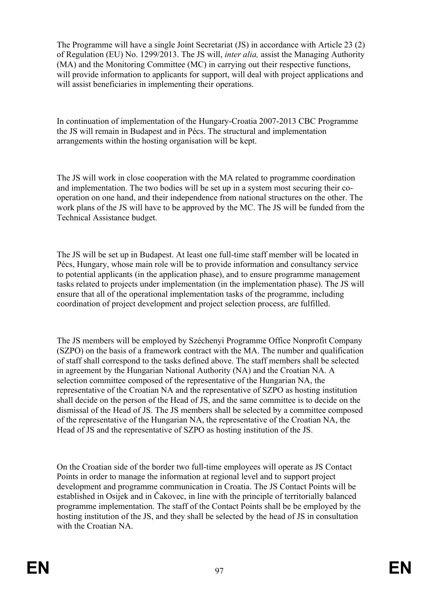The Programme will have a single Joint Secretariat (JS) in accordance with Article 23 (2) of Regulation (EU) No. 1299/2013. The JS will, *inter alia,* assist the Managing Authority (MA) and the Monitoring Committee (MC) in carrying out their respective functions, will provide information to applicants for support, will deal with project applications and will assist beneficiaries in implementing their operations.

In continuation of implementation of the Hungary-Croatia 2007-2013 CBC Programme the JS will remain in Budapest and in Pécs. The structural and implementation arrangements within the hosting organisation will be kept.

The JS will work in close cooperation with the MA related to programme coordination and implementation. The two bodies will be set up in a system most securing their cooperation on one hand, and their independence from national structures on the other. The work plans of the JS will have to be approved by the MC. The JS will be funded from the Technical Assistance budget.

The JS will be set up in Budapest. At least one full-time staff member will be located in Pécs, Hungary, whose main role will be to provide information and consultancy service to potential applicants (in the application phase), and to ensure programme management tasks related to projects under implementation (in the implementation phase). The JS will ensure that all of the operational implementation tasks of the programme, including coordination of project development and project selection process, are fulfilled.

The JS members will be employed by Széchenyi Programme Office Nonprofit Company (SZPO) on the basis of a framework contract with the MA. The number and qualification of staff shall correspond to the tasks defined above. The staff members shall be selected in agreement by the Hungarian National Authority (NA) and the Croatian NA. A selection committee composed of the representative of the Hungarian NA, the representative of the Croatian NA and the representative of SZPO as hosting institution shall decide on the person of the Head of JS, and the same committee is to decide on the dismissal of the Head of JS. The JS members shall be selected by a committee composed of the representative of the Hungarian NA, the representative of the Croatian NA, the Head of JS and the representative of SZPO as hosting institution of the JS.

On the Croatian side of the border two full-time employees will operate as JS Contact Points in order to manage the information at regional level and to support project development and programme communication in Croatia. The JS Contact Points will be established in Osijek and in Čakovec, in line with the principle of territorially balanced programme implementation. The staff of the Contact Points shall be be employed by the hosting institution of the JS, and they shall be selected by the head of JS in consultation with the Croatian NA.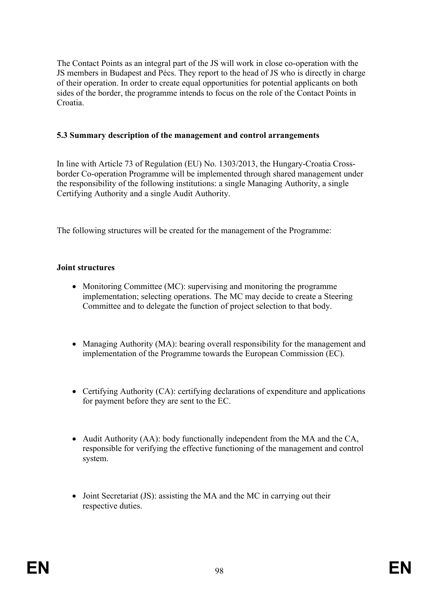The Contact Points as an integral part of the JS will work in close co-operation with the JS members in Budapest and Pécs. They report to the head of JS who is directly in charge of their operation. In order to create equal opportunities for potential applicants on both sides of the border, the programme intends to focus on the role of the Contact Points in Croatia.

### **5.3 Summary description of the management and control arrangements**

In line with Article 73 of Regulation (EU) No. 1303/2013, the Hungary-Croatia Crossborder Co-operation Programme will be implemented through shared management under the responsibility of the following institutions: a single Managing Authority, a single Certifying Authority and a single Audit Authority.

The following structures will be created for the management of the Programme:

#### **Joint structures**

- Monitoring Committee (MC): supervising and monitoring the programme implementation; selecting operations. The MC may decide to create a Steering Committee and to delegate the function of project selection to that body.
- Managing Authority (MA): bearing overall responsibility for the management and implementation of the Programme towards the European Commission (EC).
- Certifying Authority (CA): certifying declarations of expenditure and applications for payment before they are sent to the EC.
- Audit Authority (AA): body functionally independent from the MA and the CA, responsible for verifying the effective functioning of the management and control system.
- Joint Secretariat (JS): assisting the MA and the MC in carrying out their respective duties.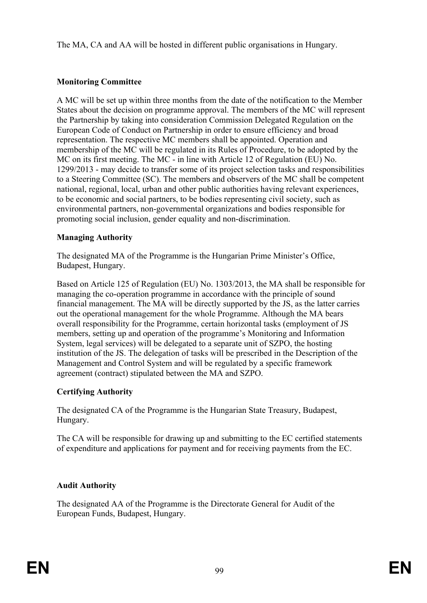The MA, CA and AA will be hosted in different public organisations in Hungary.

## **Monitoring Committee**

A MC will be set up within three months from the date of the notification to the Member States about the decision on programme approval. The members of the MC will represent the Partnership by taking into consideration Commission Delegated Regulation on the European Code of Conduct on Partnership in order to ensure efficiency and broad representation. The respective MC members shall be appointed. Operation and membership of the MC will be regulated in its Rules of Procedure, to be adopted by the MC on its first meeting. The MC - in line with Article 12 of Regulation (EU) No. 1299/2013 - may decide to transfer some of its project selection tasks and responsibilities to a Steering Committee (SC). The members and observers of the MC shall be competent national, regional, local, urban and other public authorities having relevant experiences, to be economic and social partners, to be bodies representing civil society, such as environmental partners, non-governmental organizations and bodies responsible for promoting social inclusion, gender equality and non-discrimination.

## **Managing Authority**

The designated MA of the Programme is the Hungarian Prime Minister's Office, Budapest, Hungary.

Based on Article 125 of Regulation (EU) No. 1303/2013, the MA shall be responsible for managing the co-operation programme in accordance with the principle of sound financial management. The MA will be directly supported by the JS, as the latter carries out the operational management for the whole Programme. Although the MA bears overall responsibility for the Programme, certain horizontal tasks (employment of JS members, setting up and operation of the programme's Monitoring and Information System, legal services) will be delegated to a separate unit of SZPO, the hosting institution of the JS. The delegation of tasks will be prescribed in the Description of the Management and Control System and will be regulated by a specific framework agreement (contract) stipulated between the MA and SZPO.

## **Certifying Authority**

The designated CA of the Programme is the Hungarian State Treasury, Budapest, Hungary.

The CA will be responsible for drawing up and submitting to the EC certified statements of expenditure and applications for payment and for receiving payments from the EC.

## **Audit Authority**

The designated AA of the Programme is the Directorate General for Audit of the European Funds, Budapest, Hungary.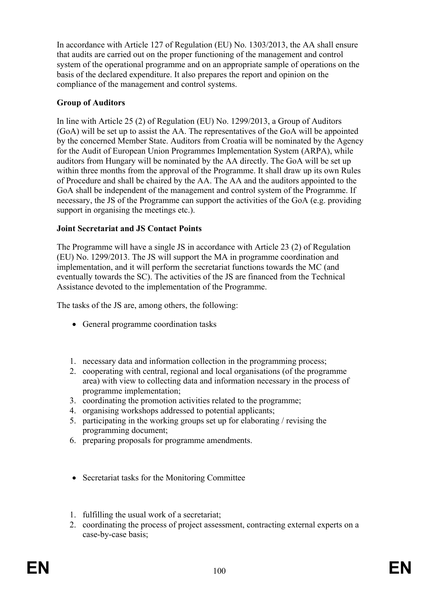In accordance with Article 127 of Regulation (EU) No. 1303/2013, the AA shall ensure that audits are carried out on the proper functioning of the management and control system of the operational programme and on an appropriate sample of operations on the basis of the declared expenditure. It also prepares the report and opinion on the compliance of the management and control systems.

## **Group of Auditors**

In line with Article 25 (2) of Regulation (EU) No. 1299/2013, a Group of Auditors (GoA) will be set up to assist the AA. The representatives of the GoA will be appointed by the concerned Member State. Auditors from Croatia will be nominated by the Agency for the Audit of European Union Programmes Implementation System (ARPA), while auditors from Hungary will be nominated by the AA directly. The GoA will be set up within three months from the approval of the Programme. It shall draw up its own Rules of Procedure and shall be chaired by the AA. The AA and the auditors appointed to the GoA shall be independent of the management and control system of the Programme. If necessary, the JS of the Programme can support the activities of the GoA (e.g. providing support in organising the meetings etc.).

## **Joint Secretariat and JS Contact Points**

The Programme will have a single JS in accordance with Article 23 (2) of Regulation (EU) No. 1299/2013. The JS will support the MA in programme coordination and implementation, and it will perform the secretariat functions towards the MC (and eventually towards the SC). The activities of the JS are financed from the Technical Assistance devoted to the implementation of the Programme.

The tasks of the JS are, among others, the following:

- General programme coordination tasks
- 1. necessary data and information collection in the programming process;
- 2. cooperating with central, regional and local organisations (of the programme area) with view to collecting data and information necessary in the process of programme implementation;
- 3. coordinating the promotion activities related to the programme;
- 4. organising workshops addressed to potential applicants;
- 5. participating in the working groups set up for elaborating / revising the programming document;
- 6. preparing proposals for programme amendments.
- Secretariat tasks for the Monitoring Committee
- 1. fulfilling the usual work of a secretariat;
- 2. coordinating the process of project assessment, contracting external experts on a case-by-case basis;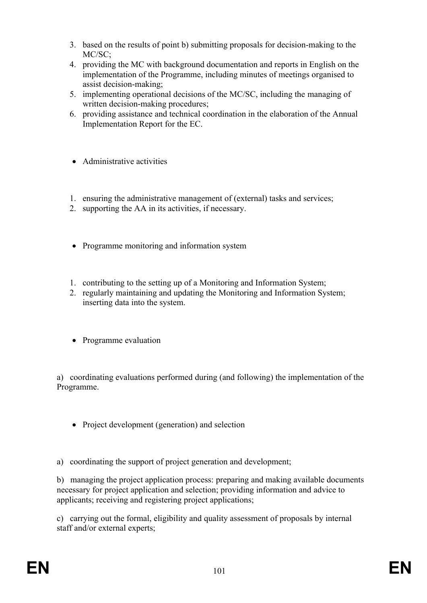- 3. based on the results of point b) submitting proposals for decision-making to the MC/SC;
- 4. providing the MC with background documentation and reports in English on the implementation of the Programme, including minutes of meetings organised to assist decision-making;
- 5. implementing operational decisions of the MC/SC, including the managing of written decision-making procedures;
- 6. providing assistance and technical coordination in the elaboration of the Annual Implementation Report for the EC.
- Administrative activities
- 1. ensuring the administrative management of (external) tasks and services;
- 2. supporting the AA in its activities, if necessary.
- Programme monitoring and information system
- 1. contributing to the setting up of a Monitoring and Information System;
- 2. regularly maintaining and updating the Monitoring and Information System; inserting data into the system.
- Programme evaluation

a) coordinating evaluations performed during (and following) the implementation of the Programme.

• Project development (generation) and selection

a) coordinating the support of project generation and development;

b) managing the project application process: preparing and making available documents necessary for project application and selection; providing information and advice to applicants; receiving and registering project applications;

c) carrying out the formal, eligibility and quality assessment of proposals by internal staff and/or external experts;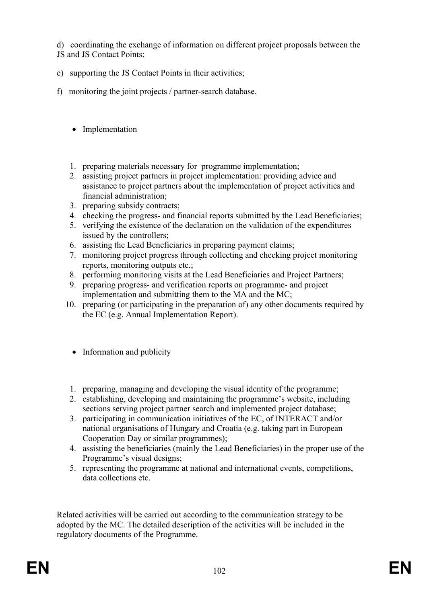d) coordinating the exchange of information on different project proposals between the JS and JS Contact Points;

- e) supporting the JS Contact Points in their activities;
- f) monitoring the joint projects / partner-search database.
	- Implementation
	- 1. preparing materials necessary for programme implementation;
	- 2. assisting project partners in project implementation: providing advice and assistance to project partners about the implementation of project activities and financial administration;
	- 3. preparing subsidy contracts;
	- 4. checking the progress- and financial reports submitted by the Lead Beneficiaries;
	- 5. verifying the existence of the declaration on the validation of the expenditures issued by the controllers;
	- 6. assisting the Lead Beneficiaries in preparing payment claims;
	- 7. monitoring project progress through collecting and checking project monitoring reports, monitoring outputs etc.;
	- 8. performing monitoring visits at the Lead Beneficiaries and Project Partners;
	- 9. preparing progress- and verification reports on programme- and project implementation and submitting them to the MA and the MC;
	- 10. preparing (or participating in the preparation of) any other documents required by the EC (e.g. Annual Implementation Report).
		- Information and publicity
		- 1. preparing, managing and developing the visual identity of the programme;
	- 2. establishing, developing and maintaining the programme's website, including sections serving project partner search and implemented project database;
	- 3. participating in communication initiatives of the EC, of INTERACT and/or national organisations of Hungary and Croatia (e.g. taking part in European Cooperation Day or similar programmes);
	- 4. assisting the beneficiaries (mainly the Lead Beneficiaries) in the proper use of the Programme's visual designs;
	- 5. representing the programme at national and international events, competitions, data collections etc.

Related activities will be carried out according to the communication strategy to be adopted by the MC. The detailed description of the activities will be included in the regulatory documents of the Programme.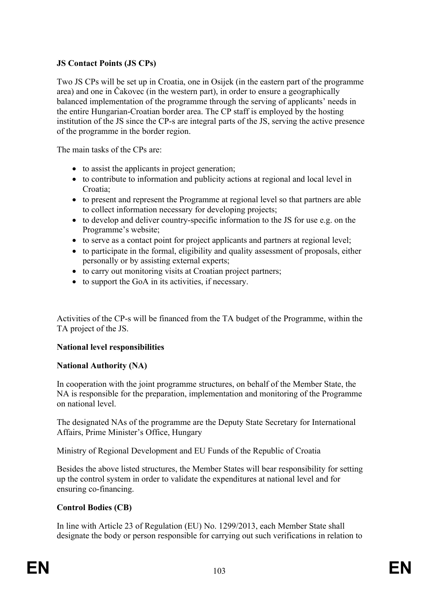## **JS Contact Points (JS CPs)**

Two JS CPs will be set up in Croatia, one in Osijek (in the eastern part of the programme area) and one in Čakovec (in the western part), in order to ensure a geographically balanced implementation of the programme through the serving of applicants' needs in the entire Hungarian-Croatian border area. The CP staff is employed by the hosting institution of the JS since the CP-s are integral parts of the JS, serving the active presence of the programme in the border region.

The main tasks of the CPs are:

- to assist the applicants in project generation:
- to contribute to information and publicity actions at regional and local level in Croatia<sup>-</sup>
- to present and represent the Programme at regional level so that partners are able to collect information necessary for developing projects;
- to develop and deliver country-specific information to the JS for use e.g. on the Programme's website;
- to serve as a contact point for project applicants and partners at regional level;
- to participate in the formal, eligibility and quality assessment of proposals, either personally or by assisting external experts;
- to carry out monitoring visits at Croatian project partners;
- to support the GoA in its activities, if necessary.

Activities of the CP-s will be financed from the TA budget of the Programme, within the TA project of the JS.

## **National level responsibilities**

#### **National Authority (NA)**

In cooperation with the joint programme structures, on behalf of the Member State, the NA is responsible for the preparation, implementation and monitoring of the Programme on national level.

The designated NAs of the programme are the Deputy State Secretary for International Affairs, Prime Minister's Office, Hungary

Ministry of Regional Development and EU Funds of the Republic of Croatia

Besides the above listed structures, the Member States will bear responsibility for setting up the control system in order to validate the expenditures at national level and for ensuring co-financing.

## **Control Bodies (CB)**

In line with Article 23 of Regulation (EU) No. 1299/2013, each Member State shall designate the body or person responsible for carrying out such verifications in relation to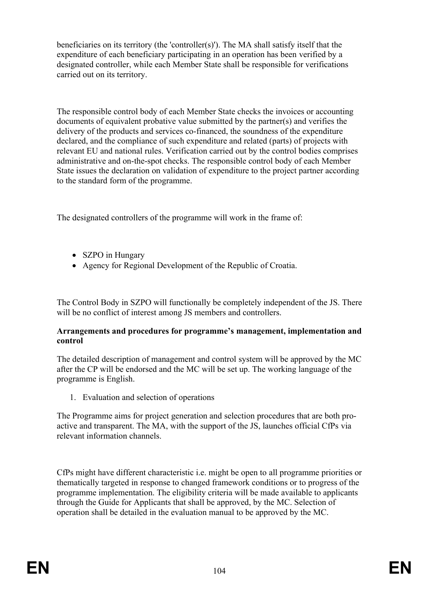beneficiaries on its territory (the 'controller(s)'). The MA shall satisfy itself that the expenditure of each beneficiary participating in an operation has been verified by a designated controller, while each Member State shall be responsible for verifications carried out on its territory.

The responsible control body of each Member State checks the invoices or accounting documents of equivalent probative value submitted by the partner(s) and verifies the delivery of the products and services co-financed, the soundness of the expenditure declared, and the compliance of such expenditure and related (parts) of projects with relevant EU and national rules. Verification carried out by the control bodies comprises administrative and on-the-spot checks. The responsible control body of each Member State issues the declaration on validation of expenditure to the project partner according to the standard form of the programme.

The designated controllers of the programme will work in the frame of:

- SZPO in Hungary
- Agency for Regional Development of the Republic of Croatia.

The Control Body in SZPO will functionally be completely independent of the JS. There will be no conflict of interest among JS members and controllers.

#### **Arrangements and procedures for programme's management, implementation and control**

The detailed description of management and control system will be approved by the MC after the CP will be endorsed and the MC will be set up. The working language of the programme is English.

1. Evaluation and selection of operations

The Programme aims for project generation and selection procedures that are both proactive and transparent. The MA, with the support of the JS, launches official CfPs via relevant information channels.

CfPs might have different characteristic i.e. might be open to all programme priorities or thematically targeted in response to changed framework conditions or to progress of the programme implementation. The eligibility criteria will be made available to applicants through the Guide for Applicants that shall be approved, by the MC. Selection of operation shall be detailed in the evaluation manual to be approved by the MC.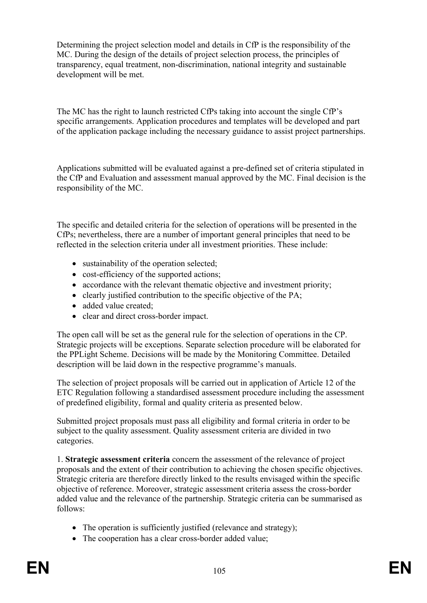Determining the project selection model and details in CfP is the responsibility of the MC. During the design of the details of project selection process, the principles of transparency, equal treatment, non-discrimination, national integrity and sustainable development will be met.

The MC has the right to launch restricted CfPs taking into account the single CfP's specific arrangements. Application procedures and templates will be developed and part of the application package including the necessary guidance to assist project partnerships.

Applications submitted will be evaluated against a pre-defined set of criteria stipulated in the CfP and Evaluation and assessment manual approved by the MC. Final decision is the responsibility of the MC.

The specific and detailed criteria for the selection of operations will be presented in the CfPs; nevertheless, there are a number of important general principles that need to be reflected in the selection criteria under all investment priorities. These include:

- sustainability of the operation selected:
- cost-efficiency of the supported actions;
- accordance with the relevant thematic objective and investment priority;
- clearly justified contribution to the specific objective of the PA;
- added value created;
- clear and direct cross-border impact.

The open call will be set as the general rule for the selection of operations in the CP. Strategic projects will be exceptions. Separate selection procedure will be elaborated for the PPLight Scheme. Decisions will be made by the Monitoring Committee. Detailed description will be laid down in the respective programme's manuals.

The selection of project proposals will be carried out in application of Article 12 of the ETC Regulation following a standardised assessment procedure including the assessment of predefined eligibility, formal and quality criteria as presented below.

Submitted project proposals must pass all eligibility and formal criteria in order to be subject to the quality assessment. Quality assessment criteria are divided in two categories.

1. **Strategic assessment criteria** concern the assessment of the relevance of project proposals and the extent of their contribution to achieving the chosen specific objectives. Strategic criteria are therefore directly linked to the results envisaged within the specific objective of reference. Moreover, strategic assessment criteria assess the cross-border added value and the relevance of the partnership. Strategic criteria can be summarised as follows:

- The operation is sufficiently justified (relevance and strategy);
- The cooperation has a clear cross-border added value;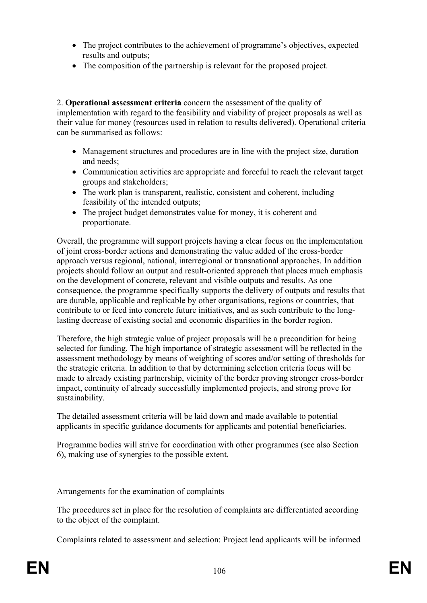- The project contributes to the achievement of programme's objectives, expected results and outputs;
- The composition of the partnership is relevant for the proposed project.

2. **Operational assessment criteria** concern the assessment of the quality of implementation with regard to the feasibility and viability of project proposals as well as their value for money (resources used in relation to results delivered). Operational criteria can be summarised as follows:

- Management structures and procedures are in line with the project size, duration and needs;
- Communication activities are appropriate and forceful to reach the relevant target groups and stakeholders;
- The work plan is transparent, realistic, consistent and coherent, including feasibility of the intended outputs;
- The project budget demonstrates value for money, it is coherent and proportionate.

Overall, the programme will support projects having a clear focus on the implementation of joint cross-border actions and demonstrating the value added of the cross-border approach versus regional, national, interregional or transnational approaches. In addition projects should follow an output and result-oriented approach that places much emphasis on the development of concrete, relevant and visible outputs and results. As one consequence, the programme specifically supports the delivery of outputs and results that are durable, applicable and replicable by other organisations, regions or countries, that contribute to or feed into concrete future initiatives, and as such contribute to the longlasting decrease of existing social and economic disparities in the border region.

Therefore, the high strategic value of project proposals will be a precondition for being selected for funding. The high importance of strategic assessment will be reflected in the assessment methodology by means of weighting of scores and/or setting of thresholds for the strategic criteria. In addition to that by determining selection criteria focus will be made to already existing partnership, vicinity of the border proving stronger cross-border impact, continuity of already successfully implemented projects, and strong prove for sustainability.

The detailed assessment criteria will be laid down and made available to potential applicants in specific guidance documents for applicants and potential beneficiaries.

Programme bodies will strive for coordination with other programmes (see also Section 6), making use of synergies to the possible extent.

Arrangements for the examination of complaints

The procedures set in place for the resolution of complaints are differentiated according to the object of the complaint.

Complaints related to assessment and selection: Project lead applicants will be informed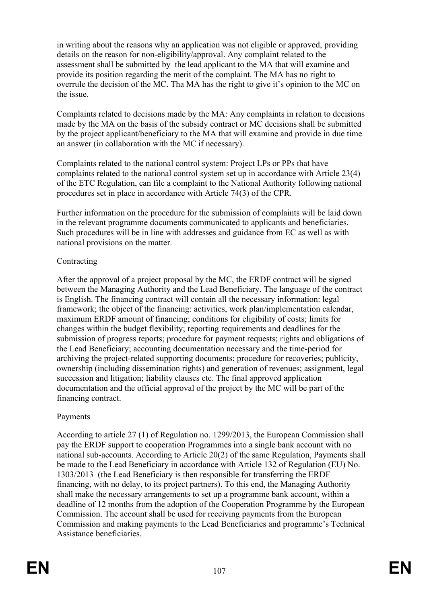in writing about the reasons why an application was not eligible or approved, providing details on the reason for non-eligibility/approval. Any complaint related to the assessment shall be submitted by the lead applicant to the MA that will examine and provide its position regarding the merit of the complaint. The MA has no right to overrule the decision of the MC. Tha MA has the right to give it's opinion to the MC on the issue.

Complaints related to decisions made by the MA: Any complaints in relation to decisions made by the MA on the basis of the subsidy contract or MC decisions shall be submitted by the project applicant/beneficiary to the MA that will examine and provide in due time an answer (in collaboration with the MC if necessary).

Complaints related to the national control system: Project LPs or PPs that have complaints related to the national control system set up in accordance with Article 23(4) of the ETC Regulation, can file a complaint to the National Authority following national procedures set in place in accordance with Article 74(3) of the CPR.

Further information on the procedure for the submission of complaints will be laid down in the relevant programme documents communicated to applicants and beneficiaries. Such procedures will be in line with addresses and guidance from EC as well as with national provisions on the matter.

## Contracting

After the approval of a project proposal by the MC, the ERDF contract will be signed between the Managing Authority and the Lead Beneficiary. The language of the contract is English. The financing contract will contain all the necessary information: legal framework; the object of the financing: activities, work plan/implementation calendar, maximum ERDF amount of financing; conditions for eligibility of costs; limits for changes within the budget flexibility; reporting requirements and deadlines for the submission of progress reports; procedure for payment requests; rights and obligations of the Lead Beneficiary; accounting documentation necessary and the time-period for archiving the project-related supporting documents; procedure for recoveries; publicity, ownership (including dissemination rights) and generation of revenues; assignment, legal succession and litigation; liability clauses etc. The final approved application documentation and the official approval of the project by the MC will be part of the financing contract.

## Payments

According to article 27 (1) of Regulation no. 1299/2013, the European Commission shall pay the ERDF support to cooperation Programmes into a single bank account with no national sub-accounts. According to Article 20(2) of the same Regulation, Payments shall be made to the Lead Beneficiary in accordance with Article 132 of Regulation (EU) No. 1303/2013 (the Lead Beneficiary is then responsible for transferring the ERDF financing, with no delay, to its project partners). To this end, the Managing Authority shall make the necessary arrangements to set up a programme bank account, within a deadline of 12 months from the adoption of the Cooperation Programme by the European Commission. The account shall be used for receiving payments from the European Commission and making payments to the Lead Beneficiaries and programme's Technical Assistance beneficiaries.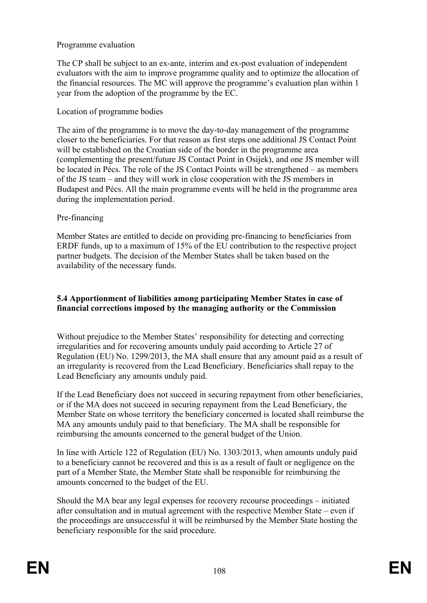### Programme evaluation

The CP shall be subject to an ex-ante, interim and ex-post evaluation of independent evaluators with the aim to improve programme quality and to optimize the allocation of the financial resources. The MC will approve the programme's evaluation plan within 1 year from the adoption of the programme by the EC.

### Location of programme bodies

The aim of the programme is to move the day-to-day management of the programme closer to the beneficiaries. For that reason as first steps one additional JS Contact Point will be established on the Croatian side of the border in the programme area (complementing the present/future JS Contact Point in Osijek), and one JS member will be located in Pécs. The role of the JS Contact Points will be strengthened – as members of the JS team – and they will work in close cooperation with the JS members in Budapest and Pécs. All the main programme events will be held in the programme area during the implementation period.

#### Pre-financing

Member States are entitled to decide on providing pre-financing to beneficiaries from ERDF funds, up to a maximum of 15% of the EU contribution to the respective project partner budgets. The decision of the Member States shall be taken based on the availability of the necessary funds.

#### **5.4 Apportionment of liabilities among participating Member States in case of financial corrections imposed by the managing authority or the Commission**

Without prejudice to the Member States' responsibility for detecting and correcting irregularities and for recovering amounts unduly paid according to Article 27 of Regulation (EU) No. 1299/2013, the MA shall ensure that any amount paid as a result of an irregularity is recovered from the Lead Beneficiary. Beneficiaries shall repay to the Lead Beneficiary any amounts unduly paid.

If the Lead Beneficiary does not succeed in securing repayment from other beneficiaries, or if the MA does not succeed in securing repayment from the Lead Beneficiary, the Member State on whose territory the beneficiary concerned is located shall reimburse the MA any amounts unduly paid to that beneficiary. The MA shall be responsible for reimbursing the amounts concerned to the general budget of the Union.

In line with Article 122 of Regulation (EU) No. 1303/2013, when amounts unduly paid to a beneficiary cannot be recovered and this is as a result of fault or negligence on the part of a Member State, the Member State shall be responsible for reimbursing the amounts concerned to the budget of the EU.

Should the MA bear any legal expenses for recovery recourse proceedings – initiated after consultation and in mutual agreement with the respective Member State – even if the proceedings are unsuccessful it will be reimbursed by the Member State hosting the beneficiary responsible for the said procedure.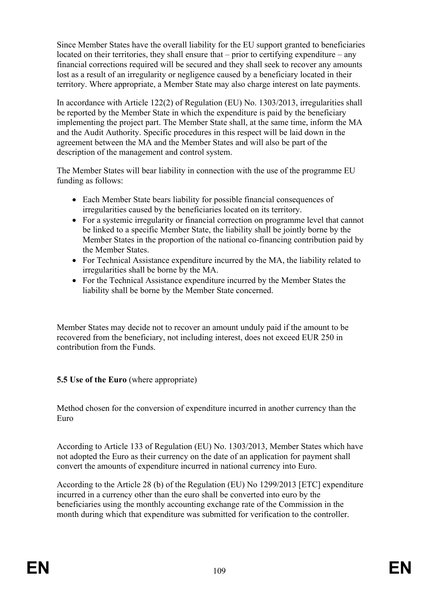Since Member States have the overall liability for the EU support granted to beneficiaries located on their territories, they shall ensure that – prior to certifying expenditure – any financial corrections required will be secured and they shall seek to recover any amounts lost as a result of an irregularity or negligence caused by a beneficiary located in their territory. Where appropriate, a Member State may also charge interest on late payments.

In accordance with Article 122(2) of Regulation (EU) No. 1303/2013, irregularities shall be reported by the Member State in which the expenditure is paid by the beneficiary implementing the project part. The Member State shall, at the same time, inform the MA and the Audit Authority. Specific procedures in this respect will be laid down in the agreement between the MA and the Member States and will also be part of the description of the management and control system.

The Member States will bear liability in connection with the use of the programme EU funding as follows:

- Each Member State bears liability for possible financial consequences of irregularities caused by the beneficiaries located on its territory.
- For a systemic irregularity or financial correction on programme level that cannot be linked to a specific Member State, the liability shall be jointly borne by the Member States in the proportion of the national co-financing contribution paid by the Member States.
- For Technical Assistance expenditure incurred by the MA, the liability related to irregularities shall be borne by the MA.
- For the Technical Assistance expenditure incurred by the Member States the liability shall be borne by the Member State concerned.

Member States may decide not to recover an amount unduly paid if the amount to be recovered from the beneficiary, not including interest, does not exceed EUR 250 in contribution from the Funds.

# **5.5 Use of the Euro** (where appropriate)

Method chosen for the conversion of expenditure incurred in another currency than the Euro

According to Article 133 of Regulation (EU) No. 1303/2013, Member States which have not adopted the Euro as their currency on the date of an application for payment shall convert the amounts of expenditure incurred in national currency into Euro.

According to the Article 28 (b) of the Regulation (EU) No 1299/2013 [ETC] expenditure incurred in a currency other than the euro shall be converted into euro by the beneficiaries using the monthly accounting exchange rate of the Commission in the month during which that expenditure was submitted for verification to the controller.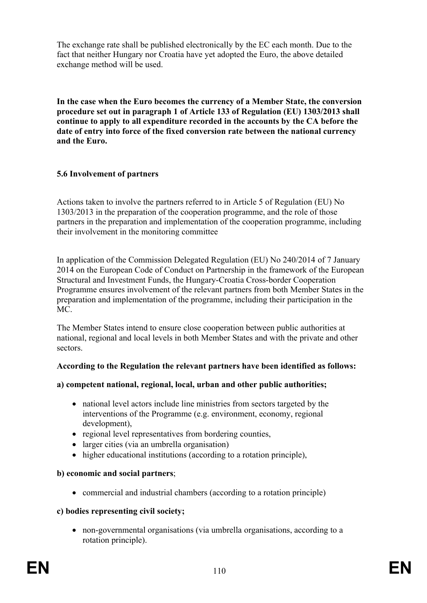The exchange rate shall be published electronically by the EC each month. Due to the fact that neither Hungary nor Croatia have yet adopted the Euro, the above detailed exchange method will be used.

**In the case when the Euro becomes the currency of a Member State, the conversion procedure set out in paragraph 1 of Article 133 of Regulation (EU) 1303/2013 shall continue to apply to all expenditure recorded in the accounts by the CA before the date of entry into force of the fixed conversion rate between the national currency and the Euro.**

# **5.6 Involvement of partners**

Actions taken to involve the partners referred to in Article 5 of Regulation (EU) No 1303/2013 in the preparation of the cooperation programme, and the role of those partners in the preparation and implementation of the cooperation programme, including their involvement in the monitoring committee

In application of the Commission Delegated Regulation (EU) No 240/2014 of 7 January 2014 on the European Code of Conduct on Partnership in the framework of the European Structural and Investment Funds, the Hungary-Croatia Cross-border Cooperation Programme ensures involvement of the relevant partners from both Member States in the preparation and implementation of the programme, including their participation in the MC.

The Member States intend to ensure close cooperation between public authorities at national, regional and local levels in both Member States and with the private and other sectors.

# **According to the Regulation the relevant partners have been identified as follows:**

#### **a) competent national, regional, local, urban and other public authorities;**

- national level actors include line ministries from sectors targeted by the interventions of the Programme (e.g. environment, economy, regional development),
- regional level representatives from bordering counties,
- larger cities (via an umbrella organisation)
- higher educational institutions (according to a rotation principle),

#### **b) economic and social partners**;

commercial and industrial chambers (according to a rotation principle)

#### **c) bodies representing civil society;**

 non-governmental organisations (via umbrella organisations, according to a rotation principle).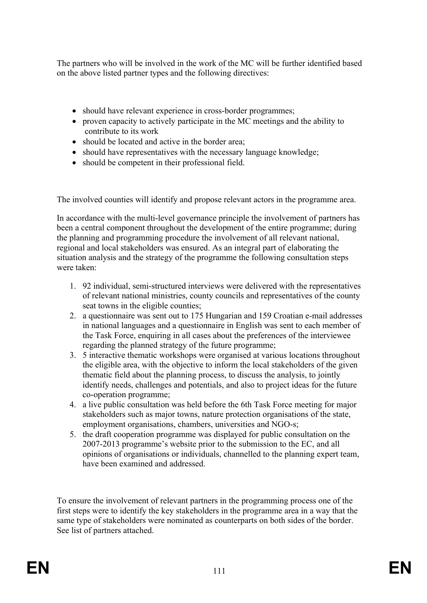The partners who will be involved in the work of the MC will be further identified based on the above listed partner types and the following directives:

- should have relevant experience in cross-border programmes;
- proven capacity to actively participate in the MC meetings and the ability to contribute to its work
- should be located and active in the border area;
- should have representatives with the necessary language knowledge;
- should be competent in their professional field.

The involved counties will identify and propose relevant actors in the programme area.

In accordance with the multi-level governance principle the involvement of partners has been a central component throughout the development of the entire programme; during the planning and programming procedure the involvement of all relevant national, regional and local stakeholders was ensured. As an integral part of elaborating the situation analysis and the strategy of the programme the following consultation steps were taken:

- 1. 92 individual, semi-structured interviews were delivered with the representatives of relevant national ministries, county councils and representatives of the county seat towns in the eligible counties;
- 2. a questionnaire was sent out to 175 Hungarian and 159 Croatian e-mail addresses in national languages and a questionnaire in English was sent to each member of the Task Force, enquiring in all cases about the preferences of the interviewee regarding the planned strategy of the future programme;
- 3. 5 interactive thematic workshops were organised at various locations throughout the eligible area, with the objective to inform the local stakeholders of the given thematic field about the planning process, to discuss the analysis, to jointly identify needs, challenges and potentials, and also to project ideas for the future co-operation programme;
- 4. a live public consultation was held before the 6th Task Force meeting for major stakeholders such as major towns, nature protection organisations of the state, employment organisations, chambers, universities and NGO-s;
- 5. the draft cooperation programme was displayed for public consultation on the 2007-2013 programme's website prior to the submission to the EC, and all opinions of organisations or individuals, channelled to the planning expert team, have been examined and addressed.

To ensure the involvement of relevant partners in the programming process one of the first steps were to identify the key stakeholders in the programme area in a way that the same type of stakeholders were nominated as counterparts on both sides of the border. See list of partners attached.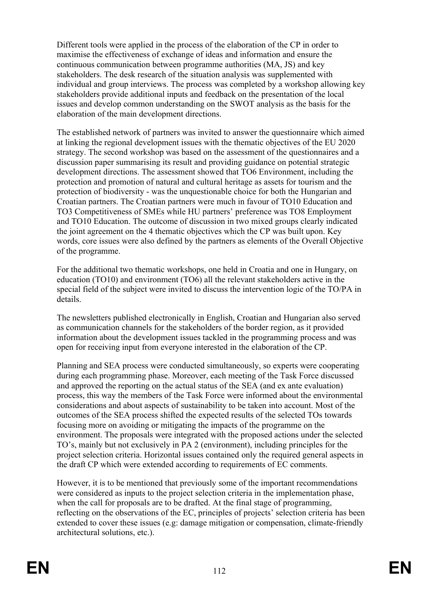Different tools were applied in the process of the elaboration of the CP in order to maximise the effectiveness of exchange of ideas and information and ensure the continuous communication between programme authorities (MA, JS) and key stakeholders. The desk research of the situation analysis was supplemented with individual and group interviews. The process was completed by a workshop allowing key stakeholders provide additional inputs and feedback on the presentation of the local issues and develop common understanding on the SWOT analysis as the basis for the elaboration of the main development directions.

The established network of partners was invited to answer the questionnaire which aimed at linking the regional development issues with the thematic objectives of the EU 2020 strategy. The second workshop was based on the assessment of the questionnaires and a discussion paper summarising its result and providing guidance on potential strategic development directions. The assessment showed that TO6 Environment, including the protection and promotion of natural and cultural heritage as assets for tourism and the protection of biodiversity - was the unquestionable choice for both the Hungarian and Croatian partners. The Croatian partners were much in favour of TO10 Education and TO3 Competitiveness of SMEs while HU partners' preference was TO8 Employment and TO10 Education. The outcome of discussion in two mixed groups clearly indicated the joint agreement on the 4 thematic objectives which the CP was built upon. Key words, core issues were also defined by the partners as elements of the Overall Objective of the programme.

For the additional two thematic workshops, one held in Croatia and one in Hungary, on education (TO10) and environment (TO6) all the relevant stakeholders active in the special field of the subject were invited to discuss the intervention logic of the TO/PA in details.

The newsletters published electronically in English, Croatian and Hungarian also served as communication channels for the stakeholders of the border region, as it provided information about the development issues tackled in the programming process and was open for receiving input from everyone interested in the elaboration of the CP.

Planning and SEA process were conducted simultaneously, so experts were cooperating during each programming phase. Moreover, each meeting of the Task Force discussed and approved the reporting on the actual status of the SEA (and ex ante evaluation) process, this way the members of the Task Force were informed about the environmental considerations and about aspects of sustainability to be taken into account. Most of the outcomes of the SEA process shifted the expected results of the selected TOs towards focusing more on avoiding or mitigating the impacts of the programme on the environment. The proposals were integrated with the proposed actions under the selected TO's, mainly but not exclusively in PA 2 (environment), including principles for the project selection criteria. Horizontal issues contained only the required general aspects in the draft CP which were extended according to requirements of EC comments.

However, it is to be mentioned that previously some of the important recommendations were considered as inputs to the project selection criteria in the implementation phase, when the call for proposals are to be drafted. At the final stage of programming, reflecting on the observations of the EC, principles of projects' selection criteria has been extended to cover these issues (e.g: damage mitigation or compensation, climate-friendly architectural solutions, etc.).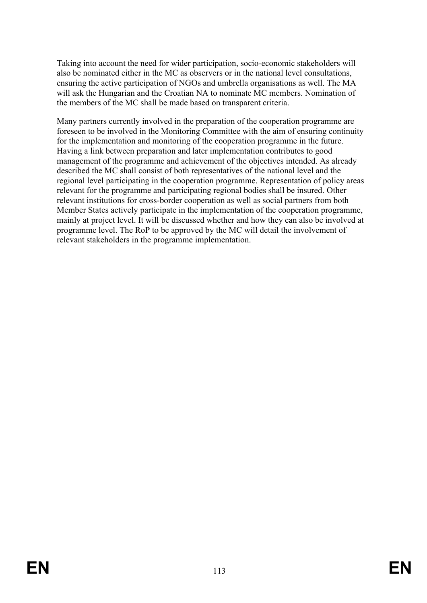Taking into account the need for wider participation, socio-economic stakeholders will also be nominated either in the MC as observers or in the national level consultations, ensuring the active participation of NGOs and umbrella organisations as well. The MA will ask the Hungarian and the Croatian NA to nominate MC members. Nomination of the members of the MC shall be made based on transparent criteria.

Many partners currently involved in the preparation of the cooperation programme are foreseen to be involved in the Monitoring Committee with the aim of ensuring continuity for the implementation and monitoring of the cooperation programme in the future. Having a link between preparation and later implementation contributes to good management of the programme and achievement of the objectives intended. As already described the MC shall consist of both representatives of the national level and the regional level participating in the cooperation programme. Representation of policy areas relevant for the programme and participating regional bodies shall be insured. Other relevant institutions for cross-border cooperation as well as social partners from both Member States actively participate in the implementation of the cooperation programme, mainly at project level. It will be discussed whether and how they can also be involved at programme level. The RoP to be approved by the MC will detail the involvement of relevant stakeholders in the programme implementation.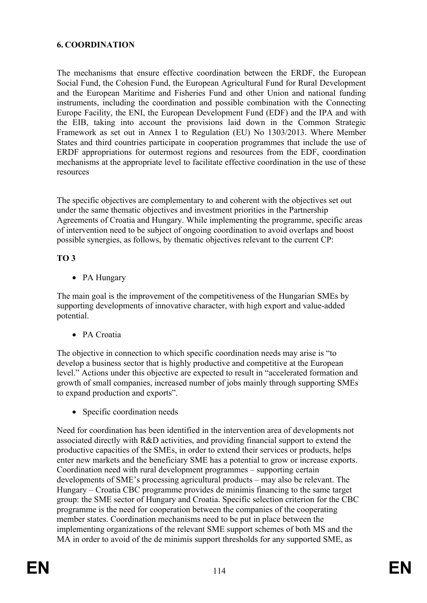# **6. COORDINATION**

The mechanisms that ensure effective coordination between the ERDF, the European Social Fund, the Cohesion Fund, the European Agricultural Fund for Rural Development and the European Maritime and Fisheries Fund and other Union and national funding instruments, including the coordination and possible combination with the Connecting Europe Facility, the ENI, the European Development Fund (EDF) and the IPA and with the EIB, taking into account the provisions laid down in the Common Strategic Framework as set out in Annex I to Regulation (EU) No 1303/2013. Where Member States and third countries participate in cooperation programmes that include the use of ERDF appropriations for outermost regions and resources from the EDF, coordination mechanisms at the appropriate level to facilitate effective coordination in the use of these resources

The specific objectives are complementary to and coherent with the objectives set out under the same thematic objectives and investment priorities in the Partnership Agreements of Croatia and Hungary. While implementing the programme, specific areas of intervention need to be subject of ongoing coordination to avoid overlaps and boost possible synergies, as follows, by thematic objectives relevant to the current CP:

#### **TO 3**

• PA Hungary

The main goal is the improvement of the competitiveness of the Hungarian SMEs by supporting developments of innovative character, with high export and value-added potential.

• PA Croatia

The objective in connection to which specific coordination needs may arise is "to develop a business sector that is highly productive and competitive at the European level." Actions under this objective are expected to result in "accelerated formation and growth of small companies, increased number of jobs mainly through supporting SMEs to expand production and exports".

• Specific coordination needs

Need for coordination has been identified in the intervention area of developments not associated directly with R&D activities, and providing financial support to extend the productive capacities of the SMEs, in order to extend their services or products, helps enter new markets and the beneficiary SME has a potential to grow or increase exports. Coordination need with rural development programmes – supporting certain developments of SME's processing agricultural products – may also be relevant. The Hungary – Croatia CBC programme provides de minimis financing to the same target group: the SME sector of Hungary and Croatia. Specific selection criterion for the CBC programme is the need for cooperation between the companies of the cooperating member states. Coordination mechanisms need to be put in place between the implementing organizations of the relevant SME support schemes of both MS and the MA in order to avoid of the de minimis support thresholds for any supported SME, as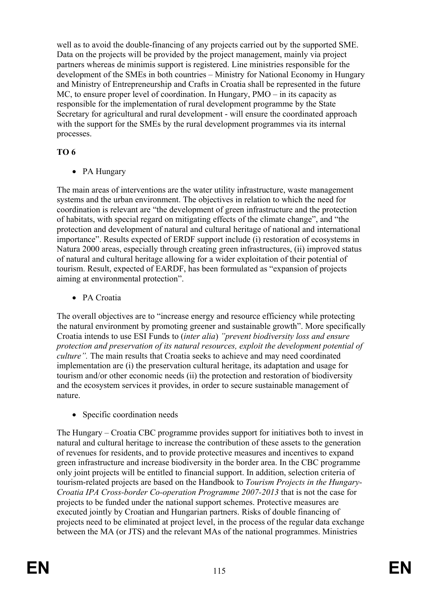well as to avoid the double-financing of any projects carried out by the supported SME. Data on the projects will be provided by the project management, mainly via project partners whereas de minimis support is registered. Line ministries responsible for the development of the SMEs in both countries – Ministry for National Economy in Hungary and Ministry of Entrepreneurship and Crafts in Croatia shall be represented in the future MC, to ensure proper level of coordination. In Hungary, PMO – in its capacity as responsible for the implementation of rural development programme by the State Secretary for agricultural and rural development - will ensure the coordinated approach with the support for the SMEs by the rural development programmes via its internal processes.

# **TO 6**

• PA Hungary

The main areas of interventions are the water utility infrastructure, waste management systems and the urban environment. The objectives in relation to which the need for coordination is relevant are "the development of green infrastructure and the protection of habitats, with special regard on mitigating effects of the climate change", and "the protection and development of natural and cultural heritage of national and international importance". Results expected of ERDF support include (i) restoration of ecosystems in Natura 2000 areas, especially through creating green infrastructures, (ii) improved status of natural and cultural heritage allowing for a wider exploitation of their potential of tourism. Result, expected of EARDF, has been formulated as "expansion of projects aiming at environmental protection".

• PA Croatia

The overall objectives are to "increase energy and resource efficiency while protecting the natural environment by promoting greener and sustainable growth". More specifically Croatia intends to use ESI Funds to (*inter alia*) *"prevent biodiversity loss and ensure protection and preservation of its natural resources, exploit the development potential of culture".* The main results that Croatia seeks to achieve and may need coordinated implementation are (i) the preservation cultural heritage, its adaptation and usage for tourism and/or other economic needs (ii) the protection and restoration of biodiversity and the ecosystem services it provides, in order to secure sustainable management of nature.

• Specific coordination needs

The Hungary – Croatia CBC programme provides support for initiatives both to invest in natural and cultural heritage to increase the contribution of these assets to the generation of revenues for residents, and to provide protective measures and incentives to expand green infrastructure and increase biodiversity in the border area. In the CBC programme only joint projects will be entitled to financial support. In addition, selection criteria of tourism-related projects are based on the Handbook to *Tourism Projects in the Hungary-Croatia IPA Cross-border Co-operation Programme 2007-2013* that is not the case for projects to be funded under the national support schemes. Protective measures are executed jointly by Croatian and Hungarian partners. Risks of double financing of projects need to be eliminated at project level, in the process of the regular data exchange between the MA (or JTS) and the relevant MAs of the national programmes. Ministries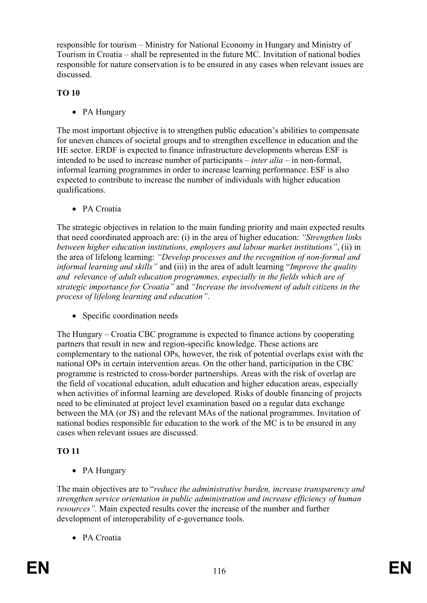responsible for tourism – Ministry for National Economy in Hungary and Ministry of Tourism in Croatia – shall be represented in the future MC. Invitation of national bodies responsible for nature conservation is to be ensured in any cases when relevant issues are discussed.

# **TO 10**

• PA Hungary

The most important objective is to strengthen public education's abilities to compensate for uneven chances of societal groups and to strengthen excellence in education and the HE sector. ERDF is expected to finance infrastructure developments whereas ESF is intended to be used to increase number of participants – *inter alia* – in non-formal, informal learning programmes in order to increase learning performance. ESF is also expected to contribute to increase the number of individuals with higher education qualifications.

• PA Croatia

The strategic objectives in relation to the main funding priority and main expected results that need coordinated approach are: (i) in the area of higher education: *"Strengthen links between higher education institutions, employers and labour market institutions"*, (ii) in the area of lifelong learning: *"Develop processes and the recognition of non-formal and informal learning and skills"* and (iii) in the area of adult learning "*Improve the quality and relevance of adult education programmes, especially in the fields which are of strategic importance for Croatia"* and *"Increase the involvement of adult citizens in the process of lifelong learning and education"*.

• Specific coordination needs

The Hungary – Croatia CBC programme is expected to finance actions by cooperating partners that result in new and region-specific knowledge. These actions are complementary to the national OPs, however, the risk of potential overlaps exist with the national OPs in certain intervention areas. On the other hand, participation in the CBC programme is restricted to cross-border partnerships. Areas with the risk of overlap are the field of vocational education, adult education and higher education areas, especially when activities of informal learning are developed. Risks of double financing of projects need to be eliminated at project level examination based on a regular data exchange between the MA (or JS) and the relevant MAs of the national programmes. Invitation of national bodies responsible for education to the work of the MC is to be ensured in any cases when relevant issues are discussed.

# **TO 11**

• PA Hungary

The main objectives are to "*reduce the administrative burden, increase transparency and strengthen service orientation in public administration and increase efficiency of human resources".* Main expected results cover the increase of the number and further development of interoperability of e-governance tools.

• PA Croatia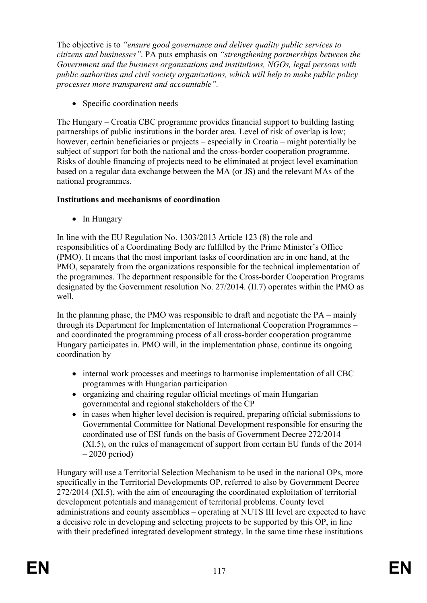The objective is to *"ensure good governance and deliver quality public services to citizens and businesses"*. PA puts emphasis on *"strengthening partnerships between the Government and the business organizations and institutions, NGOs, legal persons with public authorities and civil society organizations, which will help to make public policy processes more transparent and accountable".*

• Specific coordination needs

The Hungary – Croatia CBC programme provides financial support to building lasting partnerships of public institutions in the border area. Level of risk of overlap is low; however, certain beneficiaries or projects – especially in Croatia – might potentially be subject of support for both the national and the cross-border cooperation programme. Risks of double financing of projects need to be eliminated at project level examination based on a regular data exchange between the MA (or JS) and the relevant MAs of the national programmes.

# **Institutions and mechanisms of coordination**

• In Hungary

In line with the EU Regulation No. 1303/2013 Article 123 (8) the role and responsibilities of a Coordinating Body are fulfilled by the Prime Minister's Office (PMO). It means that the most important tasks of coordination are in one hand, at the PMO, separately from the organizations responsible for the technical implementation of the programmes. The department responsible for the Cross-border Cooperation Programs designated by the Government resolution No. 27/2014. (II.7) operates within the PMO as well.

In the planning phase, the PMO was responsible to draft and negotiate the PA – mainly through its Department for Implementation of International Cooperation Programmes – and coordinated the programming process of all cross-border cooperation programme Hungary participates in. PMO will, in the implementation phase, continue its ongoing coordination by

- internal work processes and meetings to harmonise implementation of all CBC programmes with Hungarian participation
- organizing and chairing regular official meetings of main Hungarian governmental and regional stakeholders of the CP
- in cases when higher level decision is required, preparing official submissions to Governmental Committee for National Development responsible for ensuring the coordinated use of ESI funds on the basis of Government Decree 272/2014 (XI.5), on the rules of management of support from certain EU funds of the 2014 – 2020 period)

Hungary will use a Territorial Selection Mechanism to be used in the national OPs, more specifically in the Territorial Developments OP, referred to also by Government Decree 272/2014 (XI.5), with the aim of encouraging the coordinated exploitation of territorial development potentials and management of territorial problems. County level administrations and county assemblies – operating at NUTS III level are expected to have a decisive role in developing and selecting projects to be supported by this OP, in line with their predefined integrated development strategy. In the same time these institutions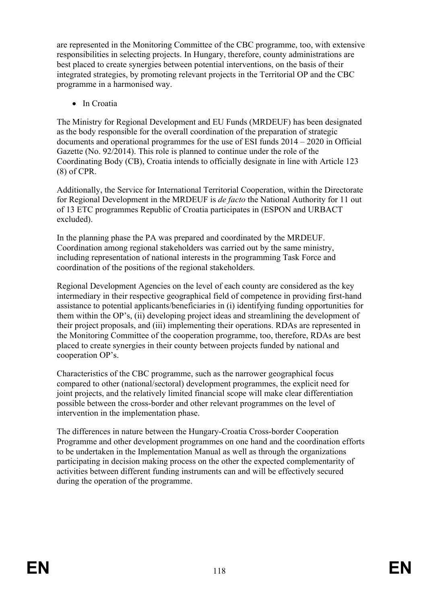are represented in the Monitoring Committee of the CBC programme, too, with extensive responsibilities in selecting projects. In Hungary, therefore, county administrations are best placed to create synergies between potential interventions, on the basis of their integrated strategies, by promoting relevant projects in the Territorial OP and the CBC programme in a harmonised way.

• In Croatia

The Ministry for Regional Development and EU Funds (MRDEUF) has been designated as the body responsible for the overall coordination of the preparation of strategic documents and operational programmes for the use of ESI funds 2014 – 2020 in Official Gazette (No. 92/2014). This role is planned to continue under the role of the Coordinating Body (CB), Croatia intends to officially designate in line with Article 123 (8) of CPR.

Additionally, the Service for International Territorial Cooperation, within the Directorate for Regional Development in the MRDEUF is *de facto* the National Authority for 11 out of 13 ETC programmes Republic of Croatia participates in (ESPON and URBACT excluded).

In the planning phase the PA was prepared and coordinated by the MRDEUF. Coordination among regional stakeholders was carried out by the same ministry, including representation of national interests in the programming Task Force and coordination of the positions of the regional stakeholders.

Regional Development Agencies on the level of each county are considered as the key intermediary in their respective geographical field of competence in providing first-hand assistance to potential applicants/beneficiaries in (i) identifying funding opportunities for them within the OP's, (ii) developing project ideas and streamlining the development of their project proposals, and (iii) implementing their operations. RDAs are represented in the Monitoring Committee of the cooperation programme, too, therefore, RDAs are best placed to create synergies in their county between projects funded by national and cooperation OP's.

Characteristics of the CBC programme, such as the narrower geographical focus compared to other (national/sectoral) development programmes, the explicit need for joint projects, and the relatively limited financial scope will make clear differentiation possible between the cross-border and other relevant programmes on the level of intervention in the implementation phase.

The differences in nature between the Hungary-Croatia Cross-border Cooperation Programme and other development programmes on one hand and the coordination efforts to be undertaken in the Implementation Manual as well as through the organizations participating in decision making process on the other the expected complementarity of activities between different funding instruments can and will be effectively secured during the operation of the programme.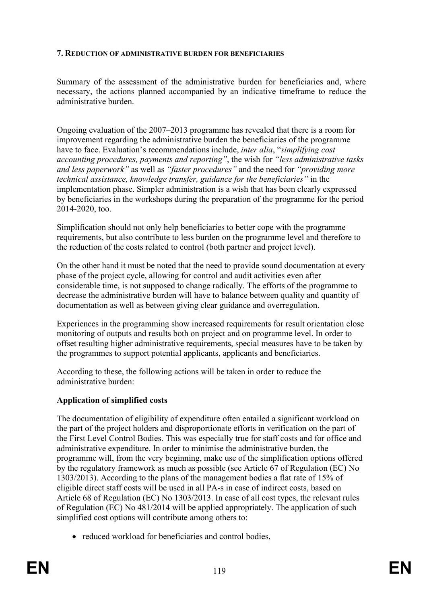#### **7. REDUCTION OF ADMINISTRATIVE BURDEN FOR BENEFICIARIES**

Summary of the assessment of the administrative burden for beneficiaries and, where necessary, the actions planned accompanied by an indicative timeframe to reduce the administrative burden.

Ongoing evaluation of the 2007–2013 programme has revealed that there is a room for improvement regarding the administrative burden the beneficiaries of the programme have to face. Evaluation's recommendations include, *inter alia*, "*simplifying cost accounting procedures, payments and reporting"*, the wish for *"less administrative tasks and less paperwork"* as well as *"faster procedures"* and the need for *"providing more technical assistance, knowledge transfer, guidance for the beneficiaries"* in the implementation phase. Simpler administration is a wish that has been clearly expressed by beneficiaries in the workshops during the preparation of the programme for the period 2014-2020, too.

Simplification should not only help beneficiaries to better cope with the programme requirements, but also contribute to less burden on the programme level and therefore to the reduction of the costs related to control (both partner and project level).

On the other hand it must be noted that the need to provide sound documentation at every phase of the project cycle, allowing for control and audit activities even after considerable time, is not supposed to change radically. The efforts of the programme to decrease the administrative burden will have to balance between quality and quantity of documentation as well as between giving clear guidance and overregulation.

Experiences in the programming show increased requirements for result orientation close monitoring of outputs and results both on project and on programme level. In order to offset resulting higher administrative requirements, special measures have to be taken by the programmes to support potential applicants, applicants and beneficiaries.

According to these, the following actions will be taken in order to reduce the administrative burden:

# **Application of simplified costs**

The documentation of eligibility of expenditure often entailed a significant workload on the part of the project holders and disproportionate efforts in verification on the part of the First Level Control Bodies. This was especially true for staff costs and for office and administrative expenditure. In order to minimise the administrative burden, the programme will, from the very beginning, make use of the simplification options offered by the regulatory framework as much as possible (see Article 67 of Regulation (EC) No 1303/2013). According to the plans of the management bodies a flat rate of 15% of eligible direct staff costs will be used in all PA-s in case of indirect costs, based on Article 68 of Regulation (EC) No 1303/2013. In case of all cost types, the relevant rules of Regulation (EC) No 481/2014 will be applied appropriately. The application of such simplified cost options will contribute among others to:

• reduced workload for beneficiaries and control bodies,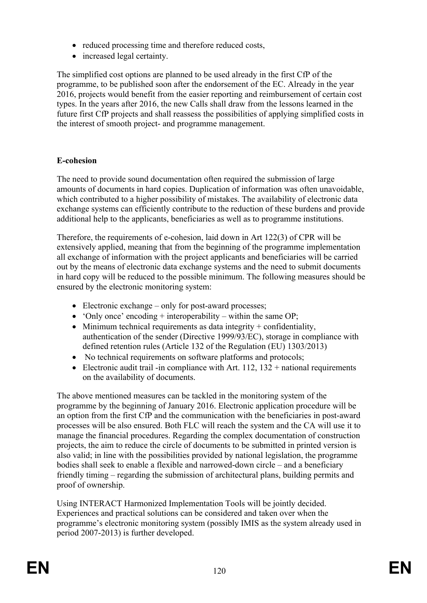- reduced processing time and therefore reduced costs,
- increased legal certainty.

The simplified cost options are planned to be used already in the first CfP of the programme, to be published soon after the endorsement of the EC. Already in the year 2016, projects would benefit from the easier reporting and reimbursement of certain cost types. In the years after 2016, the new Calls shall draw from the lessons learned in the future first CfP projects and shall reassess the possibilities of applying simplified costs in the interest of smooth project- and programme management.

# **E-cohesion**

The need to provide sound documentation often required the submission of large amounts of documents in hard copies. Duplication of information was often unavoidable, which contributed to a higher possibility of mistakes. The availability of electronic data exchange systems can efficiently contribute to the reduction of these burdens and provide additional help to the applicants, beneficiaries as well as to programme institutions.

Therefore, the requirements of e-cohesion, laid down in Art 122(3) of CPR will be extensively applied, meaning that from the beginning of the programme implementation all exchange of information with the project applicants and beneficiaries will be carried out by the means of electronic data exchange systems and the need to submit documents in hard copy will be reduced to the possible minimum. The following measures should be ensured by the electronic monitoring system:

- Electronic exchange only for post-award processes;
- $\bullet$  'Only once' encoding + interoperability within the same OP;
- $\bullet$  Minimum technical requirements as data integrity + confidentiality, authentication of the sender (Directive 1999/93/EC), storage in compliance with defined retention rules (Article 132 of the Regulation (EU) 1303/2013)
- No technical requirements on software platforms and protocols;
- Electronic audit trail -in compliance with Art.  $112$ ,  $132 +$  national requirements on the availability of documents.

The above mentioned measures can be tackled in the monitoring system of the programme by the beginning of January 2016. Electronic application procedure will be an option from the first CfP and the communication with the beneficiaries in post-award processes will be also ensured. Both FLC will reach the system and the CA will use it to manage the financial procedures. Regarding the complex documentation of construction projects, the aim to reduce the circle of documents to be submitted in printed version is also valid; in line with the possibilities provided by national legislation, the programme bodies shall seek to enable a flexible and narrowed-down circle – and a beneficiary friendly timing – regarding the submission of architectural plans, building permits and proof of ownership.

Using INTERACT Harmonized Implementation Tools will be jointly decided. Experiences and practical solutions can be considered and taken over when the programme's electronic monitoring system (possibly IMIS as the system already used in period 2007-2013) is further developed.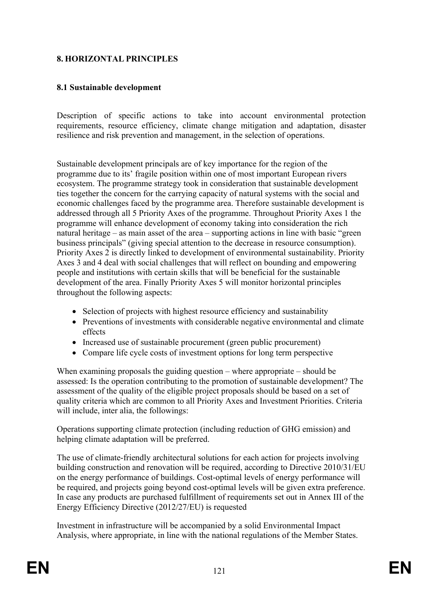# **8. HORIZONTAL PRINCIPLES**

### **8.1 Sustainable development**

Description of specific actions to take into account environmental protection requirements, resource efficiency, climate change mitigation and adaptation, disaster resilience and risk prevention and management, in the selection of operations.

Sustainable development principals are of key importance for the region of the programme due to its' fragile position within one of most important European rivers ecosystem. The programme strategy took in consideration that sustainable development ties together the concern for the carrying capacity of natural systems with the social and economic challenges faced by the programme area. Therefore sustainable development is addressed through all 5 Priority Axes of the programme. Throughout Priority Axes 1 the programme will enhance development of economy taking into consideration the rich natural heritage – as main asset of the area – supporting actions in line with basic "green business principals" (giving special attention to the decrease in resource consumption). Priority Axes 2 is directly linked to development of environmental sustainability. Priority Axes 3 and 4 deal with social challenges that will reflect on bounding and empowering people and institutions with certain skills that will be beneficial for the sustainable development of the area. Finally Priority Axes 5 will monitor horizontal principles throughout the following aspects:

- Selection of projects with highest resource efficiency and sustainability
- Preventions of investments with considerable negative environmental and climate effects
- Increased use of sustainable procurement (green public procurement)
- Compare life cycle costs of investment options for long term perspective

When examining proposals the guiding question – where appropriate – should be assessed: Is the operation contributing to the promotion of sustainable development? The assessment of the quality of the eligible project proposals should be based on a set of quality criteria which are common to all Priority Axes and Investment Priorities. Criteria will include, inter alia, the followings:

Operations supporting climate protection (including reduction of GHG emission) and helping climate adaptation will be preferred.

The use of climate-friendly architectural solutions for each action for projects involving building construction and renovation will be required, according to Directive 2010/31/EU on the energy performance of buildings. Cost-optimal levels of energy performance will be required, and projects going beyond cost-optimal levels will be given extra preference. In case any products are purchased fulfillment of requirements set out in Annex III of the Energy Efficiency Directive (2012/27/EU) is requested

Investment in infrastructure will be accompanied by a solid Environmental Impact Analysis, where appropriate, in line with the national regulations of the Member States.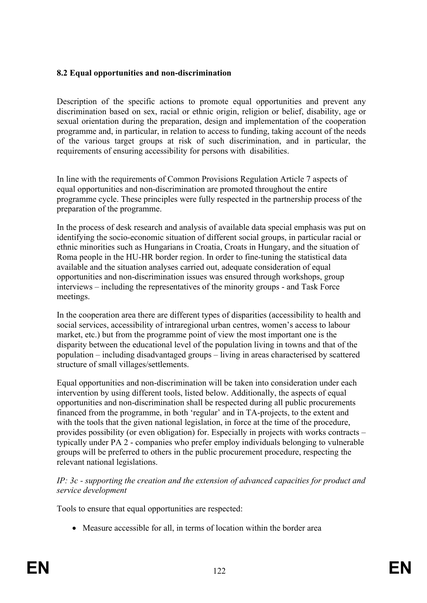# **8.2 Equal opportunities and non-discrimination**

Description of the specific actions to promote equal opportunities and prevent any discrimination based on sex, racial or ethnic origin, religion or belief, disability, age or sexual orientation during the preparation, design and implementation of the cooperation programme and, in particular, in relation to access to funding, taking account of the needs of the various target groups at risk of such discrimination, and in particular, the requirements of ensuring accessibility for persons with disabilities.

In line with the requirements of Common Provisions Regulation Article 7 aspects of equal opportunities and non-discrimination are promoted throughout the entire programme cycle. These principles were fully respected in the partnership process of the preparation of the programme.

In the process of desk research and analysis of available data special emphasis was put on identifying the socio-economic situation of different social groups, in particular racial or ethnic minorities such as Hungarians in Croatia, Croats in Hungary, and the situation of Roma people in the HU-HR border region. In order to fine-tuning the statistical data available and the situation analyses carried out, adequate consideration of equal opportunities and non-discrimination issues was ensured through workshops, group interviews – including the representatives of the minority groups - and Task Force meetings.

In the cooperation area there are different types of disparities (accessibility to health and social services, accessibility of intraregional urban centres, women's access to labour market, etc.) but from the programme point of view the most important one is the disparity between the educational level of the population living in towns and that of the population – including disadvantaged groups – living in areas characterised by scattered structure of small villages/settlements.

Equal opportunities and non-discrimination will be taken into consideration under each intervention by using different tools, listed below. Additionally, the aspects of equal opportunities and non-discrimination shall be respected during all public procurements financed from the programme, in both 'regular' and in TA-projects, to the extent and with the tools that the given national legislation, in force at the time of the procedure, provides possibility (or even obligation) for. Especially in projects with works contracts – typically under PA 2 - companies who prefer employ individuals belonging to vulnerable groups will be preferred to others in the public procurement procedure, respecting the relevant national legislations.

*IP: 3c - supporting the creation and the extension of advanced capacities for product and service development*

Tools to ensure that equal opportunities are respected:

• Measure accessible for all, in terms of location within the border area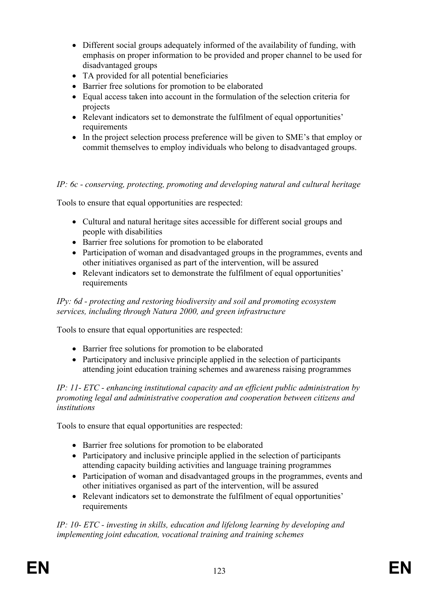- Different social groups adequately informed of the availability of funding, with emphasis on proper information to be provided and proper channel to be used for disadvantaged groups
- TA provided for all potential beneficiaries
- Barrier free solutions for promotion to be elaborated
- Equal access taken into account in the formulation of the selection criteria for projects
- Relevant indicators set to demonstrate the fulfilment of equal opportunities' requirements
- In the project selection process preference will be given to SME's that employ or commit themselves to employ individuals who belong to disadvantaged groups.

# *IP: 6c - conserving, protecting, promoting and developing natural and cultural heritage*

Tools to ensure that equal opportunities are respected:

- Cultural and natural heritage sites accessible for different social groups and people with disabilities
- Barrier free solutions for promotion to be elaborated
- Participation of woman and disadvantaged groups in the programmes, events and other initiatives organised as part of the intervention, will be assured
- Relevant indicators set to demonstrate the fulfilment of equal opportunities' requirements

#### *IPy: 6d - protecting and restoring biodiversity and soil and promoting ecosystem services, including through Natura 2000, and green infrastructure*

Tools to ensure that equal opportunities are respected:

- Barrier free solutions for promotion to be elaborated
- Participatory and inclusive principle applied in the selection of participants attending joint education training schemes and awareness raising programmes

*IP: 11- ETC - enhancing institutional capacity and an efficient public administration by promoting legal and administrative cooperation and cooperation between citizens and institutions*

Tools to ensure that equal opportunities are respected:

- Barrier free solutions for promotion to be elaborated
- Participatory and inclusive principle applied in the selection of participants attending capacity building activities and language training programmes
- Participation of woman and disadvantaged groups in the programmes, events and other initiatives organised as part of the intervention, will be assured
- Relevant indicators set to demonstrate the fulfilment of equal opportunities' requirements

*IP: 10- ETC - investing in skills, education and lifelong learning by developing and implementing joint education, vocational training and training schemes*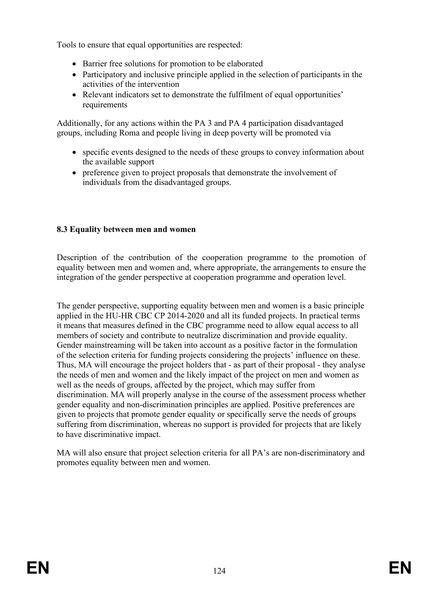Tools to ensure that equal opportunities are respected:

- Barrier free solutions for promotion to be elaborated
- Participatory and inclusive principle applied in the selection of participants in the activities of the intervention
- Relevant indicators set to demonstrate the fulfilment of equal opportunities' requirements

Additionally, for any actions within the PA 3 and PA 4 participation disadvantaged groups, including Roma and people living in deep poverty will be promoted via

- specific events designed to the needs of these groups to convey information about the available support
- preference given to project proposals that demonstrate the involvement of individuals from the disadvantaged groups.

# **8.3 Equality between men and women**

Description of the contribution of the cooperation programme to the promotion of equality between men and women and, where appropriate, the arrangements to ensure the integration of the gender perspective at cooperation programme and operation level.

The gender perspective, supporting equality between men and women is a basic principle applied in the HU-HR CBC CP 2014-2020 and all its funded projects. In practical terms it means that measures defined in the CBC programme need to allow equal access to all members of society and contribute to neutralize discrimination and provide equality. Gender mainstreaming will be taken into account as a positive factor in the formulation of the selection criteria for funding projects considering the projects' influence on these. Thus, MA will encourage the project holders that - as part of their proposal - they analyse the needs of men and women and the likely impact of the project on men and women as well as the needs of groups, affected by the project, which may suffer from discrimination. MA will properly analyse in the course of the assessment process whether gender equality and non-discrimination principles are applied. Positive preferences are given to projects that promote gender equality or specifically serve the needs of groups suffering from discrimination, whereas no support is provided for projects that are likely to have discriminative impact.

MA will also ensure that project selection criteria for all PA's are non-discriminatory and promotes equality between men and women.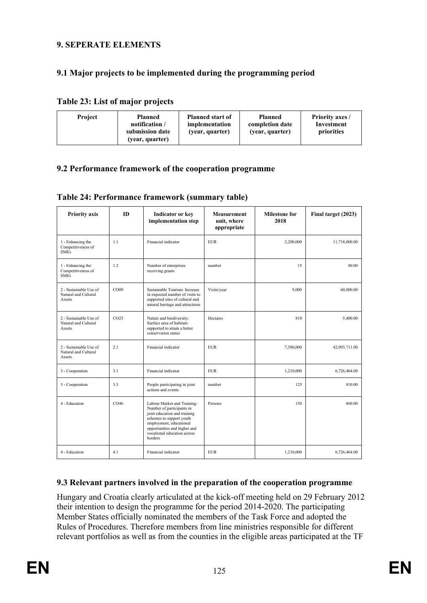# **9. SEPERATE ELEMENTS**

# **9.1 Major projects to be implemented during the programming period**

#### **Table 23: List of major projects**

| Project | <b>Planned start of</b><br>Planned<br>notification /<br>implementation<br>submission date<br>(year, quarter)<br>(year, quarter) | <b>Planned</b><br>completion date<br>(year, quarter) | <b>Priority axes /</b><br>Investment<br>priorities |
|---------|---------------------------------------------------------------------------------------------------------------------------------|------------------------------------------------------|----------------------------------------------------|
|---------|---------------------------------------------------------------------------------------------------------------------------------|------------------------------------------------------|----------------------------------------------------|

#### **9.2 Performance framework of the cooperation programme**

|  | Table 24: Performance framework (summary table) |  |  |  |
|--|-------------------------------------------------|--|--|--|
|--|-------------------------------------------------|--|--|--|

| <b>Priority axis</b>                                     | ID               | <b>Indicator or key</b><br>implementation step                                                                                                                                                                            | <b>Milestone for</b><br><b>Measurement</b><br>2018<br>unit, where<br>appropriate |           | Final target (2023) |
|----------------------------------------------------------|------------------|---------------------------------------------------------------------------------------------------------------------------------------------------------------------------------------------------------------------------|----------------------------------------------------------------------------------|-----------|---------------------|
| 1 - Enhancing the<br>Competitiveness of<br><b>SMEs</b>   | 11               | Financial indicator                                                                                                                                                                                                       | <b>EUR</b>                                                                       | 2,200,000 | 11,718,000.00       |
| 1 - Enhancing the<br>Competitiveness of<br><b>SMEs</b>   | 12               | Number of enterprises<br>receiving grants                                                                                                                                                                                 | number                                                                           | 15        | 80.00               |
| 2 - Sustainable Use of<br>Natural and Cultural<br>Assets | CO09             | Sustainable Tourism: Increase<br>in expected number of visits to<br>supported sites of cultural and<br>natural heritage and attractions                                                                                   | Visits/year                                                                      | 9.000     | 60.000.00           |
| 2 - Sustainable Use of<br>Natural and Cultural<br>Assets | CO <sub>23</sub> | Nature and biodiversity:<br>Surface area of habitats<br>supported to attain a better<br>conservation status                                                                                                               | Hectares                                                                         | 810       | 5,400.00            |
| 2 - Sustainable Use of<br>Natural and Cultural<br>Assets | 2.1              | Financial indicator                                                                                                                                                                                                       | <b>EUR</b>                                                                       | 7,580,000 | 42,093,711.00       |
| 3 - Cooperation                                          | 3.1              | Financial indicator                                                                                                                                                                                                       | <b>EUR</b>                                                                       | 1,210,000 | 6,726,464.00        |
| 3 - Cooperation                                          | 3.3              | People participating in joint<br>actions and events                                                                                                                                                                       | number                                                                           | 125       | 810.00              |
| 4 - Education                                            | CO46             | Labour Market and Training:<br>Number of participants in<br>joint education and training<br>schemes to support youth<br>employment, educational<br>opportunities and higher and<br>vocational education across<br>borders | Persons                                                                          | 150       | 860.00              |
| 4 - Education                                            | 41               | Financial indicator                                                                                                                                                                                                       | <b>EUR</b>                                                                       | 1,210,000 | 6,726,464.00        |

# **9.3 Relevant partners involved in the preparation of the cooperation programme**

Hungary and Croatia clearly articulated at the kick-off meeting held on 29 February 2012 their intention to design the programme for the period 2014-2020. The participating Member States officially nominated the members of the Task Force and adopted the Rules of Procedures. Therefore members from line ministries responsible for different relevant portfolios as well as from the counties in the eligible areas participated at the TF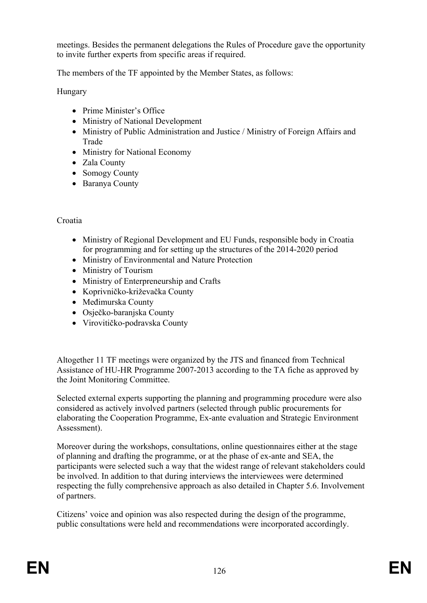meetings. Besides the permanent delegations the Rules of Procedure gave the opportunity to invite further experts from specific areas if required.

The members of the TF appointed by the Member States, as follows:

Hungary

- Prime Minister's Office
- Ministry of National Development
- Ministry of Public Administration and Justice / Ministry of Foreign Affairs and Trade
- Ministry for National Economy
- Zala County
- Somogy County
- Baranya County

# Croatia

- Ministry of Regional Development and EU Funds, responsible body in Croatia for programming and for setting up the structures of the 2014-2020 period
- Ministry of Environmental and Nature Protection
- Ministry of Tourism
- Ministry of Enterpreneurship and Crafts
- Koprivničko-križevačka County
- Međimurska County
- Osječko-baranjska County
- Virovitičko-podravska County

Altogether 11 TF meetings were organized by the JTS and financed from Technical Assistance of HU-HR Programme 2007-2013 according to the TA fiche as approved by the Joint Monitoring Committee.

Selected external experts supporting the planning and programming procedure were also considered as actively involved partners (selected through public procurements for elaborating the Cooperation Programme, Ex-ante evaluation and Strategic Environment Assessment).

Moreover during the workshops, consultations, online questionnaires either at the stage of planning and drafting the programme, or at the phase of ex-ante and SEA, the participants were selected such a way that the widest range of relevant stakeholders could be involved. In addition to that during interviews the interviewees were determined respecting the fully comprehensive approach as also detailed in Chapter 5.6. Involvement of partners.

Citizens' voice and opinion was also respected during the design of the programme, public consultations were held and recommendations were incorporated accordingly.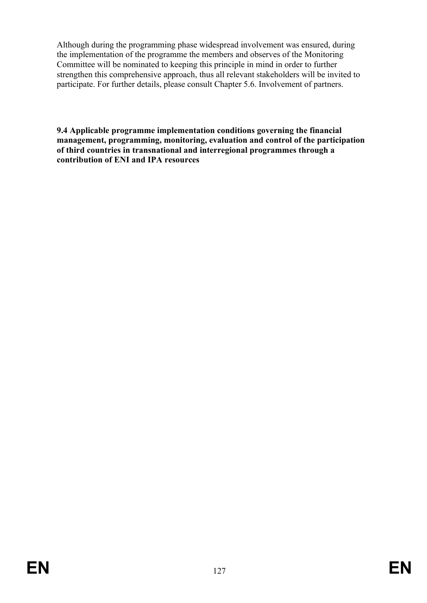Although during the programming phase widespread involvement was ensured, during the implementation of the programme the members and observes of the Monitoring Committee will be nominated to keeping this principle in mind in order to further strengthen this comprehensive approach, thus all relevant stakeholders will be invited to participate. For further details, please consult Chapter 5.6. Involvement of partners.

**9.4 Applicable programme implementation conditions governing the financial management, programming, monitoring, evaluation and control of the participation of third countries in transnational and interregional programmes through a contribution of ENI and IPA resources**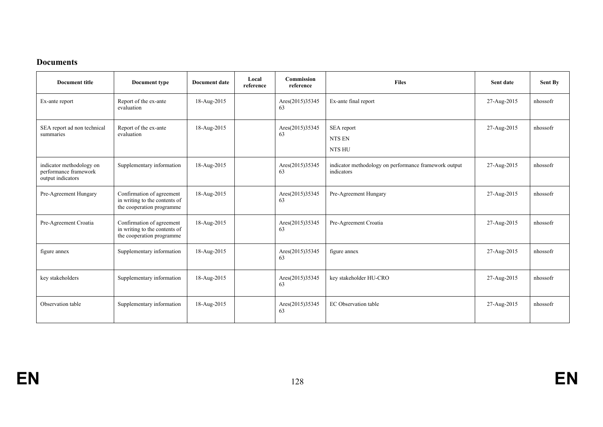#### **Documents**

| <b>Document title</b>                                                  | Document type                                                                           | <b>Document date</b> | Local<br>reference | <b>Commission</b><br>reference | <b>Files</b>                                                        | Sent date   | Sent By  |
|------------------------------------------------------------------------|-----------------------------------------------------------------------------------------|----------------------|--------------------|--------------------------------|---------------------------------------------------------------------|-------------|----------|
| Ex-ante report                                                         | Report of the ex-ante<br>evaluation                                                     | 18-Aug-2015          |                    | Ares(2015)35345<br>63          | Ex-ante final report                                                | 27-Aug-2015 | nhossofr |
| SEA report ad non technical<br>summaries                               | Report of the ex-ante<br>evaluation                                                     | 18-Aug-2015          |                    | Ares(2015)35345<br>63          | SEA report<br><b>NTS EN</b><br>NTS HU                               | 27-Aug-2015 | nhossofr |
| indicator methodology on<br>performance framework<br>output indicators | Supplementary information                                                               | 18-Aug-2015          |                    | Ares(2015)35345<br>63          | indicator methodology on performance framework output<br>indicators | 27-Aug-2015 | nhossofr |
| Pre-Agreement Hungary                                                  | Confirmation of agreement<br>in writing to the contents of<br>the cooperation programme | 18-Aug-2015          |                    | Ares(2015)35345<br>63          | Pre-Agreement Hungary                                               | 27-Aug-2015 | nhossofr |
| Pre-Agreement Croatia                                                  | Confirmation of agreement<br>in writing to the contents of<br>the cooperation programme | 18-Aug-2015          |                    | Ares(2015)35345<br>63          | Pre-Agreement Croatia                                               | 27-Aug-2015 | nhossofr |
| figure annex                                                           | Supplementary information                                                               | 18-Aug-2015          |                    | Ares(2015)35345<br>63          | figure annex                                                        | 27-Aug-2015 | nhossofr |
| key stakeholders                                                       | Supplementary information                                                               | 18-Aug-2015          |                    | Ares(2015)35345<br>63          | key stakeholder HU-CRO                                              | 27-Aug-2015 | nhossofr |
| Observation table                                                      | Supplementary information                                                               | 18-Aug-2015          |                    | Ares(2015)35345<br>63          | EC Observation table                                                | 27-Aug-2015 | nhossofr |